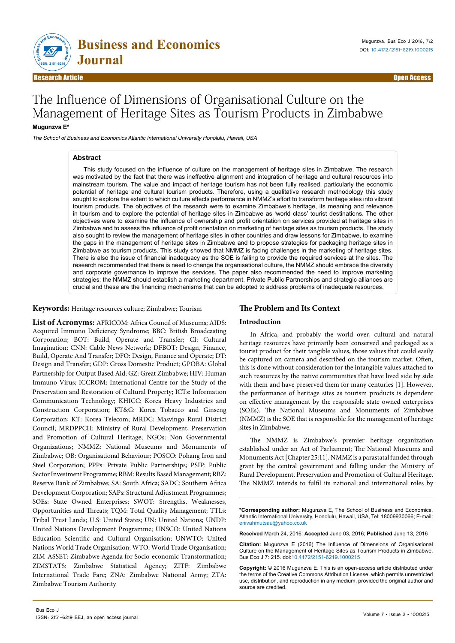

# The Influence of Dimensions of Organisational Culture on the Management of Heritage Sites as Tourism Products in Zimbabwe

# **Mugunzva E\***

The School of Business and Economics Atlantic International University Honolulu, Hawaii, USA

#### **Abstract**

This study focused on the influence of culture on the management of heritage sites in Zimbabwe. The research was motivated by the fact that there was ineffective alignment and integration of heritage and cultural resources into mainstream tourism. The value and impact of heritage tourism has not been fully realised, particularly the economic potential of heritage and cultural tourism products. Therefore, using a qualitative research methodology this study sought to explore the extent to which culture affects performance in NMMZ's effort to transform heritage sites into vibrant tourism products. The objectives of the research were to examine Zimbabwe's heritage, its meaning and relevance in tourism and to explore the potential of heritage sites in Zimbabwe as 'world class' tourist destinations. The other objectives were to examine the influence of ownership and profit orientation on services provided at heritage sites in Zimbabwe and to assess the influence of profit orientation on marketing of heritage sites as tourism products. The study also sought to review the management of heritage sites in other countries and draw lessons for Zimbabwe, to examine the gaps in the management of heritage sites in Zimbabwe and to propose strategies for packaging heritage sites in Zimbabwe as tourism products. This study showed that NMMZ is facing challenges in the marketing of heritage sites. There is also the issue of financial inadequacy as the SOE is failing to provide the required services at the sites. The research recommended that there is need to change the organisational culture, the NMMZ should embrace the diversity and corporate governance to improve the services. The paper also recommended the need to improve marketing strategies; the NMMZ should establish a marketing department. Private Public Partnerships and strategic alliances are crucial and these are the financing mechanisms that can be adopted to address problems of inadequate resources.

**Keywords:** Heritage resources culture; Zimbabwe; Tourism

**List of Acronyms:** AFRICOM: Africa Council of Museums; AIDS: Acquired Immuno Deficiency Syndrome; BBC: British Broadcasting Corporation; BOT: Build, Operate and Transfer; CI: Cultural Imagination; CNN: Cable News Network; DFBOT: Design, Finance, Build, Operate And Transfer; DFO: Design, Finance and Operate; DT: Design and Transfer; GDP: Gross Domestic Product; GPOBA: Global Partnership for Output Based Aid; GZ: Great Zimbabwe; HIV: Human Immuno Virus; ICCROM: International Centre for the Study of the Preservation and Restoration of Cultural Property; ICTs: Information Communication Technology; KHICC: Korea Heavy Industries and Construction Corporation; KT&G: Korea Tobacco and Ginseng Corporation; KT: Korea Telecom; MRDC: Masvingo Rural District Council; MRDPPCH: Ministry of Rural Development, Preservation and Promotion of Cultural Heritage; NGOs: Non Governmental Organizations; NMMZ: National Museums and Monuments of Zimbabwe; OB: Organisational Behaviour; POSCO: Pohang Iron and Steel Corporation; PPPs: Private Public Partnerships; PSIP: Public Sector Investment Programme; RBM: Results Based Management; RBZ: Reserve Bank of Zimbabwe; SA: South Africa; SADC: Southern Africa Development Corporation; SAPs: Structural Adjustment Programmes; SOEs: State Owned Enterprises; SWOT: Strengths, Weaknesses, Opportunities and Threats; TQM: Total Quality Management; TTLs: Tribal Trust Lands; U.S: United States; UN: United Nations; UNDP: United Nations Development Programme; UNSCO: United Nations Education Scientific and Cultural Organisation; UNWTO: United Nations World Trade Organisation; WTO: World Trade Organisation; ZIM-ASSET: Zimbabwe Agenda for Socio-economic Transformation; ZIMSTATS: Zimbabwe Statistical Agency; ZITF: Zimbabwe International Trade Fare; ZNA: Zimbabwe National Army; ZTA: Zimbabwe Tourism Authority

# **The Problem and Its Context**

# **Introduction**

In Africa, and probably the world over, cultural and natural heritage resources have primarily been conserved and packaged as a tourist product for their tangible values, those values that could easily be captured on camera and described on the tourism market. Often, this is done without consideration for the intangible values attached to such resources by the native communities that have lived side by side with them and have preserved them for many centuries [1]. However, the performance of heritage sites as tourism products is dependent on effective management by the responsible state owned enterprises (SOEs). The National Museums and Monuments of Zimbabwe (NMMZ) is the SOE that is responsible for the management of heritage sites in Zimbabwe.

The NMMZ is Zimbabwe's premier heritage organization established under an Act of Parliament; The National Museums and Monuments Act [Chapter 25:11]. NMMZ is a parastatal funded through grant by the central government and falling under the Ministry of Rural Development, Preservation and Promotion of Cultural Heritage. The NMMZ intends to fulfil its national and international roles by

**\*Corresponding author:** Mugunzva E, The School of Business and Economics, Atlantic International University, Honolulu, Hawaii, USA, Tel: 18009930066; E-mail: enivahmutsau@yahoo.co.uk

**Received** March 24, 2016; **Accepted** June 03, 2016; **Published** June 13, 2016

**Citation:** Mugunzva E (2016) The Influence of Dimensions of Organisational Culture on the Management of Heritage Sites as Tourism Products in Zimbabwe. Bus Eco J 7: 215. doi:10.4172/2151-6219.1000215

**Copyright:** © 2016 Mugunzva E. This is an open-access article distributed under the terms of the Creative Commons Attribution License, which permits unrestricted use, distribution, and reproduction in any medium, provided the original author and source are credited.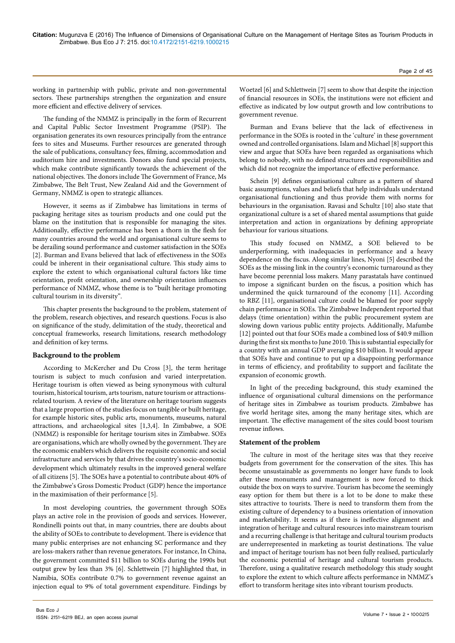working in partnership with public, private and non-governmental sectors. These partnerships strengthen the organization and ensure more efficient and effective delivery of services.

The funding of the NMMZ is principally in the form of Recurrent and Capital Public Sector Investment Programme (PSIP). The organisation generates its own resources principally from the entrance fees to sites and Museums. Further resources are generated through the sale of publications, consultancy fees, filming, accommodation and auditorium hire and investments. Donors also fund special projects, which make contribute significantly towards the achievement of the national objectives. The donors include The Government of France, Ms Zimbabwe, The Belt Trust, New Zealand Aid and the Government of Germany, NMMZ is open to strategic alliances.

However, it seems as if Zimbabwe has limitations in terms of packaging heritage sites as tourism products and one could put the blame on the institution that is responsible for managing the sites. Additionally, effective performance has been a thorn in the flesh for many countries around the world and organisational culture seems to be derailing sound performance and customer satisfaction in the SOEs [2]. Burman and Evans believed that lack of effectiveness in the SOEs could be inherent in their organisational culture. This study aims to explore the extent to which organisational cultural factors like time orientation, profit orientation, and ownership orientation influences performance of NMMZ, whose theme is to "built heritage promoting cultural tourism in its diversity".

This chapter presents the background to the problem, statement of the problem, research objectives, and research questions. Focus is also on significance of the study, delimitation of the study, theoretical and conceptual frameworks, research limitations, research methodology and definition of key terms.

# **Background to the problem**

According to McKercher and Du Cross [3], the term heritage tourism is subject to much confusion and varied interpretation. Heritage tourism is often viewed as being synonymous with cultural tourism, historical tourism, arts tourism, nature tourism or attractionsrelated tourism. A review of the literature on heritage tourism suggests that a large proportion of the studies focus on tangible or built heritage, for example historic sites, public arts, monuments, museums, natural attractions, and archaeological sites [1,3,4]. In Zimbabwe, a SOE (NMMZ) is responsible for heritage tourism sites in Zimbabwe. SOEs are organisations, which are wholly owned by the government. They are the economic enablers which delivers the requisite economic and social infrastructure and services by that drives the country's socio-economic development which ultimately results in the improved general welfare of all citizens [5]. The SOEs have a potential to contribute about 40% of the Zimbabwe's Gross Domestic Product (GDP) hence the importance in the maximisation of their performance [5].

In most developing countries, the government through SOEs plays an active role in the provision of goods and services. However, Rondinelli points out that, in many countries, there are doubts about the ability of SOEs to contribute to development. There is evidence that many public enterprises are not enhancing SC performance and they are loss-makers rather than revenue generators. For instance, In China, the government committed \$11 billion to SOEs during the 1990s but output grew by less than 3% [6]. Schlettwein [7] highlighted that, in Namibia, SOEs contribute 0.7% to government revenue against an injection equal to 9% of total government expenditure. Findings by

Woetzel [6] and Schlettwein [7] seem to show that despite the injection of financial resources in SOEs, the institutions were not efficient and effective as indicated by low output growth and low contributions to government revenue.

Burman and Evans believe that the lack of effectiveness in performance in the SOEs is rooted in the 'culture' in these government owned and controlled organisations. Islam and Michael [8] support this view and argue that SOEs have been regarded as organisations which belong to nobody, with no defined structures and responsibilities and which did not recognize the importance of effective performance.

Schein [9] defines organisational culture as a pattern of shared basic assumptions, values and beliefs that help individuals understand organisational functioning and thus provide them with norms for behaviours in the organisation. Ravasi and Schultz [10] also state that organizational culture is a set of shared mental assumptions that guide interpretation and action in organizations by defining appropriate behaviour for various situations.

This study focused on NMMZ, a SOE believed to be underperforming, with inadequacies in performance and a heavy dependence on the fiscus. Along similar lines, Nyoni [5] described the SOEs as the missing link in the country's economic turnaround as they have become perennial loss makers. Many parastatals have continued to impose a significant burden on the fiscus, a position which has undermined the quick turnaround of the economy [11]. According to RBZ [11], organisational culture could be blamed for poor supply chain performance in SOEs. The Zimbabwe Independent reported that delays (time orientation) within the public procurement system are slowing down various public entity projects. Additionally, Mafumbe [12] pointed out that four SOEs made a combined loss of \$40.9 million during the first six months to June 2010. This is substantial especially for a country with an annual GDP averaging \$10 billion. It would appear that SOEs have and continue to put up a disappointing performance in terms of efficiency, and profitability to support and facilitate the expansion of economic growth.

In light of the preceding background, this study examined the influence of organisational cultural dimensions on the performance of heritage sites in Zimbabwe as tourism products. Zimbabwe has five world heritage sites, among the many heritage sites, which are important. The effective management of the sites could boost tourism revenue inflows.

# **Statement of the problem**

The culture in most of the heritage sites was that they receive budgets from government for the conservation of the sites. This has become unsustainable as governments no longer have funds to look after these monuments and management is now forced to thick outside the box on ways to survive. Tourism has become the seemingly easy option for them but there is a lot to be done to make these sites attractive to tourists. There is need to transform them from the existing culture of dependency to a business orientation of innovation and marketability. It seems as if there is ineffective alignment and integration of heritage and cultural resources into mainstream tourism and a recurring challenge is that heritage and cultural tourism products are underrepresented in marketing as tourist destinations. The value and impact of heritage tourism has not been fully realised, particularly the economic potential of heritage and cultural tourism products. Therefore, using a qualitative research methodology this study sought to explore the extent to which culture affects performance in NMMZ's effort to transform heritage sites into vibrant tourism products.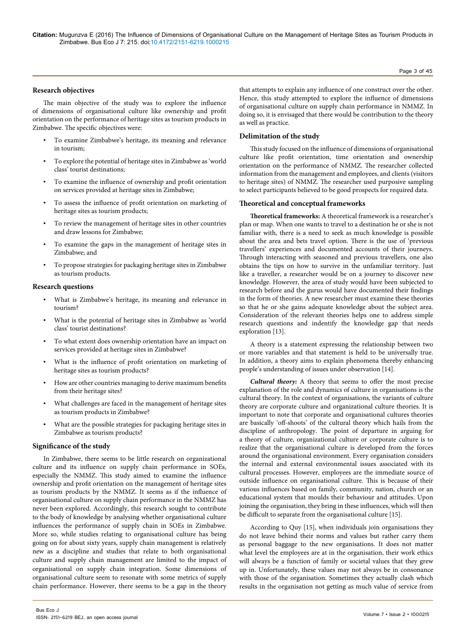#### Page 3 of 45

# **Research objectives**

The main objective of the study was to explore the influence of dimensions of organisational culture like ownership and profit orientation on the performance of heritage sites as tourism products in Zimbabwe. The specific objectives were:

- To examine Zimbabwe's heritage, its meaning and relevance in tourism;
- To explore the potential of heritage sites in Zimbabwe as 'world class' tourist destinations;
- To examine the influence of ownership and profit orientation on services provided at heritage sites in Zimbabwe;
- To assess the influence of profit orientation on marketing of heritage sites as tourism products;
- To review the management of heritage sites in other countries and draw lessons for Zimbabwe;
- To examine the gaps in the management of heritage sites in Zimbabwe; and
- To propose strategies for packaging heritage sites in Zimbabwe as tourism products.

# **Research questions**

- What is Zimbabwe's heritage, its meaning and relevance in tourism?
- What is the potential of heritage sites in Zimbabwe as 'world class' tourist destinations?
- To what extent does ownership orientation have an impact on services provided at heritage sites in Zimbabwe?
- What is the influence of profit orientation on marketing of heritage sites as tourism products?
- How are other countries managing to derive maximum benefits from their heritage sites?
- What challenges are faced in the management of heritage sites as tourism products in Zimbabwe?
- What are the possible strategies for packaging heritage sites in Zimbabwe as tourism products?

# **Significance of the study**

In Zimbabwe, there seems to be little research on organizational culture and its influence on supply chain performance in SOEs, especially the NMMZ. This study aimed to examine the influence ownership and profit orientation on the management of heritage sites as tourism products by the NMMZ. It seems as if the influence of organisational culture on supply chain performance in the NMMZ has never been explored. Accordingly, this research sought to contribute to the body of knowledge by analysing whether organisational culture influences the performance of supply chain in SOEs in Zimbabwe. More so, while studies relating to organisational culture has being going on for about sixty years, supply chain management is relatively new as a discipline and studies that relate to both organisational culture and supply chain management are limited to the impact of organisational on supply chain integration. Some dimensions of organisational culture seem to resonate with some metrics of supply chain performance. However, there seems to be a gap in the theory

that attempts to explain any influence of one construct over the other. Hence, this study attempted to explore the influence of dimensions of organisational culture on supply chain performance in NMMZ. In doing so, it is envisaged that there would be contribution to the theory as well as practice.

#### **Delimitation of the study**

This study focused on the influence of dimensions of organisational culture like profit orientation, time orientation and ownership orientation on the performance of NMMZ. The researcher collected information from the management and employees, and clients (visitors to heritage sites) of NMMZ. The researcher used purposive sampling to select participants believed to be good prospects for required data.

# **Theoretical and conceptual frameworks**

**Theoretical frameworks:** A theoretical framework is a researcher's plan or map. When one wants to travel to a destination he or she is not familiar with, there is a need to seek as much knowledge is possible about the area and bets travel option. There is the use of 'previous travellers' experiences and documented accounts of their journeys. Through interacting with seasoned and previous travellers, one also obtains the tips on how to survive in the unfamiliar territory. Just like a traveller, a researcher would be on a journey to discover new knowledge. However, the area of study would have been subjected to research before and the gurus would have documented their findings in the form of theories. A new researcher must examine these theories so that he or she gains adequate knowledge about the subject area. Consideration of the relevant theories helps one to address simple research questions and indentify the knowledge gap that needs exploration [13].

A theory is a statement expressing the relationship between two or more variables and that statement is held to be universally true. In addition, a theory aims to explain phenomena thereby enhancing people's understanding of issues under observation [14].

*Cultural theory:* A theory that seems to offer the most precise explanation of the role and dynamics of culture in organisations is the cultural theory. In the context of organisations, the variants of culture theory are corporate culture and organizational culture theories. It is important to note that corporate and organisational cultures theories are basically 'off-shoots' of the cultural theory which hails from the discipline of anthropology. The point of departure in arguing for a theory of culture, organizational culture or corporate culture is to realize that the organisational culture is developed from the forces around the organisational environment. Every organisation considers the internal and external environmental issues associated with its cultural processes. However, employees are the immediate source of outside influence on organisational culture. This is because of their various influences based on family, community, nation, church or an educational system that moulds their behaviour and attitudes. Upon joining the organisation, they bring in these influences, which will then be difficult to separate from the organisational culture [15].

According to Quy [15], when individuals join organisations they do not leave behind their norms and values but rather carry them as personal baggage to the new organisations. It does not matter what level the employees are at in the organisation, their work ethics will always be a function of family or societal values that they grew up in. Unfortunately, these values may not always be in consonance with those of the organisation. Sometimes they actually clash which results in the organisation not getting as much value of service from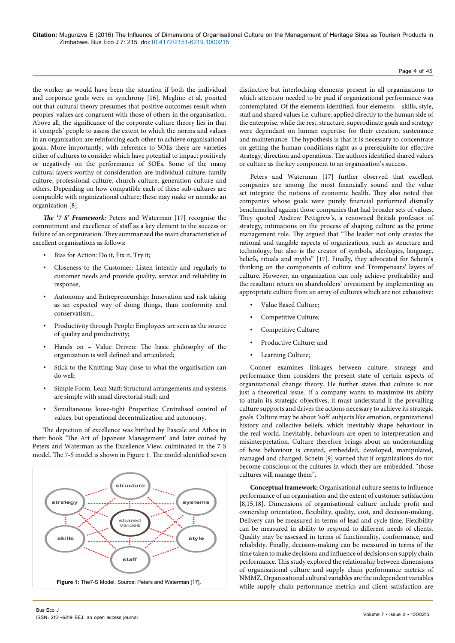the worker as would have been the situation if both the individual and corporate goals were in synchrony [16]. Meglino et al, pointed out that cultural theory presumes that positive outcomes result when peoples' values are congruent with those of others in the organisation. Above all, the significance of the corporate culture theory lies in that it 'compels' people to assess the extent to which the norms and values in an organisation are reinforcing each other to achieve organisational goals. More importantly, with reference to SOEs there are varieties either of cultures to consider which have potential to impact positively or negatively on the performance of SOEs. Some of the many cultural layers worthy of consideration are individual culture, family culture, professional culture, church culture, generation culture and others. Depending on how compatible each of these sub-cultures are compatible with organizational culture; these may make or unmake an organization [8].

*The '7 S' Framework:* Peters and Waterman [17] recognise the commitment and excellence of staff as a key element to the success or failure of an organization. They summarized the main characteristics of excellent organisations as follows:

- Bias for Action: Do it, Fix it, Try it;
- Closeness to the Customer: Listen intently and regularly to customer needs and provide quality, service and reliability in response;
- Autonomy and Entrepreneurship: Innovation and risk taking as an expected way of doing things, than conformity and conservatism.;
- Productivity through People: Employees are seen as the source of quality and productivity;
- Hands on Value Driven: The basic philosophy of the organization is well defined and articulated;
- Stick to the Knitting: Stay close to what the organisation can do well;
- Simple Form, Lean Staff: Structural arrangements and systems are simple with small directorial staff; and
- Simultaneous loose-tight Properties: Centralised control of values, but operational decentralization and autonomy.

The depiction of excellence was birthed by Pascale and Athos in their book 'The Art of Japanese Management' and later coined by Peters and Waterman as the Excellence View, culminated in the 7-S model. The 7-S model is shown in Figure 1. The model identified seven



distinctive but interlocking elements present in all organizations to which attention needed to be paid if organizational performance was contemplated. Of the elements identified, four elements – skills, style, staff and shared values i.e. culture, applied directly to the human side of the enterprise, while the rest, structure, superodinate goals and strategy were dependant on human expertise for their creation, sustenance and maintenance. The hypothesis is that it is necessary to concentrate on getting the human conditions right as a prerequisite for effective strategy, direction and operations. The authors identified shared values or culture as the key component to an organisation's success.

Peters and Waterman [17] further observed that excellent companies are among the most financially sound and the value set integrate the notions of economic health. They also noted that companies whose goals were purely financial performed dismally benchmarked against those companies that had broader sets of values. They quoted Andrew Pettigrew's, a renowned British professor of strategy, intimations on the process of shaping culture as the prime management role. Thy argued that "The leader not only creates the rational and tangible aspects of organizations, such as structure and technology, but also is the creator of symbols, ideologies, language, beliefs, rituals and myths" [17]. Finally, they advocated for Schein's thinking on the components of culture and Trompenaars' layers of culture. However, an organization can only achieve profitability and the resultant return on shareholders' investment by implementing an appropriate culture from an array of cultures which are not exhaustive:

- Value Based Culture;
- Competitive Culture;
- Competitive Culture;
- Productive Culture; and
- Learning Culture;

Conner examines linkages between culture, strategy and performance then considers the present state of certain aspects of organizational change theory. He further states that culture is not just a theoretical issue. If a company wants to maximize its ability to attain its strategic objectives, it must understand if the prevailing culture supports and drives the actions necessary to achieve its strategic goals. Culture may be about 'soft' subjects like emotion, organizational history and collective beliefs, which inevitably shape behaviour in the real world. Inevitably, behaviours are open to interpretation and misinterpretation. Culture therefore brings about an understanding of how behaviour is created, embedded, developed, manipulated, managed and changed. Schein [9] warned that if organizations do not become conscious of the cultures in which they are embedded, "those cultures will manage them".

**Conceptual framework:** Organisational culture seems to influence performance of an organisation and the extent of customer satisfaction [8,15,18]. Dimensions of organisational culture include profit and ownership orientation, flexibility, quality, cost, and decision-making. Delivery can be measured in terms of lead and cycle time. Flexibility can be measured in ability to respond to different needs of clients. Quality may be assessed in terms of functionality, conformance, and reliability. Finally, decision-making can be measured in terms of the time taken to make decisions and influence of decisions on supply chain performance. This study explored the relationship between dimensions of organisational culture and supply chain performance metrics of NMMZ. Organisational cultural variables are the independent variables while supply chain performance metrics and client satisfaction are

Bus Eco J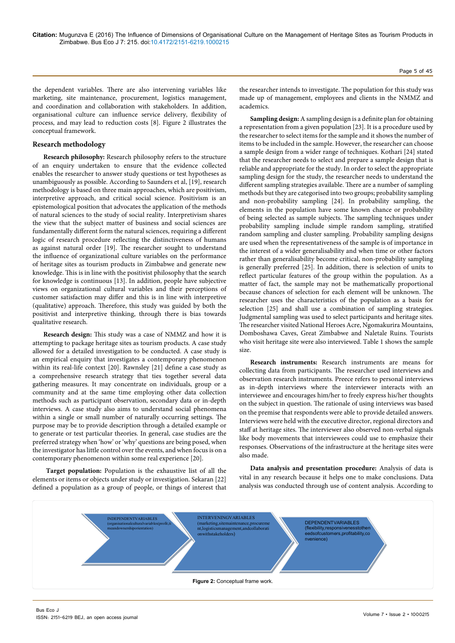the dependent variables. There are also intervening variables like marketing, site maintenance, procurement, logistics management, and coordination and collaboration with stakeholders. In addition, organisational culture can influence service delivery, flexibility of process, and may lead to reduction costs [8]. Figure 2 illustrates the conceptual framework.

### **Research methodology**

**Research philosophy:** Research philosophy refers to the structure of an enquiry undertaken to ensure that the evidence collected enables the researcher to answer study questions or test hypotheses as unambiguously as possible. According to Saunders et al, [19], research methodology is based on three main approaches, which are positivism, interpretive approach, and critical social science. Positivism is an epistemological position that advocates the application of the methods of natural sciences to the study of social reality. Interpretivism shares the view that the subject matter of business and social sciences are fundamentally different form the natural sciences, requiring a different logic of research procedure reflecting the distinctiveness of humans as against natural order [19]. The researcher sought to understand the influence of organizational culture variables on the performance of heritage sites as tourism products in Zimbabwe and generate new knowledge. This is in line with the positivist philosophy that the search for knowledge is continuous [13]. In addition, people have subjective views on organizational cultural variables and their perceptions of customer satisfaction may differ and this is in line with interpretive (qualitative) approach. Therefore, this study was guided by both the positivist and interpretive thinking, through there is bias towards qualitative research.

**Research design:** This study was a case of NMMZ and how it is attempting to package heritage sites as tourism products. A case study allowed for a detailed investigation to be conducted. A case study is an empirical enquiry that investigates a contemporary phenomenon within its real-life context [20]. Rawnsley [21] define a case study as a comprehensive research strategy that ties together several data gathering measures. It may concentrate on individuals, group or a community and at the same time employing other data collection methods such as participant observation, secondary data or in-depth interviews. A case study also aims to understand social phenomena within a single or small number of naturally occurring settings. The purpose may be to provide description through a detailed example or to generate or test particular theories. In general, case studies are the preferred strategy when 'how' or 'why' questions are being posed, when the investigator has little control over the events, and when focus is on a contemporary phenomenon within some real experience [20].

 **Target population:** Population is the exhaustive list of all the elements or items or objects under study or investigation. Sekaran [22] defined a population as a group of people, or things of interest that

the researcher intends to investigate. The population for this study was made up of management, employees and clients in the NMMZ and academics.

**Sampling design:** A sampling design is a definite plan for obtaining a representation from a given population [23]. It is a procedure used by the researcher to select items for the sample and it shows the number of items to be included in the sample. However, the researcher can choose a sample design from a wider range of techniques. Kothari [24] stated that the researcher needs to select and prepare a sample design that is reliable and appropriate for the study. In order to select the appropriate sampling design for the study, the researcher needs to understand the different sampling strategies available. There are a number of sampling methods but they are categorised into two groups; probability sampling and non-probability sampling [24]. In probability sampling, the elements in the population have some known chance or probability of being selected as sample subjects. The sampling techniques under probability sampling include simple random sampling, stratified random sampling and cluster sampling. Probability sampling designs are used when the representativeness of the sample is of importance in the interest of a wider generalisability and when time or other factors rather than generalisability become critical, non-probability sampling is generally preferred [25]. In addition, there is selection of units to reflect particular features of the group within the population. As a matter of fact, the sample may not be mathematically proportional because chances of selection for each element will be unknown. The researcher uses the characteristics of the population as a basis for selection [25] and shall use a combination of sampling strategies. Judgmental sampling was used to select participants and heritage sites. The researcher visited National Heroes Acre, Ngomakurira Mountains, Domboshawa Caves, Great Zimbabwe and Naletale Ruins. Tourists who visit heritage site were also interviewed. Table 1 shows the sample size.

**Research instruments:** Research instruments are means for collecting data from participants. The researcher used interviews and observation research instruments. Preece refers to personal interviews as in-depth interviews where the interviewer interacts with an interviewee and encourages him/her to freely express his/her thoughts on the subject in question. The rationale of using interviews was based on the premise that respondents were able to provide detailed answers. Interviews were held with the executive director, regional directors and staff at heritage sites. The interviewer also observed non-verbal signals like body movements that interviewees could use to emphasize their responses. Observations of the infrastructure at the heritage sites were also made.

**Data analysis and presentation procedure:** Analysis of data is vital in any research because it helps one to make conclusions. Data analysis was conducted through use of content analysis. According to

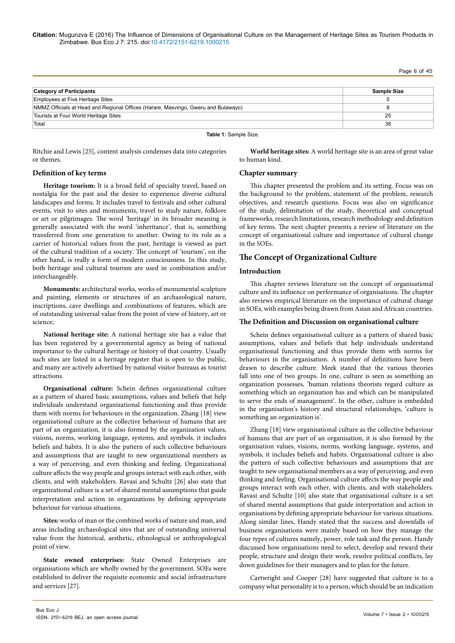Page 6 of 45

| <b>Category of Participants</b>                                                    | Sample Size |
|------------------------------------------------------------------------------------|-------------|
| Employees at Five Heritage Sites                                                   |             |
| NMMZ Officials at Head and Regional Offices (Harare, Masvingo, Gweru and Bulawayo) |             |
| Tourists at Four World Heritage Sites                                              | 25          |
| Total                                                                              | 38          |

#### **Table 1:** Sample Size.

Ritchie and Lewis [25], content analysis condenses data into categories or themes.

**World heritage sites:** A world heritage site is an area of great value to human kind.

### **Definition of key terms**

**Heritage tourism:** It is a broad field of specialty travel, based on nostalgia for the past and the desire to experience diverse cultural landscapes and forms. It includes travel to festivals and other cultural events, visit to sites and monuments, travel to study nature, folklore or art or pilgrimages. The word 'heritage' in its broader meaning is generally associated with the word 'inheritance', that is, something transferred from one generation to another. Owing to its role as a carrier of historical values from the past, heritage is viewed as part of the cultural tradition of a society. The concept of 'tourism', on the other hand, is really a form of modern consciousness. In this study, both heritage and cultural tourism are used in combination and/or interchangeably.

**Monuments:** architectural works, works of monumental sculpture and painting, elements or structures of an archaeological nature, inscriptions, cave dwellings and combinations of features, which are of outstanding universal value from the point of view of history, art or science;

**National heritage site:** A national heritage site has a value that has been registered by a governmental agency as being of national importance to the cultural heritage or history of that country. Usually such sites are listed in a heritage register that is open to the public, and many are actively advertised by national visitor bureaus as tourist attractions.

**Organisational culture:** Schein defines organizational culture as a pattern of shared basic assumptions, values and beliefs that help individuals understand organizational functioning and thus provide them with norms for behaviours in the organization. Zhang [18] view organizational culture as the collective behaviour of humans that are part of an organization, it is also formed by the organization values, visions, norms, working language, systems, and symbols, it includes beliefs and habits. It is also the pattern of such collective behaviours and assumptions that are taught to new organizational members as a way of perceiving, and even thinking and feeling. Organizational culture affects the way people and groups interact with each other, with clients, and with stakeholders. Ravasi and Schultz [26] also state that organizational culture is a set of shared mental assumptions that guide interpretation and action in organizations by defining appropriate behaviour for various situations.

**Sites:** works of man or the combined works of nature and man, and areas including archaeological sites that are of outstanding universal value from the historical, aesthetic, ethnological or anthropological point of view.

**State owned enterprises:** State Owned Enterprises are organisations which are wholly owned by the government. SOEs were established to deliver the requisite economic and social infrastructure and services [27].

# **Chapter summary**

This chapter presented the problem and its setting. Focus was on the background to the problem, statement of the problem, research objectives, and research questions. Focus was also on significance of the study, delimitation of the study, theoretical and conceptual frameworks, research limitations, research methodology and definition of key terms. The next chapter presents a review of literature on the concept of organisational culture and importance of cultural change in the SOEs.

# **The Concept of Organizational Culture**

# **Introduction**

This chapter reviews literature on the concept of organisational culture and its influence on performance of organisations. The chapter also reviews empirical literature on the importance of cultural change in SOEs, with examples being drawn from Asian and African countries.

#### **The Definition and Discussion on organisational culture**

Schein defines organisational culture as a pattern of shared basic assumptions, values and beliefs that help individuals understand organisational functioning and thus provide them with norms for behaviours in the organisation. A number of definitions have been drawn to describe culture. Meek stated that the various theories fall into one of two groups. In one, culture is seen as something an organization possesses, 'human relations theorists regard culture as something which an organization has and which can be manipulated to serve the ends of management'. In the other, culture is embedded in the organisation's history and structural relationships, 'culture is something an organization is'.

Zhang [18] view organisational culture as the collective behaviour of humans that are part of an organisation, it is also formed by the organisation values, visions, norms, working language, systems, and symbols, it includes beliefs and habits. Organisational culture is also the pattern of such collective behaviours and assumptions that are taught to new organisational members as a way of perceiving, and even thinking and feeling. Organisational culture affects the way people and groups interact with each other, with clients, and with stakeholders. Ravasi and Schultz [10] also state that organisational culture is a set of shared mental assumptions that guide interpretation and action in organisations by defining appropriate behaviour for various situations. Along similar lines, Handy stated that the success and downfalls of business organisations were mainly based on how they manage the four types of cultures namely, power, role task and the person. Handy discussed how organisations need to select, develop and reward their people, structure and design their work, resolve political conflicts, lay down guidelines for their managers and to plan for the future.

Cartwright and Cooper [28] have suggested that culture is to a company what personality is to a person, which should be an indication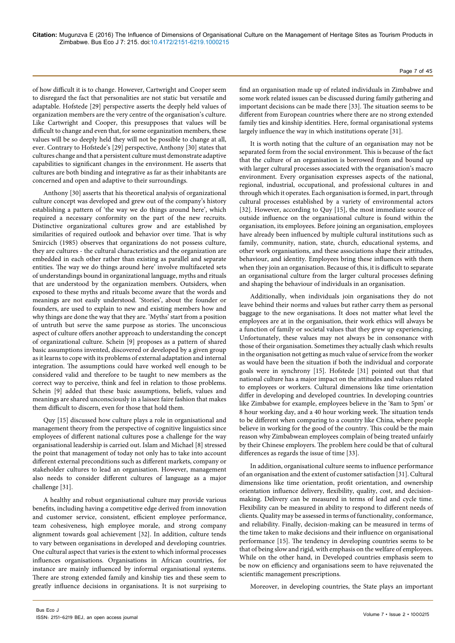of how difficult it is to change. However, Cartwright and Cooper seem to disregard the fact that personalities are not static but versatile and adaptable. Hofstede [29] perspective asserts the deeply held values of organization members are the very centre of the organisation's culture. Like Cartwright and Cooper, this presupposes that values will be difficult to change and even that, for some organization members, these values will be so deeply held they will not be possible to change at all, ever. Contrary to Hofstede's [29] perspective, Anthony [30] states that cultures change and that a persistent culture must demonstrate adaptive capabilities to significant changes in the environment. He asserts that cultures are both binding and integrative as far as their inhabitants are concerned and open and adaptive to their surroundings.

Anthony [30] asserts that his theoretical analysis of organizational culture concept was developed and grew out of the company's history establishing a pattern of 'the way we do things around here', which required a necessary conformity on the part of the new recruits. Distinctive organizational cultures grow and are established by similarities of required outlook and behavior over time. That is why Smircich (1985) observes that organizations do not possess culture, they are cultures - the cultural characteristics and the organization are embedded in each other rather than existing as parallel and separate entities. The way we do things around here' involve multifaceted sets of understandings bound in organizational language, myths and rituals that are understood by the organization members. Outsiders, when exposed to these myths and rituals become aware that the words and meanings are not easily understood. 'Stories', about the founder or founders, are used to explain to new and existing members how and why things are done the way that they are. 'Myths' start from a position of untruth but serve the same purpose as stories. The unconscious aspect of culture offers another approach to understanding the concept of organizational culture. Schein [9] proposes as a pattern of shared basic assumptions invented, discovered or developed by a given group as it learns to cope with its problems of external adaptation and internal integration. The assumptions could have worked well enough to be considered valid and therefore to be taught to new members as the correct way to perceive, think and feel in relation to those problems. Schein [9] added that these basic assumptions, beliefs, values and meanings are shared unconsciously in a laissez faire fashion that makes them difficult to discern, even for those that hold them.

Quy [15] discussed how culture plays a role in organisational and management theory from the perspective of cognitive linguistics since employees of different national cultures pose a challenge for the way organisational leadership is carried out. Islam and Michael [8] stressed the point that management of today not only has to take into account different external preconditions such as different markets, company or stakeholder cultures to lead an organisation. However, management also needs to consider different cultures of language as a major challenge [31].

A healthy and robust organisational culture may provide various benefits, including having a competitive edge derived from innovation and customer service, consistent, efficient employee performance, team cohesiveness, high employee morale, and strong company alignment towards goal achievement [32]. In addition, culture tends to vary between organisations in developed and developing countries. One cultural aspect that varies is the extent to which informal processes influences organisations. Organisations in African countries, for instance are mainly influenced by informal organisational systems. There are strong extended family and kinship ties and these seem to greatly influence decisions in organisations. It is not surprising to

find an organisation made up of related individuals in Zimbabwe and some work related issues can be discussed during family gathering and important decisions can be made there [33]. The situation seems to be different from European countries where there are no strong extended family ties and kinship identities. Here, formal organisational systems largely influence the way in which institutions operate [31].

It is worth noting that the culture of an organisation may not be separated form from the social environment. This is because of the fact that the culture of an organisation is borrowed from and bound up with larger cultural processes associated with the organisation's macro environment. Every organisation expresses aspects of the national, regional, industrial, occupational, and professional cultures in and through which it operates. Each organisation is formed, in part, through cultural processes established by a variety of environmental actors [32]. However, according to Quy [15], the most immediate source of outside influence on the organisational culture is found within the organisation, its employees. Before joining an organisation, employees have already been influenced by multiple cultural institutions such as family, community, nation, state, church, educational systems, and other work organisations, and these associations shape their attitudes, behaviour, and identity. Employees bring these influences with them when they join an organisation. Because of this, it is difficult to separate an organisational culture from the larger cultural processes defining and shaping the behaviour of individuals in an organisation.

Additionally, when individuals join organisations they do not leave behind their norms and values but rather carry them as personal baggage to the new organisations. It does not matter what level the employees are at in the organisation, their work ethics will always be a function of family or societal values that they grew up experiencing. Unfortunately, these values may not always be in consonance with those of their organisation. Sometimes they actually clash which results in the organisation not getting as much value of service from the worker as would have been the situation if both the individual and corporate goals were in synchrony [15]. Hofstede [31] pointed out that that national culture has a major impact on the attitudes and values related to employees or workers. Cultural dimensions like time orientation differ in developing and developed countries. In developing countries like Zimbabwe for example, employees believe in the '8am to 5pm' or 8 hour working day, and a 40 hour working week. The situation tends to be different when comparing to a country like China, where people believe in working for the good of the country. This could be the main reason why Zimbabwean employees complain of being treated unfairly by their Chinese employers. The problem here could be that of cultural differences as regards the issue of time [33].

In addition, organisational culture seems to influence performance of an organisation and the extent of customer satisfaction [31]. Cultural dimensions like time orientation, profit orientation, and ownership orientation influence delivery, flexibility, quality, cost, and decisionmaking. Delivery can be measured in terms of lead and cycle time. Flexibility can be measured in ability to respond to different needs of clients. Quality may be assessed in terms of functionality, conformance, and reliability. Finally, decision-making can be measured in terms of the time taken to make decisions and their influence on organisational performance [15]. The tendency in developing countries seems to be that of being slow and rigid, with emphasis on the welfare of employees. While on the other hand, in Developed countries emphasis seem to be now on efficiency and organisations seem to have rejuvenated the scientific management prescriptions.

Moreover, in developing countries, the State plays an important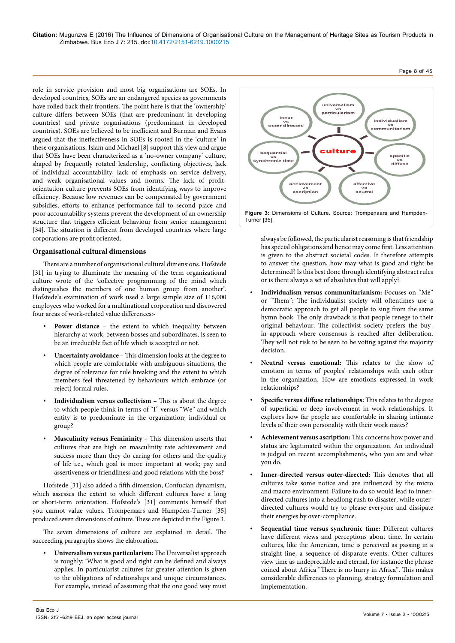role in service provision and most big organisations are SOEs. In developed countries, SOEs are an endangered species as governments have rolled back their frontiers. The point here is that the 'ownership' culture differs between SOEs (that are predominant in developing countries) and private organisations (predominant in developed countries). SOEs are believed to be inefficient and Burman and Evans argued that the ineffectiveness in SOEs is rooted in the 'culture' in these organisations. Islam and Michael [8] support this view and argue that SOEs have been characterized as a 'no-owner company' culture, shaped by frequently rotated leadership, conflicting objectives, lack of individual accountability, lack of emphasis on service delivery, and weak organisational values and norms. The lack of profitorientation culture prevents SOEs from identifying ways to improve efficiency. Because low revenues can be compensated by government subsidies, efforts to enhance performance fall to second place and poor accountability systems prevent the development of an ownership structure that triggers efficient behaviour from senior management [34]. The situation is different from developed countries where large corporations are profit oriented.

# **Organisational cultural dimensions**

There are a number of organisational cultural dimensions. Hofstede [31] in trying to illuminate the meaning of the term organizational culture wrote of the 'collective programming of the mind which distinguishes the members of one human group from another'. Hofstede's examination of work used a large sample size of 116,000 employees who worked for a multinational corporation and discovered four areas of work-related value differences:-

- Power distance the extent to which inequality between hierarchy at work, between bosses and subordinates, is seen to be an irreducible fact of life which is accepted or not.
- **Uncertainty avoidance –** This dimension looks at the degree to which people are comfortable with ambiguous situations, the degree of tolerance for rule breaking and the extent to which members feel threatened by behaviours which embrace (or reject) formal rules.
- **Individualism versus collectivism –** This is about the degree to which people think in terms of "I" versus "We" and which entity is to predominate in the organization; individual or group?
- **Masculinity versus Femininity –** This dimension asserts that cultures that are high on masculinity rate achievement and success more than they do caring for others and the quality of life i.e., which goal is more important at work; pay and assertiveness or friendliness and good relations with the boss?

Hofstede [31] also added a fifth dimension, Confucian dynamism, which assesses the extent to which different cultures have a long or short-term orientation. Hofstede's [31] comments himself that you cannot value values. Trompenaars and Hampden-Turner [35] produced seven dimensions of culture. These are depicted in the Figure 3.

The seven dimensions of culture are explained in detail. The succeeding paragraphs shows the elaboration.

• **Universalism versus particularism:** The Universalist approach is roughly: 'What is good and right can be defined and always applies. In particularist cultures far greater attention is given to the obligations of relationships and unique circumstances. For example, instead of assuming that the one good way must



always be followed, the particularist reasoning is that friendship has special obligations and hence may come first. Less attention is given to the abstract societal codes. It therefore attempts to answer the question, how may what is good and right be determined? Is this best done through identifying abstract rules or is there always a set of absolutes that will apply?

- **Individualism versus communitarianism:** Focuses on "Me" or "Them": The individualist society will oftentimes use a democratic approach to get all people to sing from the same hymn book. The only drawback is that people renege to their original behaviour. The collectivist society prefers the buyin approach where consensus is reached after deliberation. They will not risk to be seen to be voting against the majority decision.
- **Neutral versus emotional:** This relates to the show of emotion in terms of peoples' relationships with each other in the organization. How are emotions expressed in work relationships?
- **Specific versus diffuse relationships:** This relates to the degree of superficial or deep involvement in work relationships. It explores how far people are comfortable in sharing intimate levels of their own personality with their work mates?
- **Achievement versus ascription:** This concerns how power and status are legitimated within the organization. An individual is judged on recent accomplishments, who you are and what you do.
- **Inner-directed versus outer-directed:** This denotes that all cultures take some notice and are influenced by the micro and macro environment. Failure to do so would lead to innerdirected cultures into a headlong rush to disaster, while outerdirected cultures would try to please everyone and dissipate their energies by over-compliance.
- **Sequential time versus synchronic time:** Different cultures have different views and perceptions about time. In certain cultures, like the American, time is perceived as passing in a straight line, a sequence of disparate events. Other cultures view time as undepreciable and eternal, for instance the phrase coined about Africa "There is no hurry in Africa". This makes considerable differences to planning, strategy formulation and implementation.

# Page 8 of 45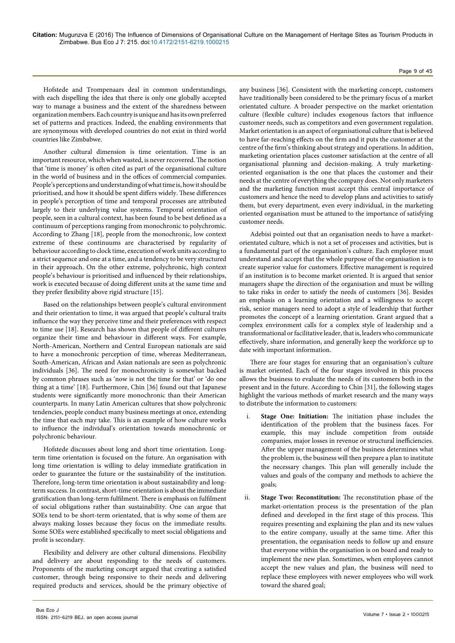#### Page 9 of 45

Hofstede and Trompenaars deal in common understandings, with each dispelling the idea that there is only one globally accepted way to manage a business and the extent of the sharedness between organization members. Each country is unique and has its own preferred set of patterns and practices. Indeed, the enabling environments that are synonymous with developed countries do not exist in third world countries like Zimbabwe.

Another cultural dimension is time orientation. Time is an important resource, which when wasted, is never recovered. The notion that 'time is money' is often cited as part of the organisational culture in the world of business and in the offices of commercial companies. People's perceptions and understanding of what time is, how it should be prioritised, and how it should be spent differs widely. These differences in people's perception of time and temporal processes are attributed largely to their underlying value systems. Temporal orientation of people, seen in a cultural context, has been found to be best defined as a continuum of perceptions ranging from monochronic to polychromic. According to Zhang [18], people from the monochronic, low context extreme of these continuums are characterised by regularity of behaviour according to clock time, execution of work units according to a strict sequence and one at a time, and a tendency to be very structured in their approach. On the other extreme, polychronic, high context people's behaviour is prioritised and influenced by their relationships, work is executed because of doing different units at the same time and they prefer flexibility above rigid structure [15].

Based on the relationships between people's cultural environment and their orientation to time, it was argued that people's cultural traits influence the way they perceive time and their preferences with respect to time use [18]. Research has shown that people of different cultures organize their time and behaviour in different ways. For example, North-American, Northern and Central European nationals are said to have a monochronic perception of time, whereas Mediterranean, South-American, African and Asian nationals are seen as polychronic individuals [36]. The need for monochronicity is somewhat backed by common phrases such as 'now is not the time for that' or 'do one thing at a time' [18]. Furthermore, Chin [36] found out that Japanese students were significantly more monochronic than their American counterparts. In many Latin American cultures that show polychronic tendencies, people conduct many business meetings at once, extending the time that each may take. This is an example of how culture works to influence the individual's orientation towards monochronic or polychronic behaviour.

Hofstede discusses about long and short time orientation. Longterm time orientation is focused on the future. An organisation with long time orientation is willing to delay immediate gratification in order to guarantee the future or the sustainability of the institution. Therefore, long-term time orientation is about sustainability and longterm success. In contrast, short-time orientation is about the immediate gratification than long-term fulfilment. There is emphasis on fulfilment of social obligations rather than sustainability. One can argue that SOEs tend to be short-term orientated, that is why some of them are always making losses because they focus on the immediate results. Some SOEs were established specifically to meet social obligations and profit is secondary.

Flexibility and delivery are other cultural dimensions. Flexibility and delivery are about responding to the needs of customers. Proponents of the marketing concept argued that creating a satisfied customer, through being responsive to their needs and delivering required products and services, should be the primary objective of any business [36]. Consistent with the marketing concept, customers have traditionally been considered to be the primary focus of a market orientated culture. A broader perspective on the market orientation culture (flexible culture) includes exogenous factors that influence customer needs, such as competitors and even government regulation. Market orientation is an aspect of organisational culture that is believed to have far-reaching effects on the firm and it puts the customer at the centre of the firm's thinking about strategy and operations. In addition, marketing orientation places customer satisfaction at the centre of all organisational planning and decision-making. A truly marketingoriented organisation is the one that places the customer and their needs at the centre of everything the company does. Not only marketers and the marketing function must accept this central importance of customers and hence the need to develop plans and activities to satisfy them, but every department, even every individual, in the marketing oriented organisation must be attuned to the importance of satisfying customer needs.

Adebisi pointed out that an organisation needs to have a marketorientated culture, which is not a set of processes and activities, but is a fundamental part of the organisation's culture. Each employee must understand and accept that the whole purpose of the organisation is to create superior value for customers. Effective management is required if an institution is to become market oriented. It is argued that senior managers shape the direction of the organisation and must be willing to take risks in order to satisfy the needs of customers [36]. Besides an emphasis on a learning orientation and a willingness to accept risk, senior managers need to adopt a style of leadership that further promotes the concept of a learning orientation. Grant argued that a complex environment calls for a complex style of leadership and a transformational or facilitative leader, that is, leaders who communicate effectively, share information, and generally keep the workforce up to date with important information.

There are four stages for ensuring that an organisation's culture is market oriented. Each of the four stages involved in this process allows the business to evaluate the needs of its customers both in the present and in the future. According to Chin [31], the following stages highlight the various methods of market research and the many ways to distribute the information to customers:

- Stage One: Initiation: The initiation phase includes the identification of the problem that the business faces. For example, this may include competition from outside companies, major losses in revenue or structural inefficiencies. After the upper management of the business determines what the problem is, the business will then prepare a plan to institute the necessary changes. This plan will generally include the values and goals of the company and methods to achieve the goals;
- ii. **Stage Two: Reconstitution:** The reconstitution phase of the market-orientation process is the presentation of the plan defined and developed in the first stage of this process. This requires presenting and explaining the plan and its new values to the entire company, usually at the same time. After this presentation, the organisation needs to follow up and ensure that everyone within the organisation is on board and ready to implement the new plan. Sometimes, when employees cannot accept the new values and plan, the business will need to replace these employees with newer employees who will work toward the shared goal;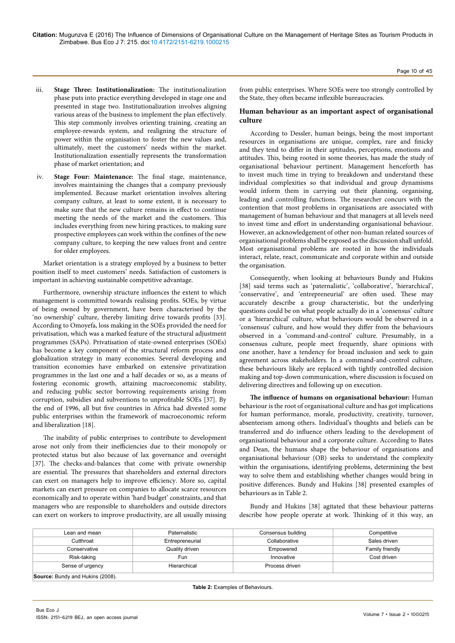**Citation:** Mugunzva E (2016) The Influence of Dimensions of Organisational Culture on the Management of Heritage Sites as Tourism Products in Zimbabwe. Bus Eco J 7: 215. doi:10.4172/2151-6219.1000215

- iii. **Stage Three: Institutionalization:** The institutionalization phase puts into practice everything developed in stage one and presented in stage two. Institutionalization involves aligning various areas of the business to implement the plan effectively. This step commonly involves orienting training, creating an employee-rewards system, and realigning the structure of power within the organisation to foster the new values and, ultimately, meet the customers' needs within the market. Institutionalization essentially represents the transformation phase of market orientation; and
- iv. **Stage Four: Maintenance:** The final stage, maintenance, involves maintaining the changes that a company previously implemented. Because market orientation involves altering company culture, at least to some extent, it is necessary to make sure that the new culture remains in effect to continue meeting the needs of the market and the customers. This includes everything from new hiring practices, to making sure prospective employees can work within the confines of the new company culture, to keeping the new values front and centre for older employees.

Market orientation is a strategy employed by a business to better position itself to meet customers' needs. Satisfaction of customers is important in achieving sustainable competitive advantage.

Furthermore, ownership structure influences the extent to which management is committed towards realising profits. SOEs, by virtue of being owned by government, have been characterised by the 'no ownership' culture, thereby limiting drive towards profits [33]. According to Omoyefa, loss making in the SOEs provided the need for privatisation, which was a marked feature of the structural adjustment programmes (SAPs). Privatisation of state-owned enterprises (SOEs) has become a key component of the structural reform process and globalization strategy in many economies. Several developing and transition economies have embarked on extensive privatization programmes in the last one and a half decades or so, as a means of fostering economic growth, attaining macroeconomic stability, and reducing public sector borrowing requirements arising from corruption, subsidies and subventions to unprofitable SOEs [37]. By the end of 1996, all but five countries in Africa had divested some public enterprises within the framework of macroeconomic reform and liberalization [18].

The inability of public enterprises to contribute to development arose not only from their inefficiencies due to their monopoly or protected status but also because of lax governance and oversight [37]. The checks-and-balances that come with private ownership are essential. The pressures that shareholders and external directors can exert on managers help to improve efficiency. More so, capital markets can exert pressure on companies to allocate scarce resources economically and to operate within 'hard budget' constraints, and that managers who are responsible to shareholders and outside directors can exert on workers to improve productivity, are all usually missing

from public enterprises. Where SOEs were too strongly controlled by the State, they often became inflexible bureaucracies.

# **Human behaviour as an important aspect of organisational culture**

According to Dessler, human beings, being the most important resources in organisations are unique, complex, rare and finicky and they tend to differ in their aptitudes, perceptions, emotions and attitudes. This, being rooted in some theories, has made the study of organisational behaviour pertinent. Management henceforth has to invest much time in trying to breakdown and understand these individual complexities so that individual and group dynamisms would inform them in carrying out their planning, organising, leading and controlling functions. The researcher concurs with the contention that most problems in organisations are associated with management of human behaviour and that managers at all levels need to invest time and effort in understanding organisational behaviour. However, an acknowledgement of other non-human related sources of organisational problems shall be exposed as the discussion shall unfold. Most organisational problems are rooted in how the individuals interact, relate, react, communicate and corporate within and outside the organisation.

Consequently, when looking at behaviours Bundy and Hukins [38] said terms such as 'paternalistic', 'collaborative', 'hierarchical', 'conservative', and 'entrepreneurial' are often used. These may accurately describe a group characteristic, but the underlying questions could be on what people actually do in a 'consensus' culture or a 'hierarchical' culture, what behaviours would be observed in a 'consensus' culture, and how would they differ from the behaviours observed in a 'command-and-control' culture. Presumably, in a consensus culture, people meet frequently, share opinions with one another, have a tendency for broad inclusion and seek to gain agreement across stakeholders. In a command-and-control culture, these behaviours likely are replaced with tightly controlled decision making and top-down communication, where discussion is focused on delivering directives and following up on execution.

**The influence of humans on organisational behaviour:** Human behaviour is the root of organisational culture and has got implications for human performance, morale, productivity, creativity, turnover, absenteeism among others. Individual's thoughts and beliefs can be transferred and do influence others leading to the development of organisational behaviour and a corporate culture. According to Bates and Dean, the humans shape the behaviour of organisations and organisational behaviour (OB) seeks to understand the complexity within the organisations, identifying problems, determining the best way to solve them and establishing whether changes would bring in positive differences. Bundy and Hukins [38] presented examples of behaviours as in Table 2.

Bundy and Hukins [38] agitated that these behaviour patterns describe how people operate at work. Thinking of it this way, an

| Lean and mean                           | Paternalistic   | Consensus building | Competitive     |
|-----------------------------------------|-----------------|--------------------|-----------------|
| Cutthroat                               | Entrepreneurial | Collaborative      | Sales driven    |
| Conservative                            | Quality driven  | Empowered          | Family friendly |
| Risk-taking                             | Fun             | Innovative         | Cost driven     |
| Sense of urgency                        | Hierarchical    | Process driven     |                 |
| <b>Source: Bundy and Hukins (2008).</b> |                 |                    |                 |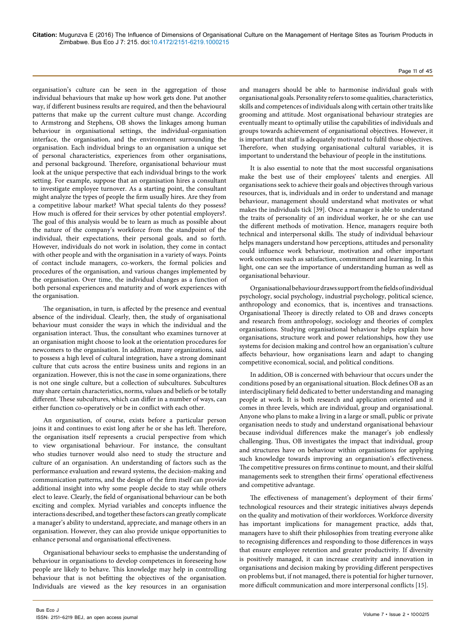organisation's culture can be seen in the aggregation of those individual behaviours that make up how work gets done. Put another way, if different business results are required, and then the behavioural patterns that make up the current culture must change. According to Armstrong and Stephens, OB shows the linkages among human behaviour in organisational settings, the individual-organisation interface, the organisation, and the environment surrounding the organisation. Each individual brings to an organisation a unique set of personal characteristics, experiences from other organisations, and personal background. Therefore, organisational behaviour must look at the unique perspective that each individual brings to the work setting. For example, suppose that an organisation hires a consultant to investigate employee turnover. As a starting point, the consultant might analyze the types of people the firm usually hires. Are they from a competitive labour market? What special talents do they possess? How much is offered for their services by other potential employers?. The goal of this analysis would be to learn as much as possible about the nature of the company's workforce from the standpoint of the individual, their expectations, their personal goals, and so forth. However, individuals do not work in isolation, they come in contact with other people and with the organisation in a variety of ways. Points of contact include managers, co-workers, the formal policies and procedures of the organisation, and various changes implemented by the organisation. Over time, the individual changes as a function of both personal experiences and maturity and of work experiences with the organisation.

The organisation, in turn, is affected by the presence and eventual absence of the individual. Clearly, then, the study of organisational behaviour must consider the ways in which the individual and the organisation interact. Thus, the consultant who examines turnover at an organisation might choose to look at the orientation procedures for newcomers to the organisation. In addition, many organizations, said to possess a high level of cultural integration, have a strong dominant culture that cuts across the entire business units and regions in an organization. However, this is not the case in some organizations, there is not one single culture, but a collection of subcultures. Subcultures may share certain characteristics, norms, values and beliefs or be totally different. These subcultures, which can differ in a number of ways, can either function co-operatively or be in conflict with each other.

An organisation, of course, exists before a particular person joins it and continues to exist long after he or she has left. Therefore, the organisation itself represents a crucial perspective from which to view organisational behaviour. For instance, the consultant who studies turnover would also need to study the structure and culture of an organisation. An understanding of factors such as the performance evaluation and reward systems, the decision-making and communication patterns, and the design of the firm itself can provide additional insight into why some people decide to stay while others elect to leave. Clearly, the field of organisational behaviour can be both exciting and complex. Myriad variables and concepts influence the interactions described, and together these factors can greatly complicate a manager's ability to understand, appreciate, and manage others in an organisation. However, they can also provide unique opportunities to enhance personal and organisational effectiveness.

Organisational behaviour seeks to emphasise the understanding of behaviour in organisations to develop competences in foreseeing how people are likely to behave. This knowledge may help in controlling behaviour that is not befitting the objectives of the organisation. Individuals are viewed as the key resources in an organisation and managers should be able to harmonise individual goals with organisational goals. Personality refers to some qualities, characteristics, skills and competences of individuals along with certain other traits like grooming and attitude. Most organisational behaviour strategies are eventually meant to optimally utilise the capabilities of individuals and groups towards achievement of organisational objectives. However, it is important that staff is adequately motivated to fulfil those objectives. Therefore, when studying organisational cultural variables, it is important to understand the behaviour of people in the institutions.

It is also essential to note that the most successful organisations make the best use of their employees' talents and energies. All organisations seek to achieve their goals and objectives through various resources, that is, individuals and in order to understand and manage behaviour, management should understand what motivates or what makes the individuals tick [39]. Once a manager is able to understand the traits of personality of an individual worker, he or she can use the different methods of motivation. Hence, managers require both technical and interpersonal skills. The study of individual behaviour helps managers understand how perceptions, attitudes and personality could influence work behaviour, motivation and other important work outcomes such as satisfaction, commitment and learning. In this light, one can see the importance of understanding human as well as organisational behaviour.

Organisational behaviour draws support from the fields of individual psychology, social psychology, industrial psychology, political science, anthropology and economics, that is, incentives and transactions. Organisational Theory is directly related to OB and draws concepts and research from anthropology, sociology and theories of complex organisations. Studying organisational behaviour helps explain how organisations, structure work and power relationships, how they use systems for decision making and control how an organisation's culture affects behaviour, how organisations learn and adapt to changing competitive economical, social, and political conditions.

In addition, OB is concerned with behaviour that occurs under the conditions posed by an organisational situation. Block defines OB as an interdisciplinary field dedicated to better understanding and managing people at work. It is both research and application oriented and it comes in three levels, which are individual, group and organisational. Anyone who plans to make a living in a large or small, public or private organisation needs to study and understand organisational behaviour because individual differences make the manager's job endlessly challenging. Thus, OB investigates the impact that individual, group and structures have on behaviour within organisations for applying such knowledge towards improving an organisation's effectiveness. The competitive pressures on firms continue to mount, and their skilful managements seek to strengthen their firms' operational effectiveness and competitive advantage.

The effectiveness of management's deployment of their firms' technological resources and their strategic initiatives always depends on the quality and motivation of their workforces. Workforce diversity has important implications for management practice, adds that, managers have to shift their philosophies from treating everyone alike to recognising differences and responding to those differences in ways that ensure employee retention and greater productivity. If diversity is positively managed, it can increase creativity and innovation in organisations and decision making by providing different perspectives on problems but, if not managed, there is potential for higher turnover, more difficult communication and more interpersonal conflicts [15].

#### Page 11 of 45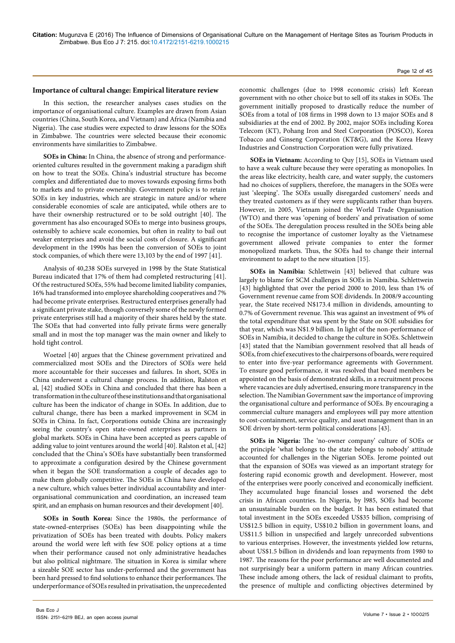# **Importance of cultural change: Empirical literature review**

In this section, the researcher analyses cases studies on the importance of organisational culture. Examples are drawn from Asian countries (China, South Korea, and Vietnam) and Africa (Namibia and Nigeria). The case studies were expected to draw lessons for the SOEs in Zimbabwe. The countries were selected because their economic environments have similarities to Zimbabwe.

**SOEs in China:** In China, the absence of strong and performanceoriented cultures resulted in the government making a paradigm shift on how to treat the SOEs. China's industrial structure has become complex and differentiated due to moves towards exposing firms both to markets and to private ownership. Government policy is to retain SOEs in key industries, which are strategic in nature and/or where considerable economies of scale are anticipated, while others are to have their ownership restructured or to be sold outright [40]. The government has also encouraged SOEs to merge into business groups, ostensibly to achieve scale economies, but often in reality to bail out weaker enterprises and avoid the social costs of closure. A significant development in the 1990s has been the conversion of SOEs to joint stock companies, of which there were 13,103 by the end of 1997 [41].

Analysis of 40,238 SOEs surveyed in 1998 by the State Statistical Bureau indicated that 17% of them had completed restructuring [41]. Of the restructured SOEs, 55% had become limited liability companies, 16% had transformed into employee shareholding cooperatives and 7% had become private enterprises. Restructured enterprises generally had a significant private stake, though conversely some of the newly formed private enterprises still had a majority of their shares held by the state. The SOEs that had converted into fully private firms were generally small and in most the top manager was the main owner and likely to hold tight control.

Woetzel [40] argues that the Chinese government privatized and commercialized most SOEs and the Directors of SOEs were held more accountable for their successes and failures. In short, SOEs in China underwent a cultural change process. In addition, Ralston et al, [42] studied SOEs in China and concluded that there has been a transformation in the culture of these institutions and that organisational culture has been the indicator of change in SOEs. In addition, due to cultural change, there has been a marked improvement in SCM in SOEs in China. In fact, Corporations outside China are increasingly seeing the country's open state-owned enterprises as partners in global markets. SOEs in China have been accepted as peers capable of adding value to joint ventures around the world [40]. Ralston et al, [42] concluded that the China's SOEs have substantially been transformed to approximate a configuration desired by the Chinese government when it began the SOE transformation a couple of decades ago to make them globally competitive. The SOEs in China have developed a new culture, which values better individual accountability and interorganisational communication and coordination, an increased team spirit, and an emphasis on human resources and their development [40].

**SOEs in South Korea:** Since the 1980s, the performance of state-owned-enterprises (SOEs) has been disappointing while the privatization of SOEs has been treated with doubts. Policy makers around the world were left with few SOE policy options at a time when their performance caused not only administrative headaches but also political nightmare. The situation in Korea is similar where a sizeable SOE sector has under-performed and the government has been hard pressed to find solutions to enhance their performances. The underperformance of SOEs resulted in privatisation, the unprecedented

economic challenges (due to 1998 economic crisis) left Korean government with no other choice but to sell off its stakes in SOEs. The government initially proposed to drastically reduce the number of SOEs from a total of 108 firms in 1998 down to 13 major SOEs and 8 subsidiaries at the end of 2002. By 2002, major SOEs including Korea Telecom (KT), Pohang Iron and Steel Corporation (POSCO), Korea Tobacco and Ginseng Corporation (KT&G), and the Korea Heavy Industries and Construction Corporation were fully privatized.

**SOEs in Vietnam:** According to Quy [15], SOEs in Vietnam used to have a weak culture because they were operating as monopolies. In the areas like electricity, health care, and water supply, the customers had no choices of suppliers, therefore, the managers in the SOEs were just 'sleeping'. The SOEs usually disregarded customers' needs and they treated customers as if they were supplicants rather than buyers. However, in 2005, Vietnam joined the World Trade Organisation (WTO) and there was 'opening of borders' and privatisation of some of the SOEs. The deregulation process resulted in the SOEs being able to recognise the importance of customer loyalty as the Vietnamese government allowed private companies to enter the former monopolized markets. Thus, the SOEs had to change their internal environment to adapt to the new situation [15].

**SOEs in Namibia:** Schlettwein [43] believed that culture was largely to blame for SCM challenges in SOEs in Namibia. Schlettwein [43] highlighted that over the period 2000 to 2010, less than 1% of Government revenue came from SOE dividends. In 2008/9 accounting year, the State received N\$173.4 million in dividends, amounting to 0.7% of Government revenue. This was against an investment of 9% of the total expenditure that was spent by the State on SOE subsidies for that year, which was N\$1.9 billion. In light of the non-performance of SOEs in Namibia, it decided to change the culture in SOEs. Schlettwein [43] stated that the Namibian government resolved that all heads of SOEs, from chief executives to the chairpersons of boards, were required to enter into five-year performance agreements with Government. To ensure good performance, it was resolved that board members be appointed on the basis of demonstrated skills, in a recruitment process where vacancies are duly advertised, ensuring more transparency in the selection. The Namibian Government saw the importance of improving the organisational culture and performance of SOEs. By encouraging a commercial culture managers and employees will pay more attention to cost-containment, service quality, and asset management than in an SOE driven by short-term political considerations [43].

**SOEs in Nigeria:** The 'no-owner company' culture of SOEs or the principle 'what belongs to the state belongs to nobody' attitude accounted for challenges in the Nigerian SOEs. Jerome pointed out that the expansion of SOEs was viewed as an important strategy for fostering rapid economic growth and development. However, most of the enterprises were poorly conceived and economically inefficient. They accumulated huge financial losses and worsened the debt crisis in African countries. In Nigeria, by l985, SOEs had become an unsustainable burden on the budget. It has been estimated that total investment in the SOEs exceeded US\$35 billion, comprising of US\$12.5 billion in equity, US\$10.2 billion in government loans, and US\$11.5 billion in unspecified and largely unrecorded subventions to various enterprises. However, the investments yielded low returns, about US\$1.5 billion in dividends and loan repayments from 1980 to 1987. The reasons for the poor performance are well documented and not surprisingly bear a uniform pattern in many African countries. These include among others, the lack of residual claimant to profits, the presence of multiple and conflicting objectives determined by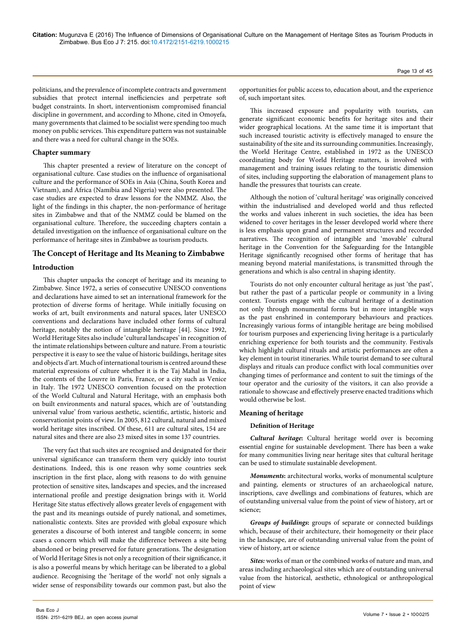politicians, and the prevalence of incomplete contracts and government subsidies that protect internal inefficiencies and perpetrate soft budget constraints. In short, interventionism compromised financial discipline in government, and according to Mhone, cited in Omoyefa, many governments that claimed to be socialist were spending too much money on public services. This expenditure pattern was not sustainable and there was a need for cultural change in the SOEs.

# **Chapter summary**

This chapter presented a review of literature on the concept of organisational culture. Case studies on the influence of organisational culture and the performance of SOEs in Asia (China, South Korea and Vietnam), and Africa (Namibia and Nigeria) were also presented. The case studies are expected to draw lessons for the NMMZ. Also, the light of the findings in this chapter, the non-performance of heritage sites in Zimbabwe and that of the NMMZ could be blamed on the organisational culture. Therefore, the succeeding chapters contain a detailed investigation on the influence of organisational culture on the performance of heritage sites in Zimbabwe as tourism products.

# **The Concept of Heritage and Its Meaning to Zimbabwe**

# **Introduction**

This chapter unpacks the concept of heritage and its meaning to Zimbabwe. Since 1972, a series of consecutive UNESCO conventions and declarations have aimed to set an international framework for the protection of diverse forms of heritage. While initially focusing on works of art, built environments and natural spaces, later UNESCO conventions and declarations have included other forms of cultural heritage, notably the notion of intangible heritage [44]. Since 1992, World Heritage Sites also include 'cultural landscapes' in recognition of the intimate relationships between culture and nature. From a touristic perspective it is easy to see the value of historic buildings, heritage sites and objects d'art. Much of international tourism is centred around these material expressions of culture whether it is the Taj Mahal in India, the contents of the Louvre in Paris, France, or a city such as Venice in Italy. The 1972 UNESCO convention focused on the protection of the World Cultural and Natural Heritage, with an emphasis both on built environments and natural spaces, which are of 'outstanding universal value' from various aesthetic, scientific, artistic, historic and conservationist points of view. In 2005, 812 cultural, natural and mixed world heritage sites inscribed. Of these, 611 are cultural sites, 154 are natural sites and there are also 23 mixed sites in some 137 countries.

The very fact that such sites are recognised and designated for their universal significance can transform them very quickly into tourist destinations. Indeed, this is one reason why some countries seek inscription in the first place, along with reasons to do with genuine protection of sensitive sites, landscapes and species, and the increased international profile and prestige designation brings with it. World Heritage Site status effectively allows greater levels of engagement with the past and its meanings outside of purely national, and sometimes, nationalistic contexts. Sites are provided with global exposure which generates a discourse of both interest and tangible concern; in some cases a concern which will make the difference between a site being abandoned or being preserved for future generations. The designation of World Heritage Sites is not only a recognition of their significance, it is also a powerful means by which heritage can be liberated to a global audience. Recognising the 'heritage of the world' not only signals a wider sense of responsibility towards our common past, but also the

This increased exposure and popularity with tourists, can generate significant economic benefits for heritage sites and their wider geographical locations. At the same time it is important that such increased touristic activity is effectively managed to ensure the sustainability of the site and its surrounding communities. Increasingly, the World Heritage Centre, established in 1972 as the UNESCO coordinating body for World Heritage matters, is involved with management and training issues relating to the touristic dimension of sites, including supporting the elaboration of management plans to handle the pressures that tourists can create.

Although the notion of 'cultural heritage' was originally conceived within the industrialised and developed world and thus reflected the works and values inherent in such societies, the idea has been widened to cover heritages in the lesser developed world where there is less emphasis upon grand and permanent structures and recorded narratives. The recognition of intangible and 'movable' cultural heritage in the Convention for the Safeguarding for the Intangible Heritage significantly recognised other forms of heritage that has meaning beyond material manifestations, is transmitted through the generations and which is also central in shaping identity.

Tourists do not only encounter cultural heritage as just 'the past', but rather the past of a particular people or community in a living context. Tourists engage with the cultural heritage of a destination not only through monumental forms but in more intangible ways as the past enshrined in contemporary behaviours and practices. Increasingly various forms of intangible heritage are being mobilised for tourism purposes and experiencing living heritage is a particularly enriching experience for both tourists and the community. Festivals which highlight cultural rituals and artistic performances are often a key element in tourist itineraries. While tourist demand to see cultural displays and rituals can produce conflict with local communities over changing times of performance and content to suit the timings of the tour operator and the curiosity of the visitors, it can also provide a rationale to showcase and effectively preserve enacted traditions which would otherwise be lost.

# **Meaning of heritage**

# **Definition of Heritage**

*Cultural heritage***:** Cultural heritage world over is becoming essential engine for sustainable development. There has been a wake for many communities living near heritage sites that cultural heritage can be used to stimulate sustainable development.

*Monuments***:** architectural works, works of monumental sculpture and painting, elements or structures of an archaeological nature, inscriptions, cave dwellings and combinations of features, which are of outstanding universal value from the point of view of history, art or science;

*Groups of buildings***:** groups of separate or connected buildings which, because of their architecture, their homogeneity or their place in the landscape, are of outstanding universal value from the point of view of history, art or science

*Sites:* works of man or the combined works of nature and man, and areas including archaeological sites which are of outstanding universal value from the historical, aesthetic, ethnological or anthropological point of view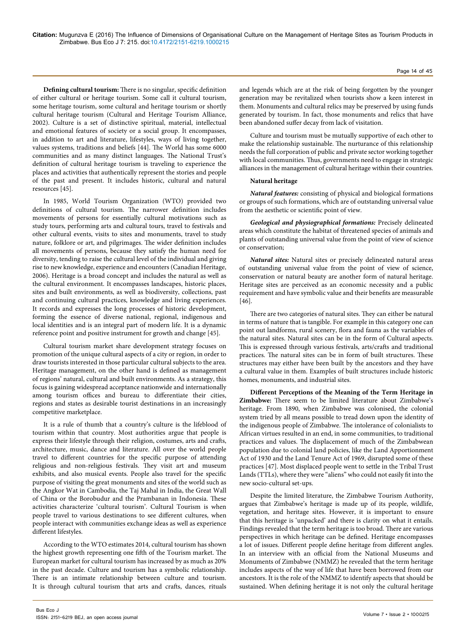**Defining cultural tourism:** There is no singular, specific definition of either cultural or heritage tourism. Some call it cultural tourism, some heritage tourism, some cultural and heritage tourism or shortly cultural heritage tourism (Cultural and Heritage Tourism Alliance, 2002). Culture is a set of distinctive spiritual, material, intellectual and emotional features of society or a social group. It encompasses, in addition to art and literature, lifestyles, ways of living together, values systems, traditions and beliefs [44]. The World has some 6000 communities and as many distinct languages. The National Trust's definition of cultural heritage tourism is traveling to experience the places and activities that authentically represent the stories and people of the past and present. It includes historic, cultural and natural resources [45].

In 1985, World Tourism Organization (WTO) provided two definitions of cultural tourism. The narrower definition includes movements of persons for essentially cultural motivations such as study tours, performing arts and cultural tours, travel to festivals and other cultural events, visits to sites and monuments, travel to study nature, folklore or art, and pilgrimages. The wider definition includes all movements of persons, because they satisfy the human need for diversity, tending to raise the cultural level of the individual and giving rise to new knowledge, experience and encounters (Canadian Heritage, 2006). Heritage is a broad concept and includes the natural as well as the cultural environment. It encompasses landscapes, historic places, sites and built environments, as well as biodiversity, collections, past and continuing cultural practices, knowledge and living experiences. It records and expresses the long processes of historic development, forming the essence of diverse national, regional, indigenous and local identities and is an integral part of modern life. It is a dynamic reference point and positive instrument for growth and change [45].

Cultural tourism market share development strategy focuses on promotion of the unique cultural aspects of a city or region, in order to draw tourists interested in those particular cultural subjects to the area. Heritage management, on the other hand is defined as management of regions' natural, cultural and built environments. As a strategy, this focus is gaining widespread acceptance nationwide and internationally among tourism offices and bureau to differentiate their cities, regions and states as desirable tourist destinations in an increasingly competitive marketplace.

It is a rule of thumb that a country's culture is the lifeblood of tourism within that country. Most authorities argue that people is express their lifestyle through their religion, costumes, arts and crafts, architecture, music, dance and literature. All over the world people travel to different countries for the specific purpose of attending religious and non-religious festivals. They visit art and museum exhibits, and also musical events. People also travel for the specific purpose of visiting the great monuments and sites of the world such as the Angkor Wat in Cambodia, the Taj Mahal in India, the Great Wall of China or the Borobudur and the Prambanan in Indonesia. These activities characterize 'cultural tourism'. Cultural Tourism is when people travel to various destinations to see different cultures, when people interact with communities exchange ideas as well as experience different lifestyles.

According to the WTO estimates 2014, cultural tourism has shown the highest growth representing one fifth of the Tourism market. The European market for cultural tourism has increased by as much as 20% in the past decade. Culture and tourism has a symbolic relationship. There is an intimate relationship between culture and tourism. It is through cultural tourism that arts and crafts, dances, rituals

Bus Eco J

Culture and tourism must be mutually supportive of each other to make the relationship sustainable. The nurturance of this relationship needs the full corporation of public and private sector working together with local communities. Thus, governments need to engage in strategic alliances in the management of cultural heritage within their countries.

#### **Natural heritage**

*Natural features:* consisting of physical and biological formations or groups of such formations, which are of outstanding universal value from the aesthetic or scientific point of view.

*Geological and physiographical formations:* Precisely delineated areas which constitute the habitat of threatened species of animals and plants of outstanding universal value from the point of view of science or conservation;

*Natural sites:* Natural sites or precisely delineated natural areas of outstanding universal value from the point of view of science, conservation or natural beauty are another form of natural heritage. Heritage sites are perceived as an economic necessity and a public requirement and have symbolic value and their benefits are measurable [46].

There are two categories of natural sites. They can either be natural in terms of nature that is tangible. For example in this category one can point out landforms, rural scenery, flora and fauna as the variables of the natural sites. Natural sites can be in the form of Cultural aspects. This is expressed through various festivals, arts/crafts and traditional practices. The natural sites can be in form of built structures. These structures may either have been built by the ancestors and they have a cultural value in them. Examples of built structures include historic homes, monuments, and industrial sites.

**Different Perceptions of the Meaning of the Term Heritage in Zimbabwe:** There seem to be limited literature about Zimbabwe's heritage. From 1890, when Zimbabwe was colonised, the colonial system tried by all means possible to tread down upon the identity of the indigenous people of Zimbabwe. The intolerance of colonialists to African virtues resulted in an end, in some communities, to traditional practices and values. The displacement of much of the Zimbabwean population due to colonial land policies, like the Land Apportionment Act of 1930 and the Land Tenure Act of 1969, disrupted some of these practices [47]. Most displaced people went to settle in the Tribal Trust Lands (TTLs), where they were "aliens" who could not easily fit into the new socio-cultural set-ups.

Despite the limited literature, the Zimbabwe Tourism Authority, argues that Zimbabwe's heritage is made up of its people, wildlife, vegetation, and heritage sites. However, it is important to ensure that this heritage is 'unpacked' and there is clarity on what it entails. Findings revealed that the term heritage is too broad. There are various perspectives in which heritage can be defined. Heritage encompasses a lot of issues. Different people define heritage from different angles. In an interview with an official from the National Museums and Monuments of Zimbabwe (NMMZ) he revealed that the term heritage includes aspects of the way of life that have been borrowed from our ancestors. It is the role of the NMMZ to identify aspects that should be sustained. When defining heritage it is not only the cultural heritage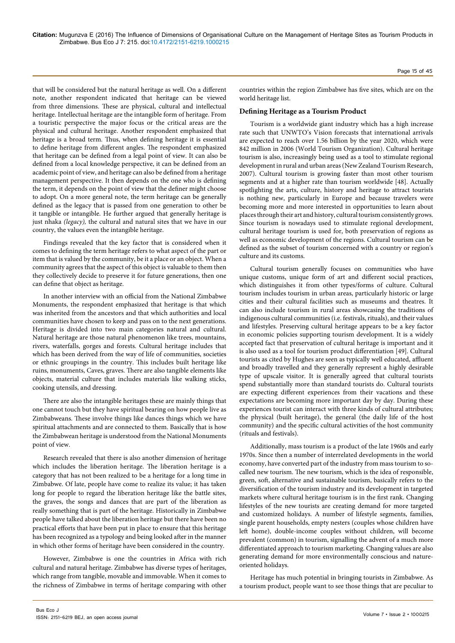that will be considered but the natural heritage as well. On a different note, another respondent indicated that heritage can be viewed from three dimensions. These are physical, cultural and intellectual heritage. Intellectual heritage are the intangible form of heritage. From a touristic perspective the major focus or the critical areas are the physical and cultural heritage. Another respondent emphasized that heritage is a broad term. Thus, when defining heritage it is essential to define heritage from different angles. The respondent emphasized that heritage can be defined from a legal point of view. It can also be defined from a local knowledge perspective, it can be defined from an academic point of view, and heritage can also be defined from a heritage management perspective. It then depends on the one who is defining the term, it depends on the point of view that the definer might choose to adopt. On a more general note, the term heritage can be generally defined as the legacy that is passed from one generation to other be it tangible or intangible. He further argued that generally heritage is just nhaka *(legacy),* the cultural and natural sites that we have in our country, the values even the intangible heritage.

Findings revealed that the key factor that is considered when it comes to defining the term heritage refers to what aspect of the part or item that is valued by the community, be it a place or an object. When a community agrees that the aspect of this object is valuable to them then they collectively decide to preserve it for future generations, then one can define that object as heritage.

In another interview with an official from the National Zimbabwe Monuments, the respondent emphasized that heritage is that which was inherited from the ancestors and that which authorities and local communities have chosen to keep and pass on to the next generations. Heritage is divided into two main categories natural and cultural. Natural heritage are those natural phenomenon like trees, mountains, rivers, waterfalls, gorges and forests. Cultural heritage includes that which has been derived from the way of life of communities, societies or ethnic groupings in the country. This includes built heritage like ruins, monuments, Caves, graves. There are also tangible elements like objects, material culture that includes materials like walking sticks, cooking utensils, and dressing.

There are also the intangible heritages these are mainly things that one cannot touch but they have spiritual bearing on how people live as Zimbabweans. These involve things like dances things which we have spiritual attachments and are connected to them. Basically that is how the Zimbabwean heritage is understood from the National Monuments point of view.

Research revealed that there is also another dimension of heritage which includes the liberation heritage. The liberation heritage is a category that has not been realized to be a heritage for a long time in Zimbabwe. Of late, people have come to realize its value; it has taken long for people to regard the liberation heritage like the battle sites, the graves, the songs and dances that are part of the liberation as really something that is part of the heritage. Historically in Zimbabwe people have talked about the liberation heritage but there have been no practical efforts that have been put in place to ensure that this heritage has been recognized as a typology and being looked after in the manner in which other forms of heritage have been considered in the country.

However, Zimbabwe is one the countries in Africa with rich cultural and natural heritage. Zimbabwe has diverse types of heritages, which range from tangible, movable and immovable. When it comes to the richness of Zimbabwe in terms of heritage comparing with other Page 15 of 45

countries within the region Zimbabwe has five sites, which are on the world heritage list.

# **Defining Heritage as a Tourism Product**

Tourism is a worldwide giant industry which has a high increase rate such that UNWTO's Vision forecasts that international arrivals are expected to reach over 1.56 billion by the year 2020, which were 842 million in 2006 (World Tourism Organization). Cultural heritage tourism is also, increasingly being used as a tool to stimulate regional development in rural and urban areas (New Zealand Tourism Research, 2007). Cultural tourism is growing faster than most other tourism segments and at a higher rate than tourism worldwide [48]. Actually spotlighting the arts, culture, history and heritage to attract tourists is nothing new, particularly in Europe and because travelers were becoming more and more interested in opportunities to learn about places through their art and history, cultural tourism consistently grows. Since tourism is nowadays used to stimulate regional development, cultural heritage tourism is used for, both preservation of regions as well as economic development of the regions. Cultural tourism can be defined as the subset of tourism concerned with a country or region's culture and its customs.

Cultural tourism generally focuses on communities who have unique customs, unique form of art and different social practices, which distinguishes it from other types/forms of culture. Cultural tourism includes tourism in urban areas, particularly historic or large cities and their cultural facilities such as museums and theatres. It can also include tourism in rural areas showcasing the traditions of indigenous cultural communities (i.e. festivals, rituals), and their values and lifestyles. Preserving cultural heritage appears to be a key factor in economic policies supporting tourism development. It is a widely accepted fact that preservation of cultural heritage is important and it is also used as a tool for tourism product differentiation [49]. Cultural tourists as cited by Hughes are seen as typically well educated, affluent and broadly travelled and they generally represent a highly desirable type of upscale visitor. It is generally agreed that cultural tourists spend substantially more than standard tourists do. Cultural tourists are expecting different experiences from their vacations and these expectations are becoming more important day by day. During these experiences tourist can interact with three kinds of cultural attributes; the physical (built heritage), the general (the daily life of the host community) and the specific cultural activities of the host community (rituals and festivals).

Additionally, mass tourism is a product of the late 1960s and early 1970s. Since then a number of interrelated developments in the world economy, have converted part of the industry from mass tourism to socalled new tourism. The new tourism, which is the idea of responsible, green, soft, alternative and sustainable tourism, basically refers to the diversification of the tourism industry and its development in targeted markets where cultural heritage tourism is in the first rank. Changing lifestyles of the new tourists are creating demand for more targeted and customized holidays. A number of lifestyle segments, families, single parent households, empty nesters (couples whose children have left home), double-income couples without children, will become prevalent (common) in tourism, signalling the advent of a much more differentiated approach to tourism marketing. Changing values are also generating demand for more environmentally conscious and natureoriented holidays.

Heritage has much potential in bringing tourists in Zimbabwe. As a tourism product, people want to see those things that are peculiar to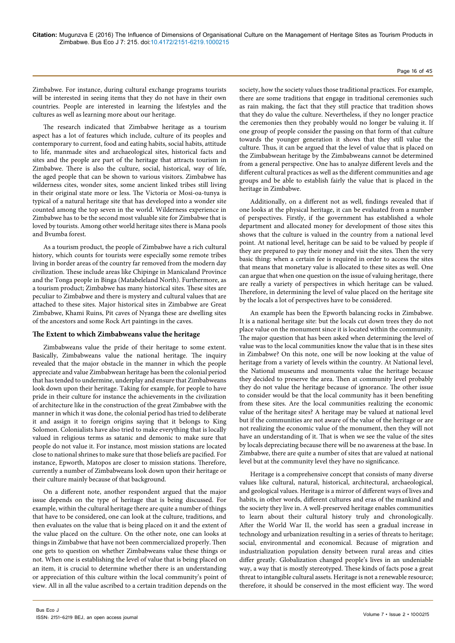#### Page 16 of 45

Zimbabwe. For instance, during cultural exchange programs tourists will be interested in seeing items that they do not have in their own countries. People are interested in learning the lifestyles and the cultures as well as learning more about our heritage.

The research indicated that Zimbabwe heritage as a tourism aspect has a lot of features which include, culture of its peoples and contemporary to current, food and eating habits, social habits, attitude to life, manmade sites and archaeological sites, historical facts and sites and the people are part of the heritage that attracts tourism in Zimbabwe. There is also the culture, social, historical, way of life, the aged people that can be shown to various visitors. Zimbabwe has wilderness cites, wonder sites, some ancient linked tribes still living in their original state more or less. The Victoria or Mosi-oa-tunya is typical of a natural heritage site that has developed into a wonder site counted among the top seven in the world. Wilderness experience in Zimbabwe has to be the second most valuable site for Zimbabwe that is loved by tourists. Among other world heritage sites there is Mana pools and Bvumba forest.

As a tourism product, the people of Zimbabwe have a rich cultural history, which counts for tourists were especially some remote tribes living in border areas of the country far removed from the modern day civilization. These include areas like Chipinge in Manicaland Province and the Tonga people in Binga (Matabeleland North). Furthermore, as a tourism product; Zimbabwe has many historical sites. These sites are peculiar to Zimbabwe and there is mystery and cultural values that are attached to these sites. Major historical sites in Zimbabwe are Great Zimbabwe, Khami Ruins, Pit caves of Nyanga these are dwelling sites of the ancestors and some Rock Art paintings in the caves.

# **The Extent to which Zimbabweans value the heritage**

Zimbabweans value the pride of their heritage to some extent. Basically, Zimbabweans value the national heritage. The inquiry revealed that the major obstacle in the manner in which the people appreciate and value Zimbabwean heritage has been the colonial period that has tended to undermine, underplay and ensure that Zimbabweans look down upon their heritage. Taking for example, for people to have pride in their culture for instance the achievements in the civilization of architecture like in the construction of the great Zimbabwe with the manner in which it was done, the colonial period has tried to deliberate it and assign it to foreign origins saying that it belongs to King Solomon. Colonialists have also tried to make everything that is locally valued in religious terms as satanic and demonic to make sure that people do not value it. For instance, most mission stations are located close to national shrines to make sure that those beliefs are pacified. For instance, Epworth, Matopos are closer to mission stations. Therefore, currently a number of Zimbabweans look down upon their heritage or their culture mainly because of that background.

On a different note, another respondent argued that the major issue depends on the type of heritage that is being discussed. For example, within the cultural heritage there are quite a number of things that have to be considered, one can look at the culture, traditions, and then evaluates on the value that is being placed on it and the extent of the value placed on the culture. On the other note, one can looks at things in Zimbabwe that have not been commercialized properly. Then one gets to question on whether Zimbabweans value these things or not. When one is establishing the level of value that is being placed on an item, it is crucial to determine whether there is an understanding or appreciation of this culture within the local community's point of view. All in all the value ascribed to a certain tradition depends on the

society, how the society values those traditional practices. For example, there are some traditions that engage in traditional ceremonies such as rain making, the fact that they still practice that tradition shows that they do value the culture. Nevertheless, if they no longer practice the ceremonies then they probably would no longer be valuing it. If one group of people consider the passing on that form of that culture towards the younger generation it shows that they still value the culture. Thus, it can be argued that the level of value that is placed on the Zimbabwean heritage by the Zimbabweans cannot be determined from a general perspective. One has to analyze different levels and the different cultural practices as well as the different communities and age groups and be able to establish fairly the value that is placed in the heritage in Zimbabwe.

Additionally, on a different not as well, findings revealed that if one looks at the physical heritage, it can be evaluated from a number of perspectives. Firstly, if the government has established a whole department and allocated money for development of those sites this shows that the culture is valued in the country from a national level point. At national level, heritage can be said to be valued by people if they are prepared to pay their money and visit the sites. Then the very basic thing: when a certain fee is required in order to access the sites that means that monetary value is allocated to these sites as well. One can argue that when one question on the issue of valuing heritage, there are really a variety of perspectives in which heritage can be valued. Therefore, in determining the level of value placed on the heritage site by the locals a lot of perspectives have to be considered.

An example has been the Epworth balancing rocks in Zimbabwe. It is a national heritage site: but the locals cut down trees they do not place value on the monument since it is located within the community. The major question that has been asked when determining the level of value was to the local communities know the value that is in these sites in Zimbabwe? On this note, one will be now looking at the value of heritage from a variety of levels within the country. At National level, the National museums and monuments value the heritage because they decided to preserve the area. Then at community level probably they do not value the heritage because of ignorance. The other issue to consider would be that the local community has it been benefiting from these sites. Are the local communities realizing the economic value of the heritage sites? A heritage may be valued at national level but if the communities are not aware of the value of the heritage or are not realizing the economic value of the monument, then they will not have an understanding of it. That is when we see the value of the sites by locals depreciating because there will be no awareness at the base. In Zimbabwe, there are quite a number of sites that are valued at national level but at the community level they have no significance.

Heritage is a comprehensive concept that consists of many diverse values like cultural, natural, historical, architectural, archaeological, and geological values. Heritage is a mirror of different ways of lives and habits, in other words, different cultures and eras of the mankind and the society they live in. A well-preserved heritage enables communities to learn about their cultural history truly and chronologically. After the World War II, the world has seen a gradual increase in technology and urbanization resulting in a series of threats to heritage; social, environmental and economical. Because of migration and industrialization population density between rural areas and cities differ greatly. Globalization changed people's lives in an undeniable way, a way that is mostly stereotyped. These kinds of facts pose a great threat to intangible cultural assets. Heritage is not a renewable resource; therefore, it should be conserved in the most efficient way. The word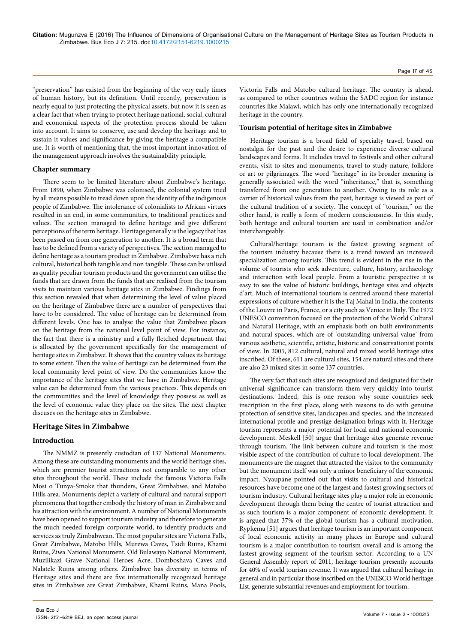"preservation" has existed from the beginning of the very early times of human history, but its definition. Until recently, preservation is nearly equal to just protecting the physical assets, but now it is seen as a clear fact that when trying to protect heritage national, social, cultural and economical aspects of the protection process should be taken into account. It aims to conserve, use and develop the heritage and to sustain it values and significance by giving the heritage a compatible use. It is worth of mentioning that, the most important innovation of the management approach involves the sustainability principle.

#### **Chapter summary**

There seem to be limited literature about Zimbabwe's heritage. From 1890, when Zimbabwe was colonised, the colonial system tried by all means possible to tread down upon the identity of the indigenous people of Zimbabwe. The intolerance of colonialists to African virtues resulted in an end, in some communities, to traditional practices and values. The section managed to define heritage and give different perceptions of the term heritage. Heritage generally is the legacy that has been passed on from one generation to another. It is a broad term that has to be defined from a variety of perspectives. The section managed to define heritage as a tourism product in Zimbabwe. Zimbabwe has a rich cultural, historical both tangible and non tangible. These can be utilised as quality peculiar tourism products and the government can utilise the funds that are drawn from the funds that are realised from the tourism visits to maintain various heritage sites in Zimbabwe. Findings from this section revealed that when determining the level of value placed on the heritage of Zimbabwe there are a number of perspectives that have to be considered. The value of heritage can be determined from different levels. One has to analyse the value that Zimbabwe places on the heritage from the national level point of view. For instance, the fact that there is a ministry and a fully fletched department that is allocated by the government specifically for the management of heritage sites in Zimbabwe. It shows that the country values its heritage to some extent. Then the value of heritage can be determined from the local community level point of view. Do the communities know the importance of the heritage sites that we have in Zimbabwe. Heritage value can be determined from the various practices. This depends on the communities and the level of knowledge they possess as well as the level of economic value they place on the sites. The next chapter discuses on the heritage sites in Zimbabwe.

# **Heritage Sites in Zimbabwe**

# **Introduction**

The NMMZ is presently custodian of 137 National Monuments. Among these are outstanding monuments and the world heritage sites, which are premier tourist attractions not comparable to any other sites throughout the world. These include the famous Victoria Falls Mosi o Tunya-Smoke that thunders, Great Zimbabwe, and Matobo Hills area. Monuments depict a variety of cultural and natural support phenomena that together embody the history of man in Zimbabwe and his attraction with the environment. A number of National Monuments have been opened to support tourism industry and therefore to generate the much needed foreign corporate world, to identify products and services as truly Zimbabwean. The most popular sites are Victoria Falls, Great Zimbabwe, Matobo Hills, Murewa Caves, Tsidi Ruins, Khami Ruins, Ziwa National Monument, Old Bulawayo National Monument, Muzilikazi Grave National Heroes Acre, Domboshava Caves and Nalatele Ruins among others. Zimbabwe has diversity in terms of Heritage sites and there are five internationally recognized heritage sites in Zimbabwe are Great Zimbabwe, Khami Ruins, Mana Pools,

Victoria Falls and Matobo cultural heritage. The country is ahead, as compared to other countries within the SADC region for instance countries like Malawi, which has only one internationally recognized heritage in the country.

#### **Tourism potential of heritage sites in Zimbabwe**

Heritage tourism is a broad field of specialty travel, based on nostalgia for the past and the desire to experience diverse cultural landscapes and forms. It includes travel to festivals and other cultural events, visit to sites and monuments, travel to study nature, folklore or art or pilgrimages. The word "heritage" in its broader meaning is generally associated with the word "inheritance," that is, something transferred from one generation to another. Owing to its role as a carrier of historical values from the past, heritage is viewed as part of the cultural tradition of a society. The concept of "tourism," on the other hand, is really a form of modern consciousness. In this study, both heritage and cultural tourism are used in combination and/or interchangeably.

Cultural/heritage tourism is the fastest growing segment of the tourism industry because there is a trend toward an increased specialization among tourists. This trend is evident in the rise in the volume of tourists who seek adventure, culture, history, archaeology and interaction with local people. From a touristic perspective it is easy to see the value of historic buildings, heritage sites and objects d'art. Much of international tourism is centred around these material expressions of culture whether it is the Taj Mahal in India, the contents of the Louvre in Paris, France, or a city such as Venice in Italy. The 1972 UNESCO convention focused on the protection of the World Cultural and Natural Heritage, with an emphasis both on built environments and natural spaces, which are of 'outstanding universal value' from various aesthetic, scientific, artistic, historic and conservationist points of view. In 2005, 812 cultural, natural and mixed world heritage sites inscribed. Of these, 611 are cultural sites, 154 are natural sites and there are also 23 mixed sites in some 137 countries.

The very fact that such sites are recognised and designated for their universal significance can transform them very quickly into tourist destinations. Indeed, this is one reason why some countries seek inscription in the first place, along with reasons to do with genuine protection of sensitive sites, landscapes and species, and the increased international profile and prestige designation brings with it. Heritage tourism represents a major potential for local and national economic development. Meskell [50] argue that heritage sites generate revenue through tourism. The link between culture and tourism is the most visible aspect of the contribution of culture to local development. The monuments are the magnet that attracted the visitor to the community but the monument itself was only a minor beneficiary of the economic impact. Nyaupane pointed out that visits to cultural and historical resources have become one of the largest and fastest growing sectors of tourism industry. Cultural heritage sites play a major role in economic development through them being the centre of tourist attraction and as such tourism is a major component of economic development. It is argued that 37% of the global tourism has a cultural motivation. Rypkema [51] argues that heritage tourism is an important component of local economic activity in many places in Europe and cultural tourism is a major contribution to tourism overall and is among the fastest growing segment of the tourism sector. According to a UN General Assembly report of 2011, heritage tourism presently accounts for 40% of world tourism revenue. It was argued that cultural heritage in general and in particular those inscribed on the UNESCO World heritage List, generate substantial revenues and employment for tourism.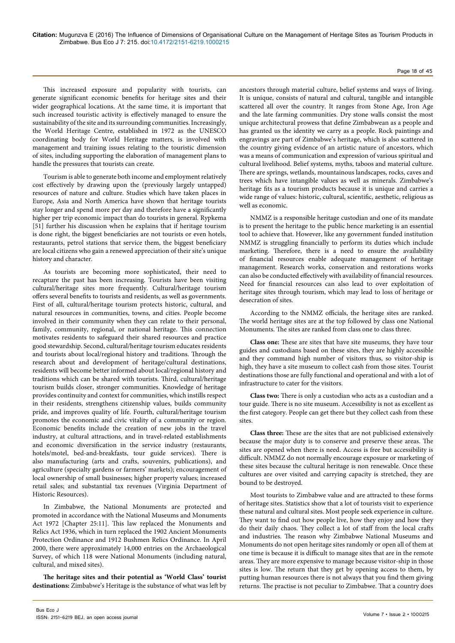#### Page 18 of 45

This increased exposure and popularity with tourists, can generate significant economic benefits for heritage sites and their wider geographical locations. At the same time, it is important that such increased touristic activity is effectively managed to ensure the sustainability of the site and its surrounding communities. Increasingly, the World Heritage Centre, established in 1972 as the UNESCO coordinating body for World Heritage matters, is involved with management and training issues relating to the touristic dimension of sites, including supporting the elaboration of management plans to handle the pressures that tourists can create.

Tourism is able to generate both income and employment relatively cost effectively by drawing upon the (previously largely untapped) resources of nature and culture. Studies which have taken places in Europe, Asia and North America have shown that heritage tourists stay longer and spend more per day and therefore have a significantly higher per trip economic impact than do tourists in general. Rypkema [51] further his discussion when he explains that if heritage tourism is done right, the biggest beneficiaries are not tourists or even hotels, restaurants, petrol stations that service them, the biggest beneficiary are local citizens who gain a renewed appreciation of their site's unique history and character.

As tourists are becoming more sophisticated, their need to recapture the past has been increasing. Tourists have been visiting cultural/heritage sites more frequently. Cultural/heritage tourism offers several benefits to tourists and residents, as well as governments. First of all, cultural/heritage tourism protects historic, cultural, and natural resources in communities, towns, and cities. People become involved in their community when they can relate to their personal, family, community, regional, or national heritage. This connection motivates residents to safeguard their shared resources and practice good stewardship. Second, cultural/heritage tourism educates residents and tourists about local/regional history and traditions. Through the research about and development of heritage/cultural destinations, residents will become better informed about local/regional history and traditions which can be shared with tourists. Third, cultural/heritage tourism builds closer, stronger communities. Knowledge of heritage provides continuity and context for communities, which instills respect in their residents, strengthens citizenship values, builds community pride, and improves quality of life. Fourth, cultural/heritage tourism promotes the economic and civic vitality of a community or region. Economic benefits include the creation of new jobs in the travel industry, at cultural attractions, and in travel-related establishments and economic diversification in the service industry (restaurants, hotels/motel, bed-and-breakfasts, tour guide services). There is also manufacturing (arts and crafts, souvenirs, publications), and agriculture (specialty gardens or farmers' markets); encouragement of local ownership of small businesses; higher property values; increased retail sales; and substantial tax revenues (Virginia Department of Historic Resources).

In Zimbabwe, the National Monuments are protected and promoted in accordance with the National Museums and Monuments Act 1972 [Chapter 25:11]. This law replaced the Monuments and Relics Act 1936, which in turn replaced the 1902 Ancient Monuments Protection Ordinance and 1912 Bushmen Relics Ordinance. In April 2000, there were approximately 14,000 entries on the Archaeological Survey, of which 118 were National Monuments (including natural, cultural, and mixed sites).

**The heritage sites and their potential as 'World Class' tourist destinations:** Zimbabwe's Heritage is the substance of what was left by ancestors through material culture, belief systems and ways of living. It is unique, consists of natural and cultural, tangible and intangible scattered all over the country. It ranges from Stone Age, Iron Age and the late farming communities. Dry stone walls consist the most unique architectural prowess that define Zimbabwean as a people and has granted us the identity we carry as a people. Rock paintings and engravings are part of Zimbabwe's heritage, which is also scattered in the country giving evidence of an artistic nature of ancestors, which was a means of communication and expression of various spiritual and cultural livelihood. Belief systems, myths, taboos and material culture. There are springs, wetlands, mountainous landscapes, rocks, caves and trees which have intangible values as well as minerals. Zimbabwe's heritage fits as a tourism products because it is unique and carries a wide range of values: historic, cultural, scientific, aesthetic, religious as well as economic.

NMMZ is a responsible heritage custodian and one of its mandate is to present the heritage to the public hence marketing is an essential tool to achieve that. However, like any government funded institution NMMZ is struggling financially to perform its duties which include marketing. Therefore, there is a need to ensure the availability of financial resources enable adequate management of heritage management. Research works, conservation and restorations works can also be conducted effectively with availability of financial resources. Need for financial resources can also lead to over exploitation of heritage sites through tourism, which may lead to loss of heritage or desecration of sites.

According to the NMMZ officials, the heritage sites are ranked. The world heritage sites are at the top followed by class one National Monuments. The sites are ranked from class one to class three.

**Class one:** These are sites that have site museums, they have tour guides and custodians based on these sites, they are highly accessible and they command high number of visitors thus, so visitor-ship is high, they have a site museum to collect cash from those sites. Tourist destinations those are fully functional and operational and with a lot of infrastructure to cater for the visitors.

**Class two:** There is only a custodian who acts as a custodian and a tour guide. There is no site museum. Accessibility is not as excellent as the first category. People can get there but they collect cash from these sites.

**Class three:** These are the sites that are not publicised extensively because the major duty is to conserve and preserve these areas. The sites are opened when there is need. Access is free but accessibility is difficult. NMMZ do not normally encourage exposure or marketing of these sites because the cultural heritage is non renewable. Once these cultures are over visited and carrying capacity is stretched, they are bound to be destroyed.

Most tourists to Zimbabwe value and are attracted to these forms of heritage sites. Statistics show that a lot of tourists visit to experience these natural and cultural sites. Most people seek experience in culture. They want to find out how people live, how they enjoy and how they do their daily chaos. They collect a lot of staff from the local crafts and industries. The reason why Zimbabwe National Museums and Monuments do not open heritage sites randomly or open all of them at one time is because it is difficult to manage sites that are in the remote areas. They are more expensive to manage because visitor-ship in those sites is low. The return that they get by opening access to them, by putting human resources there is not always that you find them giving returns. The practise is not peculiar to Zimbabwe. That a country does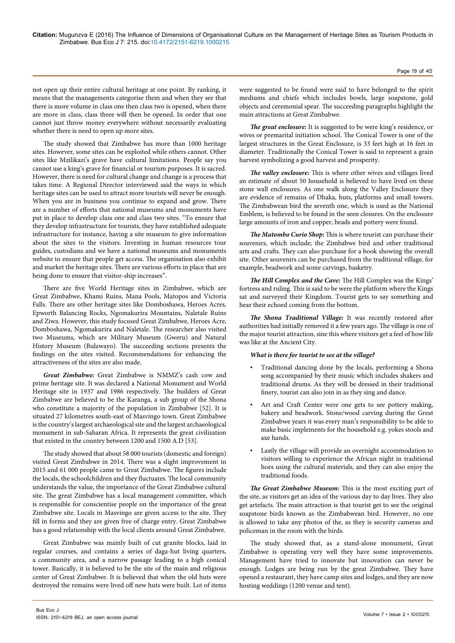not open up their entire cultural heritage at one point. By ranking, it means that the managements categorise them and when they see that there is more volume in class one then class two is opened, when there are more in class, class three will then be opened. In order that one cannot just throw money everywhere without necessarily evaluating whether there is need to open up more sites.

The study showed that Zimbabwe has more than 1000 heritage sites. However, some sites can be exploited while others cannot. Other sites like Mzilikazi's grave have cultural limitations. People say you cannot use a king's grave for financial or tourism purposes. It is sacred. However, there is need for cultural change and change is a process that takes time. A Regional Director interviewed said the ways in which heritage sites can be used to attract more tourists will never be enough. When you are in business you continue to expand and grow. There are a number of efforts that national museums and monuments have put in place to develop class one and class two sites. "To ensure that they develop infrastructure for tourists, they have established adequate infrastructure for instance, having a site museum to give information about the sites to the visitors. Investing in human resources tour guides, custodians and we have a national museums and monuments website to ensure that people get access. The organisation also exhibit and market the heritage sites. There are various efforts in place that are being done to ensure that visitor-ship increases".

There are five World Heritage sites in Zimbabwe, which are Great Zimbabwe, Khami Ruins, Mana Pools, Matopos and Victoria Falls. There are other heritage sites like Domboshawa, Heroes Acres, Epworth Balancing Rocks, Ngomakurira Mountains, Naletale Ruins and Ziwa. However, this study focused Great Zimbabwe, Heroes Acre, Domboshawa, Ngomakurira and Naletale. The researcher also visited two Museums, which are Military Museum (Gweru) and Natural History Museum (Bulawayo). The succeeding sections presents the findings on the sites visited. Recommendations for enhancing the attractiveness of the sites are also made.

*Great Zimbabwe:* Great Zimbabwe is NMMZ's cash cow and prime heritage site. It was declared a National Monument and World Heritage site in 1937 and 1986 respectively. The builders of Great Zimbabwe are believed to be the Karanga, a sub group of the Shona who constitute a majority of the population in Zimbabwe [52]. It is situated 27 kilometres south-east of Masvingo town. Great Zimbabwe is the country's largest archaeological site and the largest archaeological monument in sub-Saharan Africa. It represents the great civilization that existed in the country between 1200 and 1500 A.D [53].

The study showed that about 58 000 tourists (domestic and foreign) visited Great Zimbabwe in 2014. There was a slight improvement in 2015 and 61 000 people came to Great Zimbabwe. The figures include the locals, the schoolchildren and they fluctuates. The local community understands the value, the importance of the Great Zimbabwe cultural site. The great Zimbabwe has a local management committee, which is responsible for conscientise people on the importance of the great Zimbabwe site. Locals in Masvingo are given access to the site. They fill in forms and they are given free of charge entry. Great Zimbabwe has a good relationship with the local clients around Great Zimbabwe.

Great Zimbabwe was mainly built of cut granite blocks, laid in regular courses, and contains a series of daga-hut living quarters, a community area, and a narrow passage leading to a high conical tower. Basically, it is believed to be the site of the main and religious center of Great Zimbabwe. It is believed that when the old huts were destroyed the remains were lived off new huts were built. Lot of items were suggested to be found were said to have belonged to the spirit mediums and chiefs which includes bowls, large soapstone, gold objects and ceremonial spear. The succeeding paragraphs highlight the main attractions at Great Zimbabwe.

*The great enclosure:* It is suggested to be were king's residence, or wives or premarital initiation school. The Conical Tower is one of the largest structures in the Great Enclosure, is 33 feet high at 16 feet in diameter. Traditionally the Conical Tower is said to represent a grain harvest symbolizing a good harvest and prosperity.

*The valley enclosure:* This is where other wives and villages lived an estimate of about 50 household is believed to have lived on these stone wall enclosures. As one walk along the Valley Enclosure they are evidence of remains of Dhaka, huts, platforms and small towers. The Zimbabwean bird the seventh one, which is used as the National Emblem, is believed to be found in the seen closures. On the enclosure large amounts of iron and copper, beads and pottery were found.

*The Matombo Curio Shop:* This is where tourist can purchase their souvenirs, which include; the Zimbabwe bird and other traditional arts and crafts. They can also purchase for a book showing the overall site. Other souvenirs can be purchased from the traditional village, for example, beadwork and some carvings, basketry.

*The Hill Complex and the Cave:* The Hill Complex was the Kings' fortress and ruling. This is said to be were the platform where the Kings sat and surveyed their Kingdom. Tourist gets to say something and hear their echoed coming from the bottom.

*The Shona Traditional Village:* It was recently restored after authorities had initially removed it a few years ago. The village is one of the major tourist attraction, sine this where visitors get a feel of how life was like at the Ancient City.

# *What is there for tourist to see at the village?*

- Traditional dancing done by the locals, performing a Shona song accompanied by their music which includes shakers and traditional drums. As they will be dressed in their traditional finery, tourist can also join in as they sing and dance.
- Art and Craft Center were one gets to see pottery making, bakery and beadwork. Stone/wood carving during the Great Zimbabwe years it was every man's responsibility to be able to make basic implements for the household e.g. yokes stools and axe hands.
- Lastly the village will provide an overnight accommodation to visitors willing to experience the African night in traditional hoes using the cultural materials, and they can also enjoy the traditional foods.

*The Great Zimbabwe Museum:* This is the most exciting part of the site, as visitors get an idea of the various day to day lives. They also get artefacts. The main attraction is that tourist get to see the original soapstone birds known as the Zimbabwean bird. However, no one is allowed to take any photos of the, as they is security cameras and policeman in the room with the birds.

The study showed that, as a stand-alone monument, Great Zimbabwe is operating very well they have some improvements. Management have tried to innovate but innovation can never be enough. Lodges are being run by the great Zimbabwe. They have opened a restaurant, they have camp sites and lodges, and they are now hosting weddings (1200 venue and tent).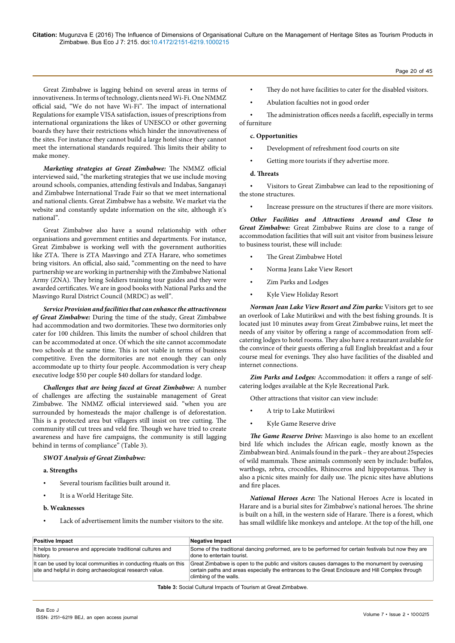**Citation:** Mugunzva E (2016) The Influence of Dimensions of Organisational Culture on the Management of Heritage Sites as Tourism Products in Zimbabwe. Bus Eco J 7: 215. doi:10.4172/2151-6219.1000215

Great Zimbabwe is lagging behind on several areas in terms of innovativeness. In terms of technology, clients need Wi-Fi. One NMMZ official said, "We do not have Wi-Fi". The impact of international Regulations for example VISA satisfaction, issues of prescriptions from international organizations the likes of UNESCO or other governing boards they have their restrictions which hinder the innovativeness of the sites. For instance they cannot build a large hotel since they cannot meet the international standards required. This limits their ability to make money.

*Marketing strategies at Great Zimbabwe:* The NMMZ official interviewed said, "the marketing strategies that we use include moving around schools, companies, attending festivals and Indabas, Sanganayi and Zimbabwe International Trade Fair so that we meet international and national clients. Great Zimbabwe has a website. We market via the website and constantly update information on the site, although it's national".

Great Zimbabwe also have a sound relationship with other organisations and government entities and departments. For instance, Great Zimbabwe is working well with the government authorities like ZTA. There is ZTA Masvingo and ZTA Harare, who sometimes bring visitors. An official, also said, "commenting on the need to have partnership we are working in partnership with the Zimbabwe National Army (ZNA). They bring Soldiers training tour guides and they were awarded certificates. We are in good books with National Parks and the Masvingo Rural District Council (MRDC) as well".

*Service Provision and facilities that can enhance the attractiveness of Great Zimbabwe:* During the time of the study, Great Zimbabwe had accommodation and two dormitories. These two dormitories only cater for 100 children. This limits the number of school children that can be accommodated at once. Of which the site cannot accommodate two schools at the same time. This is not viable in terms of business competitive. Even the dormitories are not enough they can only accommodate up to thirty four people. Accommodation is very cheap executive lodge \$50 per couple \$40 dollars for standard lodge.

*Challenges that are being faced at Great Zimbabwe:* A number of challenges are affecting the sustainable management of Great Zimbabwe. The NMMZ official interviewed said. "when you are surrounded by homesteads the major challenge is of deforestation. This is a protected area but villagers still insist on tree cutting. The community still cut trees and veld fire. Though we have tried to create awareness and have fire campaigns, the community is still lagging behind in terms of compliance" (Table 3).

#### *SWOT Analysis of Great Zimbabwe:*

#### **a. Strengths**

- Several tourism facilities built around it.
- It is a World Heritage Site.
- **b. Weaknesses**
- Lack of advertisement limits the number visitors to the site.
- They do not have facilities to cater for the disabled visitors.
- Abulation faculties not in good order

The administration offices needs a facelift, especially in terms of furniture

#### **c. Opportunities**

- Development of refreshment food courts on site
- Getting more tourists if they advertise more.

#### **d. Threats**

• Visitors to Great Zimbabwe can lead to the repositioning of the stone structures.

• Increase pressure on the structures if there are more visitors.

*Other Facilities and Attractions Around and Close to Great Zimbabwe:* Great Zimbabwe Ruins are close to a range of accommodation facilities that will suit ant visitor from business leisure to business tourist, these will include:

- The Great Zimbabwe Hotel
- Norma Jeans Lake View Resort
- Zim Parks and Lodges
- Kyle View Holiday Resort

*Norman Jean Lake View Resort and Zim parks:* Visitors get to see an overlook of Lake Mutirikwi and with the best fishing grounds. It is located just 10 minutes away from Great Zimbabwe ruins, let meet the needs of any visitor by offering a range of accommodation from selfcatering lodges to hotel rooms. They also have a restaurant available for the convince of their guests offering a full English breakfast and a four course meal for evenings. They also have facilities of the disabled and internet connections.

*Zim Parks and Lodges:* Accommodation: it offers a range of selfcatering lodges available at the Kyle Recreational Park.

Other attractions that visitor can view include:

- A trip to Lake Mutirikwi
- Kyle Game Reserve drive

*The Game Reserve Drive:* Masvingo is also home to an excellent bird life which includes the African eagle, mostly known as the Zimbabwean bird. Animals found in the park – they are about 25species of wild mammals. These animals commonly seen by include: buffalos, warthogs, zebra, crocodiles, Rhinoceros and hippopotamus. They is also a picnic sites mainly for daily use. The picnic sites have ablutions and fire places.

*National Heroes Acre:* The National Heroes Acre is located in Harare and is a burial sites for Zimbabwe's national heroes. The shrine is built on a hill, in the western side of Harare. There is a forest, which has small wildlife like monkeys and antelope. At the top of the hill, one

| <b>Positive Impact</b>                                                                                                        | <b>Negative Impact</b>                                                                                                                                                                                                      |
|-------------------------------------------------------------------------------------------------------------------------------|-----------------------------------------------------------------------------------------------------------------------------------------------------------------------------------------------------------------------------|
| It helps to preserve and appreciate traditional cultures and<br>history.                                                      | Some of the traditional dancing preformed, are to be performed for certain festivals but now they are<br>done to entertain tourist.                                                                                         |
| It can be used by local communities in conducting rituals on this<br>site and helpful in doing archaeological research value. | Great Zimbabwe is open to the public and visitors causes damages to the monument by overusing<br>certain paths and areas especially the entrances to the Great Enclosure and Hill Complex through<br>climbing of the walls. |

**Table 3:** Social Cultural Impacts of Tourism at Great Zimbabwe.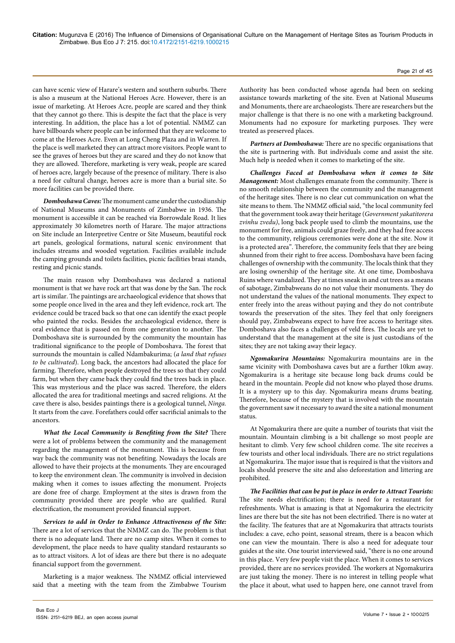can have scenic view of Harare's western and southern suburbs. There is also a museum at the National Heroes Acre. However, there is an issue of marketing. At Heroes Acre, people are scared and they think that they cannot go there. This is despite the fact that the place is very interesting. In addition, the place has a lot of potential. NMMZ can have billboards where people can be informed that they are welcome to come at the Heroes Acre. Even at Long Cheng Plaza and in Warren. If the place is well marketed they can attract more visitors. People want to see the graves of heroes but they are scared and they do not know that they are allowed. Therefore, marketing is very weak, people are scared of heroes acre, largely because of the presence of military. There is also a need for cultural change, heroes acre is more than a burial site. So more facilities can be provided there.

*Domboshawa Caves:* The monument came under the custodianship of National Museums and Monuments of Zimbabwe in 1936. The monument is accessible it can be reached via Borrowdale Road. It lies approximately 30 kilometres north of Harare. The major attractions on Site include an Interpretive Centre or Site Museum, beautiful rock art panels, geological formations, natural scenic environment that includes streams and wooded vegetation. Facilities available include the camping grounds and toilets facilities, picnic facilities braai stands, resting and picnic stands.

The main reason why Domboshawa was declared a national monument is that we have rock art that was done by the San. The rock art is similar. The paintings are archaeological evidence that shows that some people once lived in the area and they left evidence, rock art. The evidence could be traced back so that one can identify the exact people who painted the rocks. Besides the archaeological evidence, there is oral evidence that is passed on from one generation to another. The Domboshava site is surrounded by the community the mountain has traditional significance to the people of Domboshava. The forest that surrounds the mountain is called Ndambakurima; (*a land that refuses to be cultivated*). Long back, the ancestors had allocated the place for farming. Therefore, when people destroyed the trees so that they could farm, but when they came back they could find the trees back in place. This was mysterious and the place was sacred. Therefore, the elders allocated the area for traditional meetings and sacred religions. At the cave there is also, besides paintings there is a geological tunnel, *Ninga.*  It starts from the cave. Forefathers could offer sacrificial animals to the ancestors.

*What the Local Community is Benefiting from the Site?* There were a lot of problems between the community and the management regarding the management of the monument. This is because from way back the community was not benefiting. Nowadays the locals are allowed to have their projects at the monuments. They are encouraged to keep the environment clean. The community is involved in decision making when it comes to issues affecting the monument. Projects are done free of charge. Employment at the sites is drawn from the community provided there are people who are qualified. Rural electrification, the monument provided financial support.

*Services to add in Order to Enhance Attractiveness of the Site:*  There are a lot of services that the NMMZ can do. The problem is that there is no adequate land. There are no camp sites. When it comes to development, the place needs to have quality standard restaurants so as to attract visitors. A lot of ideas are there but there is no adequate financial support from the government.

Marketing is a major weakness. The NMMZ official interviewed said that a meeting with the team from the Zimbabwe Tourism

Authority has been conducted whose agenda had been on seeking assistance towards marketing of the site. Even at National Museums and Monuments, there are archaeologists. There are researchers but the major challenge is that there is no one with a marketing background. Monuments had no exposure for marketing purposes. They were treated as preserved places.

Page 21 of 45

*Partners at Domboshawa:* There are no specific organisations that the site is partnering with. But individuals come and assist the site. Much help is needed when it comes to marketing of the site.

*Challenges Faced at Domboshava when it comes to Site Management:* Most challenges emanate from the community. There is no smooth relationship between the community and the management of the heritage sites. There is no clear cut communication on what the site means to them. The NMMZ official said, "the local community feel that the government took away their heritage (*Government yakatitorera zvinhu zvedu)*, long back people used to climb the mountains, use the monument for free, animals could graze freely, and they had free access to the community, religious ceremonies were done at the site. Now it is a protected area". Therefore, the community feels that they are being shunned from their right to free access. Domboshava have been facing challenges of ownership with the community. The locals think that they are losing ownership of the heritage site. At one time, Domboshava Ruins where vandalized. They at times sneak in and cut trees as a means of sabotage, Zimbabweans do no not value their monuments. They do not understand the values of the national monuments. They expect to enter freely into the areas without paying and they do not contribute towards the preservation of the sites. They feel that only foreigners should pay, Zimbabweans expect to have free access to heritage sites. Domboshava also faces a challenges of veld fires. The locals are yet to understand that the management at the site is just custodians of the sites; they are not taking away their legacy.

*Ngomakurira Mountains:* Ngomakurira mountains are in the same vicinity with Domboshawa caves but are a further 10km away. Ngomakurira is a heritage site because long back drums could be heard in the mountain. People did not know who played those drums. It is a mystery up to this day. Ngomakurira means drums beating. Therefore, because of the mystery that is involved with the mountain the government saw it necessary to award the site a national monument status.

At Ngomakurira there are quite a number of tourists that visit the mountain. Mountain climbing is a bit challenge so most people are hesitant to climb. Very few school children come. The site receives a few tourists and other local individuals. There are no strict regulations at Ngomakurira. The major issue that is required is that the visitors and locals should preserve the site and also deforestation and littering are prohibited.

*The Facilities that can be put in place in order to Attract Tourists:*  The site needs electrification; there is need for a restaurant for refreshments. What is amazing is that at Ngomakurira the electricity lines are there but the site has not been electrified. There is no water at the facility. The features that are at Ngomakurira that attracts tourists includes: a cave, echo point, seasonal stream, there is a beacon which one can view the mountain. There is also a need for adequate tour guides at the site. One tourist interviewed said, "there is no one around in this place. Very few people visit the place. When it comes to services provided, there are no services provided. The workers at Ngomakurira are just taking the money. There is no interest in telling people what the place it about, what used to happen here, one cannot travel from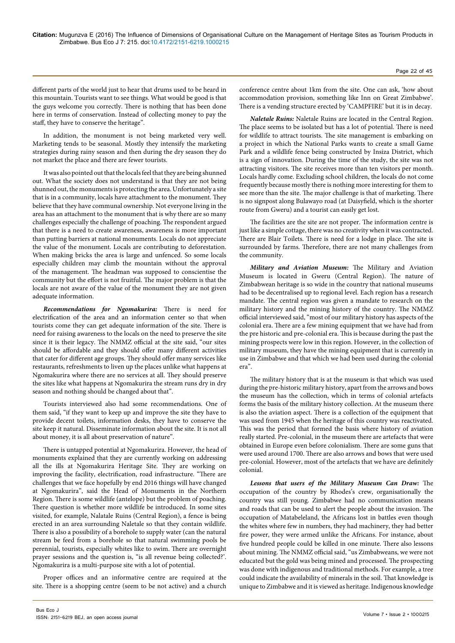different parts of the world just to hear that drums used to be heard in this mountain. Tourists want to see things. What would be good is that the guys welcome you correctly. There is nothing that has been done here in terms of conservation. Instead of collecting money to pay the staff, they have to conserve the heritage".

In addition, the monument is not being marketed very well. Marketing tends to be seasonal. Mostly they intensify the marketing strategies during rainy season and then during the dry season they do not market the place and there are fewer tourists.

It was also pointed out that the locals feel that they are being shunned out. What the society does not understand is that they are not being shunned out, the monuments is protecting the area. Unfortunately a site that is in a community, locals have attachment to the monument. They believe that they have communal ownership. Not everyone living in the area has an attachment to the monument that is why there are so many challenges especially the challenge of poaching. The respondent argued that there is a need to create awareness, awareness is more important than putting barriers at national monuments. Locals do not appreciate the value of the monument. Locals are contributing to deforestation. When making bricks the area is large and unfenced. So some locals especially children may climb the mountain without the approval of the management. The headman was supposed to conscientise the community but the effort is not fruitful. The major problem is that the locals are not aware of the value of the monument they are not given adequate information.

*Recommendations for Ngomakurira:* There is need for electrification of the area and an information center so that when tourists come they can get adequate information of the site. There is need for raising awareness to the locals on the need to preserve the site since it is their legacy. The NMMZ official at the site said, "our sites should be affordable and they should offer many different activities that cater for different age groups. They should offer many services like restaurants, refreshments to liven up the places unlike what happens at Ngomakurira where there are no services at all. They should preserve the sites like what happens at Ngomakurira the stream runs dry in dry season and nothing should be changed about that".

Tourists interviewed also had some recommendations. One of them said, "if they want to keep up and improve the site they have to provide decent toilets, information desks, they have to conserve the site keep it natural. Disseminate information about the site. It is not all about money, it is all about preservation of nature".

There is untapped potential at Ngomakurira. However, the head of monuments explained that they are currently working on addressing all the ills at Ngomakurira Heritage Site. They are working on improving the facility, electrification, road infrastructure. "There are challenges that we face hopefully by end 2016 things will have changed at Ngomakurira", said the Head of Monuments in the Northern Region. There is some wildlife (antelope) but the problem of poaching. There question is whether more wildlife be introduced. In some sites visited, for example, Nalatale Ruins (Central Region), a fence is being erected in an area surrounding Naletale so that they contain wildlife. There is also a possibility of a borehole to supply water (can the natural stream be feed from a borehole so that natural swimming pools be perennial, tourists, especially whites like to swim. There are overnight prayer sessions and the question is, "is all revenue being collected?'. Ngomakurira is a multi-purpose site with a lot of potential.

Proper offices and an informative centre are required at the site. There is a shopping centre (seem to be not active) and a church conference centre about 1km from the site. One can ask, 'how about accommodation provision, something like Inn on Great Zimbabwe'. There is a vending structure erected by 'CAMPFIRE' but it is in decay.

*Naletale Ruins:* Naletale Ruins are located in the Central Region. The place seems to be isolated but has a lot of potential. There is need for wildlife to attract tourists. The site management is embarking on a project in which the National Parks wants to create a small Game Park and a wildlife fence being constructed by Insiza District, which is a sign of innovation. During the time of the study, the site was not attracting visitors. The site receives more than ten visitors per month. Locals hardly come. Excluding school children, the locals do not come frequently because mostly there is nothing more interesting for them to see more than the site. The major challenge is that of marketing. There is no signpost along Bulawayo road (at Daisyfield, which is the shorter route from Gweru) and a tourist can easily get lost.

The facilities are the site are not proper. The information centre is just like a simple cottage, there was no creativity when it was contracted. There are Blair Toilets. There is need for a lodge in place. The site is surrounded by farms. Therefore, there are not many challenges from the community.

*Military and Aviation Museum:* The Military and Aviation Museum is located in Gweru (Central Region). The nature of Zimbabwean heritage is so wide in the country that national museums had to be decentralised up to regional level. Each region has a research mandate. The central region was given a mandate to research on the military history and the mining history of the country. The NMMZ official interviewed said, "most of our military history has aspects of the colonial era. There are a few mining equipment that we have had from the pre historic and pre-colonial era. This is because during the past the mining prospects were low in this region. However, in the collection of military museum, they have the mining equipment that is currently in use in Zimbabwe and that which we had been used during the colonial era".

The military history that is at the museum is that which was used during the pre-historic military history, apart from the arrows and bows the museum has the collection, which in terms of colonial artefacts forms the basis of the military history collection. At the museum there is also the aviation aspect. There is a collection of the equipment that was used from 1945 when the heritage of this country was reactivated. This was the period that formed the basis where history of aviation really started. Pre-colonial, in the museum there are artefacts that were obtained in Europe even before colonialism. There are some guns that were used around 1700. There are also arrows and bows that were used pre-colonial. However, most of the artefacts that we have are definitely colonial.

*Lessons that users of the Military Museum Can Draw:* The occupation of the country by Rhodes's crew, organisationally the country was still young. Zimbabwe had no communication means and roads that can be used to alert the people about the invasion. The occupation of Matabeleland, the Africans lost in battles even though the whites where few in numbers, they had machinery, they had better fire power, they were armed unlike the Africans. For instance, about five hundred people could be killed in one minute. There also lessons about mining. The NMMZ official said, "us Zimbabweans, we were not educated but the gold was being mined and processed. The prospecting was done with indigenous and traditional methods. For example, a tree could indicate the availability of minerals in the soil. That knowledge is unique to Zimbabwe and it is viewed as heritage. Indigenous knowledge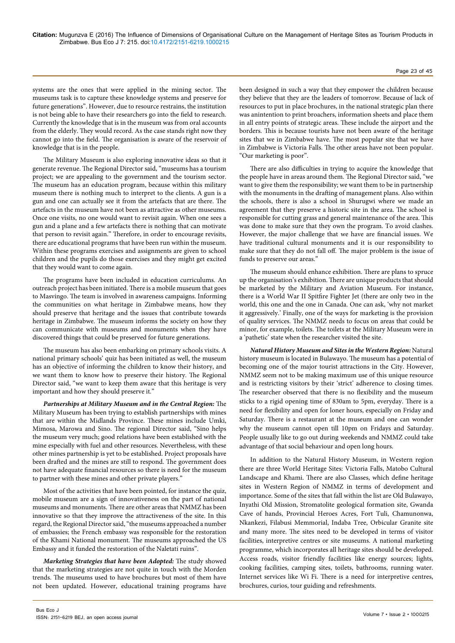systems are the ones that were applied in the mining sector. The museums task is to capture these knowledge systems and preserve for future generations". However, due to resource restrains, the institution is not being able to have their researchers go into the field to research. Currently the knowledge that is in the museum was from oral accounts from the elderly. They would record. As the case stands right now they cannot go into the field. The organisation is aware of the reservoir of knowledge that is in the people.

The Military Museum is also exploring innovative ideas so that it generate revenue. The Regional Director said, "museums has a tourism project; we are appealing to the government and the tourism sector. The museum has an education program, because within this military museum there is nothing much to interpret to the clients. A gun is a gun and one can actually see it from the artefacts that are there. The artefacts in the museum have not been as attractive as other museums. Once one visits, no one would want to revisit again. When one sees a gun and a plane and a few artefacts there is nothing that can motivate that person to revisit again." Therefore, in order to encourage revisits, there are educational programs that have been run within the museum. Within these programs exercises and assignments are given to school children and the pupils do those exercises and they might get excited that they would want to come again.

The programs have been included in education curriculums. An outreach project has been initiated. There is a mobile museum that goes to Masvingo. The team is involved in awareness campaigns. Informing the communities on what heritage in Zimbabwe means, how they should preserve that heritage and the issues that contribute towards heritage in Zimbabwe. The museum informs the society on how they can communicate with museums and monuments when they have discovered things that could be preserved for future generations.

The museum has also been embarking on primary schools visits. A national primary schools' quiz has been initiated as well, the museum has an objective of informing the children to know their history, and we want them to know how to preserve their history. The Regional Director said, "we want to keep them aware that this heritage is very important and how they should preserve it."

*Partnerships at Military Museum and in the Central Region:* The Military Museum has been trying to establish partnerships with mines that are within the Midlands Province. These mines include Umki, Mimosa, Marowa and Sino. The regional Director said, "Sino helps the museum very much; good relations have been established with the mine especially with fuel and other resources. Nevertheless, with these other mines partnership is yet to be established. Project proposals have been drafted and the mines are still to respond. The government does not have adequate financial resources so there is need for the museum to partner with these mines and other private players."

Most of the activities that have been pointed, for instance the quiz, mobile museum are a sign of innovativeness on the part of national museums and monuments. There are other areas that NMMZ has been innovative so that they improve the attractiveness of the site. In this regard, the Regional Director said, "the museums approached a number of embassies; the French embassy was responsible for the restoration of the Khami National monument. The museums approached the US Embassy and it funded the restoration of the Naletati ruins".

*Marketing Strategies that have been Adopted:* The study showed that the marketing strategies are not quite in touch with the Morden trends. The museums used to have brochures but most of them have not been updated. However, educational training programs have been designed in such a way that they empower the children because they believe that they are the leaders of tomorrow. Because of lack of resources to put in place brochures, in the national strategic plan there was anintention to print broachers, information sheets and place them in all entry points of strategic areas. These include the airport and the borders. This is because tourists have not been aware of the heritage sites that we in Zimbabwe have. The most popular site that we have in Zimbabwe is Victoria Falls. The other areas have not been popular. "Our marketing is poor".

There are also difficulties in trying to acquire the knowledge that the people have in areas around them. The Regional Director said, "we want to give them the responsibility; we want them to be in partnership with the monuments in the drafting of management plans. Also within the schools, there is also a school in Shurugwi where we made an agreement that they preserve a historic site in the area. The school is responsible for cutting grass and general maintenance of the area. This was done to make sure that they own the program. To avoid clashes. However, the major challenge that we have are financial issues. We have traditional cultural monuments and it is our responsibility to make sure that they do not fall off. The major problem is the issue of funds to preserve our areas."

The museum should enhance exhibition. There are plans to spruce up the organisation's exhibition. There are unique products that should be marketed by the Military and Aviation Museum. For instance, there is a World War II Spitfire Fighter Jet (there are only two in the world, this one and the one in Canada. One can ask, 'why not market it aggressively.' Finally, one of the ways for marketing is the provision of quality services. The NMMZ needs to focus on areas that could be minor, for example, toilets. The toilets at the Military Museum were in a 'pathetic' state when the researcher visited the site.

*Natural History Museum and Sites in the Western Region:* Natural history museum is located in Bulawayo. The museum has a potential of becoming one of the major tourist attractions in the City. However, NMMZ seem not to be making maximum use of this unique resource and is restricting visitors by their 'strict' adherence to closing times. The researcher observed that there is no flexibility and the museum sticks to a rigid opening time of 830am to 5pm, everyday. There is a need for flexibility and open for loner hours, especially on Friday and Saturday. There is a restaurant at the museum and one can wonder why the museum cannot open till 10pm on Fridays and Saturday. People usually like to go out during weekends and NMMZ could take advantage of that social behaviour and open long hours.

In addition to the Natural History Museum, in Western region there are three World Heritage Sites: Victoria Falls, Matobo Cultural Landscape and Khami. There are also Classes, which define heritage sites in Western Region of NMMZ in terms of development and importance. Some of the sites that fall within the list are Old Bulawayo, Inyathi Old Mission, Stromatolite geological formation site, Gwanda Cave of hands, Provincial Heroes Acres, Fort Tuli, Chamunonwa, Nkankezi, Filabusi Memmorial, Indaba Tree, Orbicular Granite site and many more. The sites need to be developed in terms of visitor facilities, interpretive centres or site museums. A national marketing programme, which incorporates all heritage sites should be developed. Access roads, visitor friendly facilities like energy sources; lights, cooking facilities, camping sites, toilets, bathrooms, running water. Internet services like Wi Fi. There is a need for interpretive centres, brochures, curios, tour guiding and refreshments.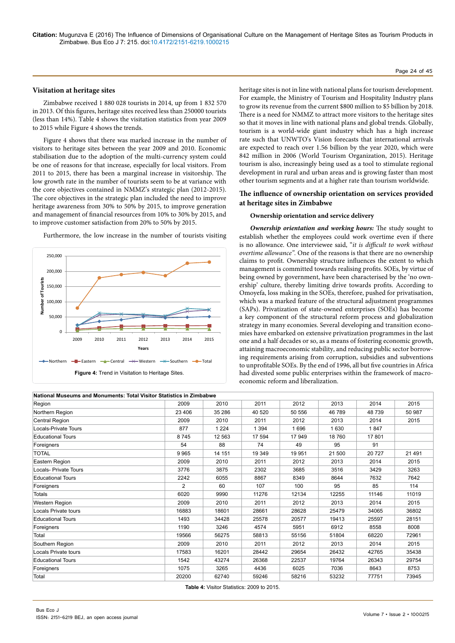# Page 24 of 45

#### **Visitation at heritage sites**

Zimbabwe received 1 880 028 tourists in 2014, up from 1 832 570 in 2013. Of this figures, heritage sites received less than 250000 tourists (less than 14%). Table 4 shows the visitation statistics from year 2009 to 2015 while Figure 4 shows the trends.

Figure 4 shows that there was marked increase in the number of visitors to heritage sites between the year 2009 and 2010. Economic stabilisation due to the adoption of the multi-currency system could be one of reasons for that increase, especially for local visitors. From 2011 to 2015, there has been a marginal increase in visitorship. The low growth rate in the number of tourists seem to be at variance with the core objectives contained in NMMZ's strategic plan (2012-2015). The core objectives in the strategic plan included the need to improve heritage awareness from 30% to 50% by 2015, to improve generation and management of financial resources from 10% to 30% by 2015, and to improve customer satisfaction from 20% to 50% by 2015.



Furthermore, the low increase in the number of tourists visiting

heritage sites is not in line with national plans for tourism development. For example, the Ministry of Tourism and Hospitality Industry plans to grow its revenue from the current \$800 million to \$5 billion by 2018. There is a need for NMMZ to attract more visitors to the heritage sites so that it moves in line with national plans and global trends. Globally, tourism is a world-wide giant industry which has a high increase rate such that UNWTO's Vision forecasts that international arrivals are expected to reach over 1.56 billion by the year 2020, which were 842 million in 2006 (World Tourism Organization, 2015). Heritage tourism is also, increasingly being used as a tool to stimulate regional development in rural and urban areas and is growing faster than most other tourism segments and at a higher rate than tourism worldwide.

# **The influence of ownership orientation on services provided at heritage sites in Zimbabwe**

#### **Ownership orientation and service delivery**

*Ownership orientation and working hours:* The study sought to establish whether the employees could work overtime even if there is no allowance. One interviewee said, "*it is difficult to work without overtime allowance".* One of the reasons is that there are no ownership claims to profit. Ownership structure influences the extent to which management is committed towards realising profits. SOEs, by virtue of being owned by government, have been characterised by the 'no ownership' culture, thereby limiting drive towards profits. According to Omoyefa, loss making in the SOEs, therefore, pushed for privatisation, which was a marked feature of the structural adjustment programmes (SAPs). Privatization of state-owned enterprises (SOEs) has become a key component of the structural reform process and globalization strategy in many economies. Several developing and transition economies have embarked on extensive privatization programmes in the last one and a half decades or so, as a means of fostering economic growth, attaining macroeconomic stability, and reducing public sector borrowing requirements arising from corruption, subsidies and subventions to unprofitable SOEs. By the end of 1996, all but five countries in Africa had divested some public enterprises within the framework of macroeconomic reform and liberalization.

| National Museums and Monuments: Total Visitor Statistics in Zimbabwe |        |         |         |        |         |         |        |
|----------------------------------------------------------------------|--------|---------|---------|--------|---------|---------|--------|
| Region                                                               | 2009   | 2010    | 2011    | 2012   | 2013    | 2014    | 2015   |
| Northern Region                                                      | 23 406 | 35 286  | 40 520  | 50 556 | 46 789  | 48739   | 50 987 |
| Central Region                                                       | 2009   | 2010    | 2011    | 2012   | 2013    | 2014    | 2015   |
| Locals-Private Tours                                                 | 877    | 1 2 2 4 | 1 3 9 4 | 1696   | 1 6 3 0 | 1847    |        |
| <b>Educational Tours</b>                                             | 8745   | 12 5 63 | 17 594  | 17949  | 18760   | 17801   |        |
| Foreigners                                                           | 54     | 88      | 74      | 49     | 95      | 91      |        |
| <b>TOTAL</b>                                                         | 9965   | 14 151  | 19 349  | 19951  | 21 500  | 20 7 27 | 21 491 |
| Eastern Region                                                       | 2009   | 2010    | 2011    | 2012   | 2013    | 2014    | 2015   |
| Locals- Private Tours                                                | 3776   | 3875    | 2302    | 3685   | 3516    | 3429    | 3263   |
| <b>Educational Tours</b>                                             | 2242   | 6055    | 8867    | 8349   | 8644    | 7632    | 7642   |
| Foreigners                                                           | 2      | 60      | 107     | 100    | 95      | 85      | 114    |
| <b>Totals</b>                                                        | 6020   | 9990    | 11276   | 12134  | 12255   | 11146   | 11019  |
| Western Region                                                       | 2009   | 2010    | 2011    | 2012   | 2013    | 2014    | 2015   |
| Locals Private tours                                                 | 16883  | 18601   | 28661   | 28628  | 25479   | 34065   | 36802  |
| <b>Educational Tours</b>                                             | 1493   | 34428   | 25578   | 20577  | 19413   | 25597   | 28151  |
| Foreigners                                                           | 1190   | 3246    | 4574    | 5951   | 6912    | 8558    | 8008   |
| Total                                                                | 19566  | 56275   | 58813   | 55156  | 51804   | 68220   | 72961  |
| Southern Region                                                      | 2009   | 2010    | 2011    | 2012   | 2013    | 2014    | 2015   |
| Locals Private tours                                                 | 17583  | 16201   | 28442   | 29654  | 26432   | 42765   | 35438  |
| <b>Educational Tours</b>                                             | 1542   | 43274   | 26368   | 22537  | 19764   | 26343   | 29754  |
| Foreigners                                                           | 1075   | 3265    | 4436    | 6025   | 7036    | 8643    | 8753   |
| Total                                                                | 20200  | 62740   | 59246   | 58216  | 53232   | 77751   | 73945  |

**Table 4:** Visitor Statistics: 2009 to 2015.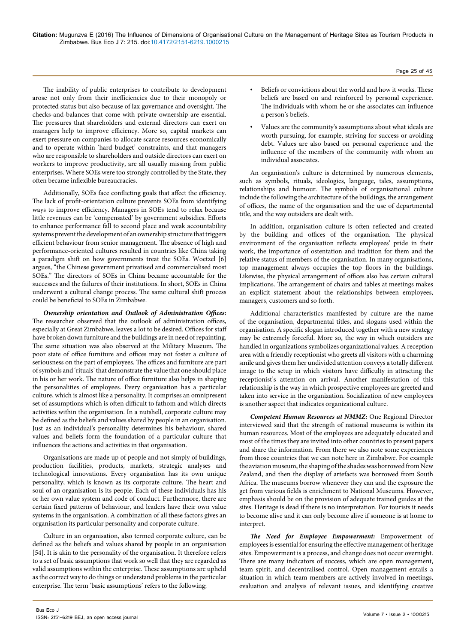The inability of public enterprises to contribute to development arose not only from their inefficiencies due to their monopoly or protected status but also because of lax governance and oversight. The checks-and-balances that come with private ownership are essential. The pressures that shareholders and external directors can exert on managers help to improve efficiency. More so, capital markets can exert pressure on companies to allocate scarce resources economically and to operate within 'hard budget' constraints, and that managers who are responsible to shareholders and outside directors can exert on workers to improve productivity, are all usually missing from public enterprises. Where SOEs were too strongly controlled by the State, they often became inflexible bureaucracies.

Additionally, SOEs face conflicting goals that affect the efficiency. The lack of profit-orientation culture prevents SOEs from identifying ways to improve efficiency. Managers in SOEs tend to relax because little revenues can be 'compensated' by government subsidies. Efforts to enhance performance fall to second place and weak accountability systems prevent the development of an ownership structure that triggers efficient behaviour from senior management. The absence of high and performance-oriented cultures resulted in countries like China taking a paradigm shift on how governments treat the SOEs. Woetzel [6] argues, "the Chinese government privatised and commercialised most SOEs." The directors of SOEs in China became accountable for the successes and the failures of their institutions. In short, SOEs in China underwent a cultural change process. The same cultural shift process could be beneficial to SOEs in Zimbabwe.

*Ownership orientation and Outlook of Administration Offices:*  The researcher observed that the outlook of administration offices, especially at Great Zimbabwe, leaves a lot to be desired. Offices for staff have broken down furniture and the buildings are in need of repainting. The same situation was also observed at the Military Museum. The poor state of office furniture and offices may not foster a culture of seriousness on the part of employees. The offices and furniture are part of symbols and 'rituals' that demonstrate the value that one should place in his or her work. The nature of office furniture also helps in shaping the personalities of employees. Every organisation has a particular culture, which is almost like a personality. It comprises an omnipresent set of assumptions which is often difficult to fathom and which directs activities within the organisation. In a nutshell, corporate culture may be defined as the beliefs and values shared by people in an organisation. Just as an individual's personality determines his behaviour, shared values and beliefs form the foundation of a particular culture that influences the actions and activities in that organisation.

Organisations are made up of people and not simply of buildings, production facilities, products, markets, strategic analyses and technological innovations. Every organisation has its own unique personality, which is known as its corporate culture. The heart and soul of an organisation is its people. Each of these individuals has his or her own value system and code of conduct. Furthermore, there are certain fixed patterns of behaviour, and leaders have their own value systems in the organisation. A combination of all these factors gives an organisation its particular personality and corporate culture.

Culture in an organisation, also termed corporate culture, can be defined as the beliefs and values shared by people in an organisation [54]. It is akin to the personality of the organisation. It therefore refers to a set of basic assumptions that work so well that they are regarded as valid assumptions within the enterprise. These assumptions are upheld as the correct way to do things or understand problems in the particular enterprise. The term 'basic assumptions' refers to the following;

• Values are the community's assumptions about what ideals are worth pursuing, for example, striving for success or avoiding debt. Values are also based on personal experience and the influence of the members of the community with whom an individual associates.

An organisation's culture is determined by numerous elements, such as symbols, rituals, ideologies, language, tales, assumptions, relationships and humour. The symbols of organisational culture include the following the architecture of the buildings, the arrangement of offices, the name of the organisation and the use of departmental title, and the way outsiders are dealt with.

In addition, organisation culture is often reflected and created by the building and offices of the organisation. The physical environment of the organisation reflects employees' pride in their work, the importance of ostentation and tradition for them and the relative status of members of the organisation. In many organisations, top management always occupies the top floors in the buildings. Likewise, the physical arrangement of offices also has certain cultural implications. The arrangement of chairs and tables at meetings makes an explicit statement about the relationships between employees, managers, customers and so forth.

Additional characteristics manifested by culture are the name of the organisation, departmental titles, and slogans used within the organisation. A specific slogan introduced together with a new strategy may be extremely forceful. More so, the way in which outsiders are handled in organizations symbolizes organizational values. A reception area with a friendly receptionist who greets all visitors with a charming smile and gives them her undivided attention conveys a totally different image to the setup in which visitors have difficulty in attracting the receptionist's attention on arrival. Another manifestation of this relationship is the way in which prospective employees are greeted and taken into service in the organization. Socialization of new employees is another aspect that indicates organizational culture.

*Competent Human Resources at NMMZ:* One Regional Director interviewed said that the strength of national museums is within its human resources. Most of the employees are adequately educated and most of the times they are invited into other countries to present papers and share the information. From there we also note some experiences from those countries that we can note here in Zimbabwe. For example the aviation museum, the shaping of the shades was borrowed from New Zealand, and then the display of artefacts was borrowed from South Africa. The museums borrow whenever they can and the exposure the get from various fields is enrichment to National Museums. However, emphasis should be on the provision of adequate trained guides at the sites. Heritage is dead if there is no interpretation. For tourists it needs to become alive and it can only become alive if someone is at home to interpret.

*The Need for Employee Empowerment:* Empowerment of employees is essential for ensuring the effective management of heritage sites. Empowerment is a process, and change does not occur overnight. There are many indicators of success, which are open management, team spirit, and decentralised control. Open management entails a situation in which team members are actively involved in meetings, evaluation and analysis of relevant issues, and identifying creative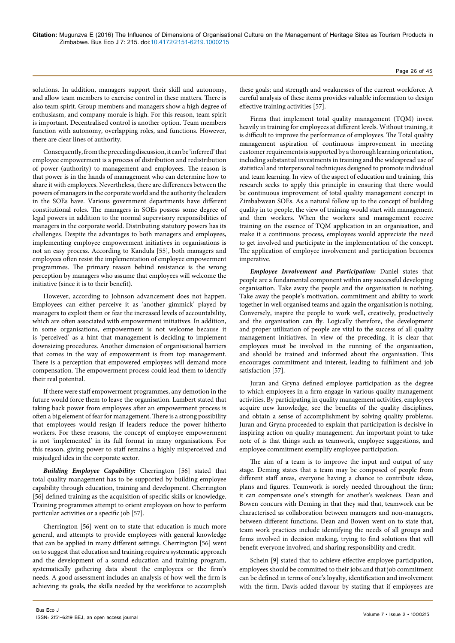solutions. In addition, managers support their skill and autonomy, and allow team members to exercise control in these matters. There is also team spirit. Group members and managers show a high degree of enthusiasm, and company morale is high. For this reason, team spirit is important. Decentralised control is another option. Team members function with autonomy, overlapping roles, and functions. However, there are clear lines of authority.

Consequently, from the preceding discussion, it can be 'inferred' that employee empowerment is a process of distribution and redistribution of power (authority) to management and employees. The reason is that power is in the hands of management who can determine how to share it with employees. Nevertheless, there are differences between the powers of managers in the corporate world and the authority the leaders in the SOEs have. Various government departments have different constitutional roles. The managers in SOEs possess some degree of legal powers in addition to the normal supervisory responsibilities of managers in the corporate world. Distributing statutory powers has its challenges. Despite the advantages to both managers and employees, implementing employee empowerment initiatives in organisations is not an easy process. According to Kandula [55], both managers and employees often resist the implementation of employee empowerment programmes. The primary reason behind resistance is the wrong perception by managers who assume that employees will welcome the initiative (since it is to their benefit).

However, according to Johnson advancement does not happen. Employees can either perceive it as 'another gimmick' played by managers to exploit them or fear the increased levels of accountability, which are often associated with empowerment initiatives. In addition, in some organisations, empowerment is not welcome because it is 'perceived' as a hint that management is deciding to implement downsizing procedures. Another dimension of organisational barriers that comes in the way of empowerment is from top management. There is a perception that empowered employees will demand more compensation. The empowerment process could lead them to identify their real potential.

If there were staff empowerment programmes, any demotion in the future would force them to leave the organisation. Lambert stated that taking back power from employees after an empowerment process is often a big element of fear for management. There is a strong possibility that employees would resign if leaders reduce the power hitherto workers. For these reasons, the concept of employee empowerment is not 'implemented' in its full format in many organisations. For this reason, giving power to staff remains a highly misperceived and misjudged idea in the corporate sector.

*Building Employee Capability:* Cherrington [56] stated that total quality management has to be supported by building employee capability through education, training and development. Cherrington [56] defined training as the acquisition of specific skills or knowledge. Training programmes attempt to orient employees on how to perform particular activities or a specific job [57].

Cherrington [56] went on to state that education is much more general, and attempts to provide employees with general knowledge that can be applied in many different settings. Cherrington [56] went on to suggest that education and training require a systematic approach and the development of a sound education and training program, systematically gathering data about the employees or the firm's needs. A good assessment includes an analysis of how well the firm is achieving its goals, the skills needed by the workforce to accomplish these goals; and strength and weaknesses of the current workforce. A careful analysis of these items provides valuable information to design effective training activities [57].

Firms that implement total quality management (TQM) invest heavily in training for employees at different levels. Without training, it is difficult to improve the performance of employees. The Total quality management aspiration of continuous improvement in meeting customer requirements is supported by a thorough learning orientation, including substantial investments in training and the widespread use of statistical and interpersonal techniques designed to promote individual and team learning. In view of the aspect of education and training, this research seeks to apply this principle in ensuring that there would be continuous improvement of total quality management concept in Zimbabwean SOEs. As a natural follow up to the concept of building quality in to people, the view of training would start with management and then workers. When the workers and management receive training on the essence of TQM application in an organisation, and make it a continuous process, employees would appreciate the need to get involved and participate in the implementation of the concept. The application of employee involvement and participation becomes imperative.

*Employee Involvement and Participation:* Daniel states that people are a fundamental component within any successful developing organisation. Take away the people and the organisation is nothing. Take away the people's motivation, commitment and ability to work together in well organised teams and again the organisation is nothing. Conversely, inspire the people to work well, creatively, productively and the organisation can fly. Logically therefore, the development and proper utilization of people are vital to the success of all quality management initiatives. In view of the preceding, it is clear that employees must be involved in the running of the organisation, and should be trained and informed about the organisation. This encourages commitment and interest, leading to fulfilment and job satisfaction [57].

Juran and Gryna defined employee participation as the degree to which employees in a firm engage in various quality management activities. By participating in quality management activities, employees acquire new knowledge, see the benefits of the quality disciplines, and obtain a sense of accomplishment by solving quality problems. Juran and Gryna proceeded to explain that participation is decisive in inspiring action on quality management. An important point to take note of is that things such as teamwork, employee suggestions, and employee commitment exemplify employee participation.

The aim of a team is to improve the input and output of any stage. Deming states that a team may be composed of people from different staff areas, everyone having a chance to contribute ideas, plans and figures. Teamwork is sorely needed throughout the firm; it can compensate one's strength for another's weakness. Dean and Bowen concurs with Deming in that they said that, teamwork can be characterised as collaboration between managers and non-managers, between different functions. Dean and Bowen went on to state that, team work practices include identifying the needs of all groups and firms involved in decision making, trying to find solutions that will benefit everyone involved, and sharing responsibility and credit.

Schein [9] stated that to achieve effective employee participation, employees should be committed to their jobs and that job commitment can be defined in terms of one's loyalty, identification and involvement with the firm. Davis added flavour by stating that if employees are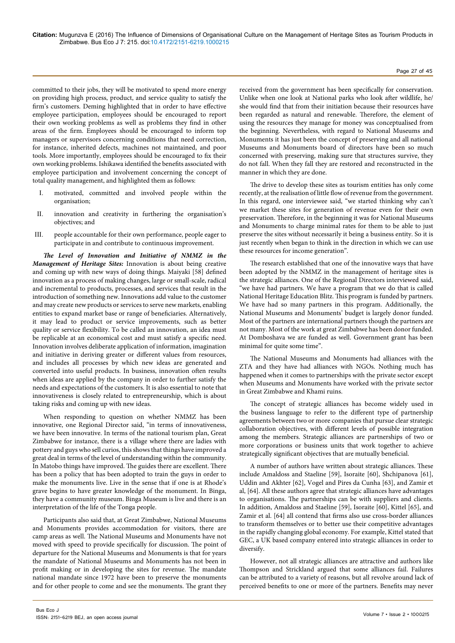#### Page 27 of 45

committed to their jobs, they will be motivated to spend more energy on providing high process, product, and service quality to satisfy the firm's customers. Deming highlighted that in order to have effective employee participation, employees should be encouraged to report their own working problems as well as problems they find in other areas of the firm. Employees should be encouraged to inform top managers or supervisors concerning conditions that need correction, for instance, inherited defects, machines not maintained, and poor tools. More importantly, employees should be encouraged to fix their own working problems. Ishikawa identified the benefits associated with employee participation and involvement concerning the concept of total quality management, and highlighted them as follows:

- I. motivated, committed and involved people within the organisation;
- II. innovation and creativity in furthering the organisation's objectives; and
- III. people accountable for their own performance, people eager to participate in and contribute to continuous improvement.

*The Level of Innovation and Initiative of NMMZ in the Management of Heritage Sites:* Innovation is about being creative and coming up with new ways of doing things. Maiyaki [58] defined innovation as a process of making changes, large or small-scale, radical and incremental to products, processes, and services that result in the introduction of something new. Innovations add value to the customer and may create new products or services to serve new markets, enabling entities to expand market base or range of beneficiaries. Alternatively, it may lead to product or service improvements, such as better quality or service flexibility. To be called an innovation, an idea must be replicable at an economical cost and must satisfy a specific need. Innovation involves deliberate application of information, imagination and initiative in deriving greater or different values from resources, and includes all processes by which new ideas are generated and converted into useful products. In business, innovation often results when ideas are applied by the company in order to further satisfy the needs and expectations of the customers. It is also essential to note that innovativeness is closely related to entrepreneurship, which is about taking risks and coming up with new ideas.

When responding to question on whether NMMZ has been innovative, one Regional Director said, "in terms of innovativeness, we have been innovative. In terms of the national tourism plan, Great Zimbabwe for instance, there is a village where there are ladies with pottery and guys who sell curios, this shows that things have improved a great deal in terms of the level of understanding within the community. In Matobo things have improved. The guides there are excellent. There has been a policy that has been adopted to train the guys in order to make the monuments live. Live in the sense that if one is at Rhode's grave begins to have greater knowledge of the monument. In Binga, they have a community museum. Binga Museum is live and there is an interpretation of the life of the Tonga people.

Participants also said that, at Great Zimbabwe, National Museums and Monuments provides accommodation for visitors, there are camp areas as well. The National Museums and Monuments have not moved with speed to provide specifically for discussion. The point of departure for the National Museums and Monuments is that for years the mandate of National Museums and Monuments has not been in profit making or in developing the sites for revenue. The mandate national mandate since 1972 have been to preserve the monuments and for other people to come and see the monuments. The grant they

received from the government has been specifically for conservation. Unlike when one look at National parks who look after wildlife, he/ she would find that from their initiation because their resources have been regarded as natural and renewable. Therefore, the element of using the resources they manage for money was conceptualised from the beginning. Nevertheless, with regard to National Museums and Monuments it has just been the concept of preserving and all national Museums and Monuments board of directors have been so much concerned with preserving, making sure that structures survive, they do not fall. When they fall they are restored and reconstructed in the manner in which they are done.

The drive to develop these sites as tourism entities has only come recently, at the realisation of little flow of revenue from the government. In this regard, one interviewee said, "we started thinking why can't we market these sites for generation of revenue even for their own preservation. Therefore, in the beginning it was for National Museums and Monuments to charge minimal rates for them to be able to just preserve the sites without necessarily it being a business entity. So it is just recently when began to think in the direction in which we can use these resources for income generation".

The research established that one of the innovative ways that have been adopted by the NMMZ in the management of heritage sites is the strategic alliances. One of the Regional Directors interviewed said, "we have had partners. We have a program that we do that is called National Heritage Education Blitz. This program is funded by partners. We have had so many partners in this program. Additionally, the National Museums and Monuments' budget is largely donor funded. Most of the partners are international partners though the partners are not many. Most of the work at great Zimbabwe has been donor funded. At Domboshava we are funded as well. Government grant has been minimal for quite some time".

The National Museums and Monuments had alliances with the ZTA and they have had alliances with NGOs. Nothing much has happened when it comes to partnerships with the private sector except when Museums and Monuments have worked with the private sector in Great Zimbabwe and Khami ruins.

The concept of strategic alliances has become widely used in the business language to refer to the different type of partnership agreements between two or more companies that pursue clear strategic collaboration objectives, with different levels of possible integration among the members. Strategic alliances are partnerships of two or more corporations or business units that work together to achieve strategically significant objectives that are mutually beneficial.

A number of authors have written about strategic alliances. These include Amaldoss and Staeline [59], Isoraite [60], Shchipanova [61], Uddin and Akhter [62], Vogel and Pires da Cunha [63], and Zamir et al, [64]. All these authors agree that strategic alliances have advantages to organisations. The partnerships can be with suppliers and clients. In addition, Amaldoss and Staeline [59], Isoraite [60], Kittel [65], and Zamir et al. [64] all contend that firms also use cross-border alliances to transform themselves or to better use their competitive advantages in the rapidly changing global economy. For example, Kittel stated that GEC, a UK based company entered into strategic alliances in order to diversify.

However, not all strategic alliances are attractive and authors like Thompson and Strickland argued that some alliances fail. Failures can be attributed to a variety of reasons, but all revolve around lack of perceived benefits to one or more of the partners. Benefits may never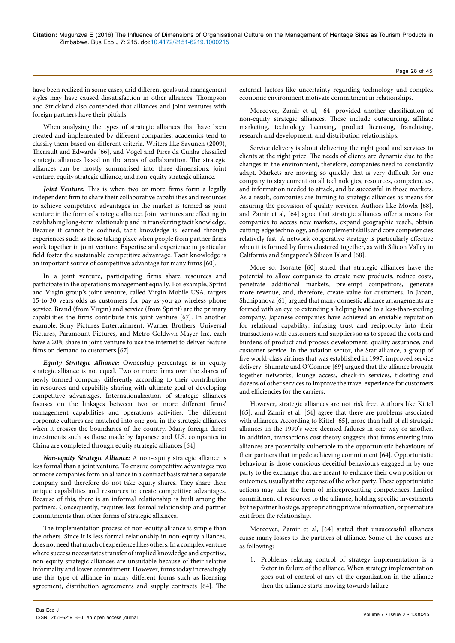have been realized in some cases, arid different goals and management styles may have caused dissatisfaction in other alliances. Thompson and Strickland also contended that alliances and joint ventures with foreign partners have their pitfalls.

When analysing the types of strategic alliances that have been created and implemented by different companies, academics tend to classify them based on different criteria. Writers like Savunen (2009), Theriault and Edwards [66], and Vogel and Pires da Cunha classified strategic alliances based on the areas of collaboration. The strategic alliances can be mostly summarised into three dimensions: joint venture, equity strategic alliance, and non-equity strategic alliance.

*Joint Venture:* This is when two or more firms form a legally independent firm to share their collaborative capabilities and resources to achieve competitive advantages in the market is termed as joint venture in the form of strategic alliance. Joint ventures are effecting in establishing long-term relationship and in transferring tacit knowledge. Because it cannot be codified, tacit knowledge is learned through experiences such as those taking place when people from partner firms work together in joint venture. Expertise and experience in particular field foster the sustainable competitive advantage. Tacit knowledge is an important source of competitive advantage for many firms [60].

In a joint venture, participating firms share resources and participate in the operations management equally. For example, Sprint and Virgin group's joint venture, called Virgin Mobile USA, targets 15-to-30 years-olds as customers for pay-as-you-go wireless phone service. Brand (from Virgin) and service (from Sprint) are the primary capabilities the firms contribute this joint venture [67]. In another example, Sony Pictures Entertainment, Warner Brothers, Universal Pictures, Paramount Pictures, and Metro-Goldwyn-Mayer Inc. each have a 20% share in joint venture to use the internet to deliver feature films on demand to customers [67].

*Equity Strategic Alliance:* Ownership percentage is in equity strategic alliance is not equal. Two or more firms own the shares of newly formed company differently according to their contribution in resources and capability sharing with ultimate goal of developing competitive advantages. Internationalization of strategic alliances focuses on the linkages between two or more different firms' management capabilities and operations activities. The different corporate cultures are matched into one goal in the strategic alliances when it crosses the boundaries of the country. Many foreign direct investments such as those made by Japanese and U.S. companies in China are completed through equity strategic alliances [64].

*Non-equity Strategic Alliance:* A non-equity strategic alliance is less formal than a joint venture. To ensure competitive advantages two or more companies form an alliance in a contract basis rather a separate company and therefore do not take equity shares. They share their unique capabilities and resources to create competitive advantages. Because of this, there is an informal relationship is built among the partners. Consequently, requires less formal relationship and partner commitments than other forms of strategic alliances.

The implementation process of non-equity alliance is simple than the others. Since it is less formal relationship in non-equity alliances, does not need that much of experience likes others. In a complex venture where success necessitates transfer of implied knowledge and expertise, non-equity strategic alliances are unsuitable because of their relative informality and lower commitment. However, firms today increasingly use this type of alliance in many different forms such as licensing agreement, distribution agreements and supply contracts [64]. The external factors like uncertainty regarding technology and complex economic environment motivate commitment in relationships.

Moreover, Zamir et al, [64] provided another classification of non-equity strategic alliances. These include outsourcing, affiliate marketing, technology licensing, product licensing, franchising, research and development, and distribution relationships.

Service delivery is about delivering the right good and services to clients at the right price. The needs of clients are dynamic due to the changes in the environment, therefore, companies need to constantly adapt. Markets are moving so quickly that is very difficult for one company to stay current on all technologies, resources, competencies, and information needed to attack, and be successful in those markets. As a result, companies are turning to strategic alliances as means for ensuring the provision of quality services. Authors like Mowla [68], and Zamir et al, [64] agree that strategic alliances offer a means for companies to access new markets, expand geographic reach, obtain cutting-edge technology, and complement skills and core competencies relatively fast. A network cooperative strategy is particularly effective when it is formed by firms clustered together, as with Silicon Valley in California and Singapore's Silicon Island [68].

More so, Isoraite [60] stated that strategic alliances have the potential to allow companies to create new products, reduce costs, penetrate additional markets, pre-empt competitors, generate more revenue, and, therefore, create value for customers. In Japan, Shchipanova [61] argued that many domestic alliance arrangements are formed with an eye to extending a helping hand to a less-than-sterling company. Japanese companies have achieved an enviable reputation for relational capability, infusing trust and reciprocity into their transactions with customers and suppliers so as to spread the costs and burdens of product and process development, quality assurance, and customer service. In the aviation sector, the Star alliance, a group of five world-class airlines that was established in 1997, improved service delivery. Shumate and O'Connor [69] argued that the alliance brought together networks, lounge access, check-in services, ticketing and dozens of other services to improve the travel experience for customers and efficiencies for the carriers.

However, strategic alliances are not risk free. Authors like Kittel [65], and Zamir et al, [64] agree that there are problems associated with alliances. According to Kittel [65], more than half of all strategic alliances in the 1990's were deemed failures in one way or another. In addition, transactions cost theory suggests that firms entering into alliances are potentially vulnerable to the opportunistic behaviours of their partners that impede achieving commitment [64]. Opportunistic behaviour is those conscious deceitful behaviours engaged in by one party to the exchange that are meant to enhance their own position or outcomes, usually at the expense of the other party. These opportunistic actions may take the form of misrepresenting competences, limited commitment of resources to the alliance, holding specific investments by the partner hostage, appropriating private information, or premature exit from the relationship.

Moreover, Zamir et al, [64] stated that unsuccessful alliances cause many losses to the partners of alliance. Some of the causes are as following:

1. Problems relating control of strategy implementation is a factor in failure of the alliance. When strategy implementation goes out of control of any of the organization in the alliance then the alliance starts moving towards failure.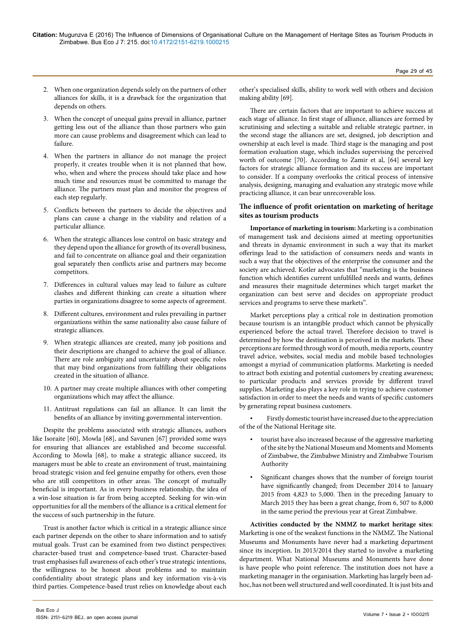- 2. When one organization depends solely on the partners of other alliances for skills, it is a drawback for the organization that depends on others.
- 3. When the concept of unequal gains prevail in alliance, partner getting less out of the alliance than those partners who gain more can cause problems and disagreement which can lead to failure.
- 4. When the partners in alliance do not manage the project properly, it creates trouble when it is not planned that how, who, when and where the process should take place and how much time and resources must be committed to manage the alliance. The partners must plan and monitor the progress of each step regularly.
- 5. Conflicts between the partners to decide the objectives and plans can cause a change in the viability and relation of a particular alliance.
- 6. When the strategic alliances lose control on basic strategy and they depend upon the alliance for growth of its overall business, and fail to concentrate on alliance goal and their organization goal separately then conflicts arise and partners may become competitors.
- 7. Differences in cultural values may lead to failure as culture clashes and different thinking can create a situation where parties in organizations disagree to some aspects of agreement.
- 8. Different cultures, environment and rules prevailing in partner organizations within the same nationality also cause failure of strategic alliances.
- 9. When strategic alliances are created, many job positions and their descriptions are changed to achieve the goal of alliance. There are role ambiguity and uncertainty about specific roles that may bind organizations from fulfilling their obligations created in the situation of alliance.
- 10. A partner may create multiple alliances with other competing organizations which may affect the alliance.
- 11. Antitrust regulations can fail an alliance. It can limit the benefits of an alliance by inviting governmental intervention.

Despite the problems associated with strategic alliances, authors like Isoraite [60], Mowla [68], and Savunen [67] provided some ways for ensuring that alliances are established and become successful. According to Mowla [68], to make a strategic alliance succeed, its managers must be able to create an environment of trust, maintaining broad strategic vision and feel genuine empathy for others, even those who are still competitors in other areas. The concept of mutually beneficial is important. As in every business relationship, the idea of a win-lose situation is far from being accepted. Seeking for win-win opportunities for all the members of the alliance is a critical element for the success of such partnership in the future.

Trust is another factor which is critical in a strategic alliance since each partner depends on the other to share information and to satisfy mutual goals. Trust can be examined from two distinct perspectives: character-based trust and competence-based trust. Character-based trust emphasises full awareness of each other's true strategic intentions, the willingness to be honest about problems and to maintain confidentiality about strategic plans and key information vis-à-vis third parties. Competence-based trust relies on knowledge about each

other's specialised skills, ability to work well with others and decision making ability [69].

There are certain factors that are important to achieve success at each stage of alliance. In first stage of alliance, alliances are formed by scrutinising and selecting a suitable and reliable strategic partner, in the second stage the alliances are set, designed, job description and ownership at each level is made. Third stage is the managing and post formation evaluation stage, which includes supervising the perceived worth of outcome [70]. According to Zamir et al, [64] several key factors for strategic alliance formation and its success are important to consider. If a company overlooks the critical process of intensive analysis, designing, managing and evaluation any strategic move while practicing alliance, it can bear unrecoverable loss.

# **The influence of profit orientation on marketing of heritage sites as tourism products**

**Importance of marketing in tourism:** Marketing is a combination of management task and decisions aimed at meeting opportunities and threats in dynamic environment in such a way that its market offerings lead to the satisfaction of consumers needs and wants in such a way that the objectives of the enterprise the consumer and the society are achieved. Kotler advocates that "marketing is the business function which identifies current unfulfilled needs and wants, defines and measures their magnitude determines which target market the organization can best serve and decides on appropriate product services and programs to serve these markets".

Market perceptions play a critical role in destination promotion because tourism is an intangible product which cannot be physically experienced before the actual travel. Therefore decision to travel is determined by how the destination is perceived in the markets. These perceptions are formed through word of mouth, media reports, country travel advice, websites, social media and mobile based technologies amongst a myriad of communication platforms. Marketing is needed to attract both existing and potential customers by creating awareness; to particular products and services provide by different travel supplies. Marketing also plays a key role in trying to achieve customer satisfaction in order to meet the needs and wants of specific customers by generating repeat business customers.

• Firstly domestic tourist have increased due to the appreciation of the of the National Heritage site.

- tourist have also increased because of the aggressive marketing of the site by the National Museum and Moments and Moments of Zimbabwe, the Zimbabwe Ministry and Zimbabwe Tourism Authority
- Significant changes shows that the number of foreign tourist have significantly changed; from December 2014 to January 2015 from 4,823 to 5,000. Then in the preceding January to March 2015 they has been a great change, from 6, 507 to 8,000 in the same period the previous year at Great Zimbabwe.

**Activities conducted by the NMMZ to market heritage sites**: Marketing is one of the weakest functions in the NMMZ. The National Museums and Monuments have never had a marketing department since its inception. In 2013/2014 they started to involve a marketing department. What National Museums and Monuments have done is have people who point reference. The institution does not have a marketing manager in the organisation. Marketing has largely been adhoc, has not been well structured and well coordinated. It is just bits and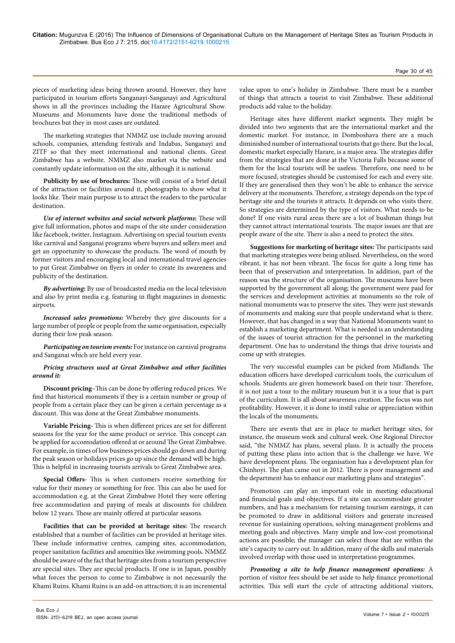pieces of marketing ideas being thrown around. However, they have participated in tourism efforts Sanganayi-Sanganayi and Agricultural shows in all the provinces including the Harare Agricultural Show. Museums and Monuments have done the traditional methods of brochures but they in most cases are outdated.

The marketing strategies that NMMZ use include moving around schools, companies, attending festivals and Indabas, Sanganayi and ZITF so that they meet international and national clients. Great Zimbabwe has a website. NMMZ also market via the website and constantly update information on the site, although it is national.

**Publicity by use of brochures:** These will consist of a brief detail of the attraction or facilities around it, photographs to show what it looks like. Their main purpose is to attract the readers to the particular destination.

*Use of internet websites and social network platforms:* These will give full information, photos and maps of the site under consideration like facebook, twitter, Instagram. Advertising on special tourism events like carnival and Sanganai programs where buyers and sellers meet and get an opportunity to showcase the products. The word of mouth by former visitors and encouraging local and international travel agencies to put Great Zimbabwe on flyers in order to create its awareness and publicity of the destination.

*By advertising:* By use of broadcasted media on the local television and also by print media e.g. featuring in flight magazines in domestic airports.

*Increased sales promotions:* Whereby they give discounts for a large number of people or people from the same organisation, especially during their low peak season.

*Participating on tourism events:* For instance on carnival programs and Sanganai which are held every year.

#### *Pricing structures used at Great Zimbabwe and other facilities around it:*

**Discount pricing–**This can be done by offering reduced prices. We find that historical monuments if they is a certain number or group of people from a certain place they can be given a certain percentage as a discount. This was done at the Great Zimbabwe monuments.

**Variable Pricing-** This is when different prices are set for different seasons for the year for the same product or service. This concept can be applied for accomodation offered at or around The Great Zimbabwe. For example, in times of low business prices should go down and during the peak season or holidays prices go up since the demand will be high. This is helpful in increasing tourists arrivals to Great Zimbabwe area.

**Special Offers-** This is when customers receive something for value for their money or something for free. This can also be used for accommodation e.g. at the Great Zimbabwe Hotel they were offering free accommodation and paying of meals at discounts for children below 12 years. These are mainly offered at particular seasons.

**Facilities that can be provided at heritage sites:** The research established that a number of facilities can be provided at heritage sites. These include informative centres, camping sites, accommodation, proper sanitation facilities and amenities like swimming pools. NMMZ should be aware of the fact that heritage sites from a tourism perspective are special sites. They are special products. If one is in Japan, possibly what forces the person to come to Zimbabwe is not necessarily the Khami Ruins. Khami Ruins is an add-on attraction; it is an incremental value upon to one's holiday in Zimbabwe. There must be a number of things that attracts a tourist to visit Zimbabwe. These additional products add value to the holiday.

Heritage sites have different market segments. They might be divided into two segments that are the international market and the domestic market. For instance, in Domboshava there are a much diminished number of international tourists that go there. But the local, domestic market especially Harare, is a major area. The strategies differ from the strategies that are done at the Victoria Falls because some of them for the local tourists will be useless. Therefore, one need to be more focused, strategies should be customised for each and every site. If they are generalised then they won't be able to enhance the service delivery at the monuments. Therefore, a strategy depends on the type of heritage site and the tourists it attracts. It depends on who visits there. So strategies are determined by the type of visitors. What needs to be done? If one visits rural areas there are a lot of bushman things but they cannot attract international tourists. The major issues are that are people aware of the site. There is also a need to protect the sites.

**Suggestions for marketing of heritage sites:** The participants said that marketing strategies were being utilised. Nevertheless, on the word vibrant, it has not been vibrant. The focus for quite a long time has been that of preservation and interpretation. In addition, part of the reason was the structure of the organisation. The museums have been supported by the government all along; the government were paid for the services and development activities at monuments so the role of national monuments was to preserve the sites. They were just stewards of monuments and making sure that people understand what is there. However, that has changed in a way that National Monuments want to establish a marketing department. What is needed is an understanding of the issues of tourist attraction for the personnel in the marketing department. One has to understand the things that drive tourists and come up with strategies.

The very successful examples can be picked from Midlands. The education officers have developed curriculum tools, the curriculum of schools. Students are given homework based on their tour. Therefore, it is not just a tour to the military museum but it is a tour that is part of the curriculum. It is all about awareness creation. The focus was not profitability. However, it is done to instil value or appreciation within the locals of the monuments.

There are events that are in place to market heritage sites, for instance, the museum week and cultural week. One Regional Director said, "the NMMZ has plans, several plans. It is actually the process of putting these plans into action that is the challenge we have. We have development plans. The organisation has a development plan for Chinhoyi. The plan came out in 2012. There is poor management and the department has to enhance our marketing plans and strategies".

Promotion can play an important role in meeting educational and financial goals and objectives. If a site can accommodate greater numbers, and has a mechanism for retaining tourism earnings, it can be promoted to draw in additional visitors and generate increased revenue for sustaining operations, solving management problems and meeting goals and objectives. Many simple and low-cost promotional actions are possible; the manager can select those that are within the site's capacity to carry out. In addition, many of the skills and materials involved overlap with those used in interpretation programmes.

*Promoting a site to help finance management operations:* A portion of visitor fees should be set aside to help finance promotional activities. This will start the cycle of attracting additional visitors,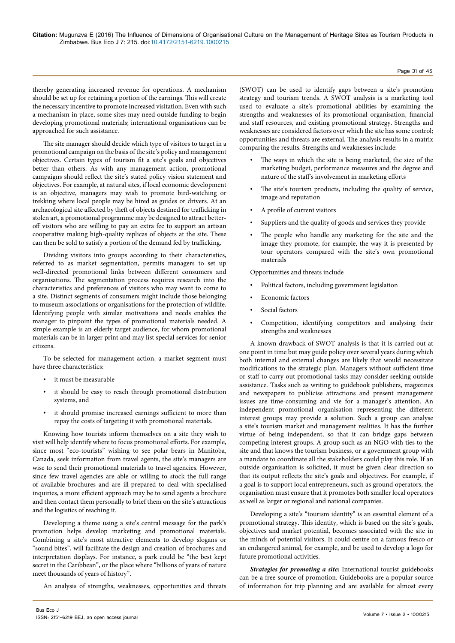thereby generating increased revenue for operations. A mechanism should be set up for retaining a portion of the earnings. This will create the necessary incentive to promote increased visitation. Even with such a mechanism in place, some sites may need outside funding to begin developing promotional materials; international organisations can be approached for such assistance.

The site manager should decide which type of visitors to target in a promotional campaign on the basis of the site's policy and management objectives. Certain types of tourism fit a site's goals and objectives better than others. As with any management action, promotional campaigns should reflect the site's stated policy vision statement and objectives. For example, at natural sites, if local economic development is an objective, managers may wish to promote bird-watching or trekking where local people may be hired as guides or drivers. At an archaeological site affected by theft of objects destined for trafficking in stolen art, a promotional programme may be designed to attract betteroff visitors who are willing to pay an extra fee to support an artisan cooperative making high-quality replicas of objects at the site. These can then be sold to satisfy a portion of the demand fed by trafficking.

Dividing visitors into groups according to their characteristics, referred to as market segmentation, permits managers to set up well-directed promotional links between different consumers and organisations. The segmentation process requires research into the characteristics and preferences of visitors who may want to come to a site. Distinct segments of consumers might include those belonging to museum associations or organisations for the protection of wildlife. Identifying people with similar motivations and needs enables the manager to pinpoint the types of promotional materials needed. A simple example is an elderly target audience, for whom promotional materials can be in larger print and may list special services for senior citizens.

To be selected for management action, a market segment must have three characteristics:

- it must be measurable
- it should be easy to reach through promotional distribution systems, and
- it should promise increased earnings sufficient to more than repay the costs of targeting it with promotional materials.

Knowing how tourists inform themselves on a site they wish to visit will help identify where to focus promotional efforts. For example, since most "eco-tourists" wishing to see polar bears in Manitoba, Canada, seek information from travel agents, the site's managers are wise to send their promotional materials to travel agencies. However, since few travel agencies are able or willing to stock the full range of available brochures and are ill-prepared to deal with specialised inquiries, a more efficient approach may be to send agents a brochure and then contact them personally to brief them on the site's attractions and the logistics of reaching it.

Developing a theme using a site's central message for the park's promotion helps develop marketing and promotional materials. Combining a site's most attractive elements to develop slogans or "sound bites", will facilitate the design and creation of brochures and interpretation displays. For instance, a park could be "the best kept secret in the Caribbean", or the place where "billions of years of nature meet thousands of years of history".

An analysis of strengths, weaknesses, opportunities and threats

(SWOT) can be used to identify gaps between a site's promotion strategy and tourism trends. A SWOT analysis is a marketing tool used to evaluate a site's promotional abilities by examining the strengths and weaknesses of its promotional organisation, financial and staff resources, and existing promotional strategy. Strengths and weaknesses are considered factors over which the site has some control; opportunities and threats are external. The analysis results in a matrix comparing the results. Strengths and weaknesses include:

- The ways in which the site is being marketed, the size of the marketing budget, performance measures and the degree and nature of the staff's involvement in marketing efforts
- The site's tourism products, including the quality of service, image and reputation
- A profile of current visitors
- Suppliers and the quality of goods and services they provide
- The people who handle any marketing for the site and the image they promote, for example, the way it is presented by tour operators compared with the site's own promotional materials

Opportunities and threats include

- Political factors, including government legislation
- Economic factors
- Social factors
- Competition, identifying competitors and analysing their strengths and weaknesses

A known drawback of SWOT analysis is that it is carried out at one point in time but may guide policy over several years during which both internal and external changes are likely that would necessitate modifications to the strategic plan. Managers without sufficient time or staff to carry out promotional tasks may consider seeking outside assistance. Tasks such as writing to guidebook publishers, magazines and newspapers to publicise attractions and present management issues are time-consuming and vie for a manager's attention. An independent promotional organisation representing the different interest groups may provide a solution. Such a group can analyse a site's tourism market and management realities. It has the further virtue of being independent, so that it can bridge gaps between competing interest groups. A group such as an NGO with ties to the site and that knows the tourism business, or a government group with a mandate to coordinate all the stakeholders could play this role. If an outside organisation is solicited, it must be given clear direction so that its output reflects the site's goals and objectives. For example, if a goal is to support local entrepreneurs, such as ground operators, the organisation must ensure that it promotes both smaller local operators as well as larger or regional and national companies.

Developing a site's "tourism identity" is an essential element of a promotional strategy. This identity, which is based on the site's goals, objectives and market potential, becomes associated with the site in the minds of potential visitors. It could centre on a famous fresco or an endangered animal, for example, and be used to develop a logo for future promotional activities.

*Strategies for promoting a site:* International tourist guidebooks can be a free source of promotion. Guidebooks are a popular source of information for trip planning and are available for almost every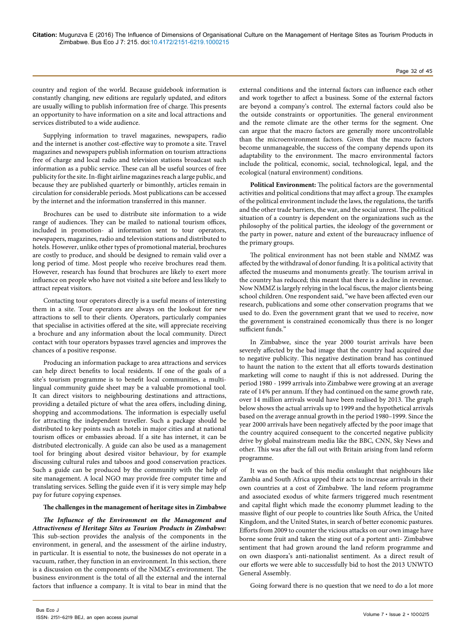country and region of the world. Because guidebook information is constantly changing, new editions are regularly updated, and editors are usually willing to publish information free of charge. This presents an opportunity to have information on a site and local attractions and services distributed to a wide audience.

Supplying information to travel magazines, newspapers, radio and the internet is another cost-effective way to promote a site. Travel magazines and newspapers publish information on tourism attractions free of charge and local radio and television stations broadcast such information as a public service. These can all be useful sources of free publicity for the site. In-flight airline magazines reach a large public, and because they are published quarterly or bimonthly, articles remain in circulation for considerable periods. Most publications can be accessed by the internet and the information transferred in this manner.

Brochures can be used to distribute site information to a wide range of audiences. They can be mailed to national tourism offices, included in promotion- al information sent to tour operators, newspapers, magazines, radio and television stations and distributed to hotels. However, unlike other types of promotional material, brochures are costly to produce, and should be designed to remain valid over a long period of time. Most people who receive brochures read them. However, research has found that brochures are likely to exert more influence on people who have not visited a site before and less likely to attract repeat visitors.

Contacting tour operators directly is a useful means of interesting them in a site. Tour operators are always on the lookout for new attractions to sell to their clients. Operators, particularly companies that specialise in activities offered at the site, will appreciate receiving a brochure and any information about the local community. Direct contact with tour operators bypasses travel agencies and improves the chances of a positive response.

Producing an information package to area attractions and services can help direct benefits to local residents. If one of the goals of a site's tourism programme is to benefit local communities, a multilingual community guide sheet may be a valuable promotional tool. It can direct visitors to neighbouring destinations and attractions, providing a detailed picture of what the area offers, including dining, shopping and accommodations. The information is especially useful for attracting the independent traveller. Such a package should be distributed to key points such as hotels in major cities and at national tourism offices or embassies abroad. If a site has internet, it can be distributed electronically. A guide can also be used as a management tool for bringing about desired visitor behaviour, by for example discussing cultural rules and taboos and good conservation practices. Such a guide can be produced by the community with the help of site management. A local NGO may provide free computer time and translating services. Selling the guide even if it is very simple may help pay for future copying expenses.

#### **The challenges in the management of heritage sites in Zimbabwe**

*The Influence of the Environment on the Management and Attractiveness of Heritage Sites as Tourism Products in Zimbabwe:* This sub-section provides the analysis of the components in the environment, in general, and the assessment of the airline industry, in particular. It is essential to note, the businesses do not operate in a vacuum, rather, they function in an environment. In this section, there is a discussion on the components of the NMMZ's environment. The business environment is the total of all the external and the internal factors that influence a company. It is vital to bear in mind that the external conditions and the internal factors can influence each other and work together to affect a business. Some of the external factors are beyond a company's control. The external factors could also be the outside constraints or opportunities. The general environment and the remote climate are the other terms for the segment. One can argue that the macro factors are generally more uncontrollable than the microenvironment factors. Given that the macro factors become unmanageable, the success of the company depends upon its adaptability to the environment. The macro environmental factors include the political, economic, social, technological, legal, and the ecological (natural environment) conditions.

**Political Environment:** The political factors are the governmental activities and political conditions that may affect a group. The examples of the political environment include the laws, the regulations, the tariffs and the other trade barriers, the war, and the social unrest. The political situation of a country is dependent on the organizations such as the philosophy of the political parties, the ideology of the government or the party in power, nature and extent of the bureaucracy influence of the primary groups.

The political environment has not been stable and NMMZ was affected by the withdrawal of donor funding. It is a political activity that affected the museums and monuments greatly. The tourism arrival in the country has reduced; this meant that there is a decline in revenue. Now NMMZ is largely relying in the local fiscus, the major clients being school children. One respondent said, "we have been affected even our research, publications and some other conservation programs that we used to do. Even the government grant that we used to receive, now the government is constrained economically thus there is no longer sufficient funds."

In Zimbabwe, since the year 2000 tourist arrivals have been severely affected by the bad image that the country had acquired due to negative publicity. This negative destination brand has continued to haunt the nation to the extent that all efforts towards destination marketing will come to naught if this is not addressed. During the period 1980 - 1999 arrivals into Zimbabwe were growing at an average rate of 14% per annum. If they had continued on the same growth rate, over 14 million arrivals would have been realised by 2013. The graph below shows the actual arrivals up to 1999 and the hypothetical arrivals based on the average annual growth in the period 1980–1999. Since the year 2000 arrivals have been negatively affected by the poor image that the country acquired consequent to the concerted negative publicity drive by global mainstream media like the BBC, CNN, Sky News and other. This was after the fall out with Britain arising from land reform programme.

It was on the back of this media onslaught that neighbours like Zambia and South Africa upped their acts to increase arrivals in their own countries at a cost of Zimbabwe. The land reform programme and associated exodus of white farmers triggered much resentment and capital flight which made the economy plummet leading to the massive flight of our people to countries like South Africa, the United Kingdom, and the United States, in search of better economic pastures. Efforts from 2009 to counter the vicious attacks on our own image have borne some fruit and taken the sting out of a portent anti- Zimbabwe sentiment that had grown around the land reform programme and on own diaspora's anti-nationalist sentiment. As a direct result of our efforts we were able to successfully bid to host the 2013 UNWTO General Assembly.

Going forward there is no question that we need to do a lot more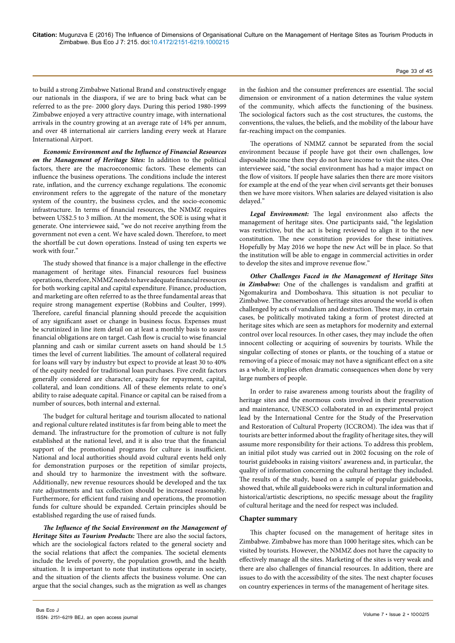to build a strong Zimbabwe National Brand and constructively engage our nationals in the diaspora, if we are to bring back what can be referred to as the pre- 2000 glory days. During this period 1980-1999 Zimbabwe enjoyed a very attractive country image, with international arrivals in the country growing at an average rate of 14% per annum, and over 48 international air carriers landing every week at Harare International Airport.

*Economic Environment and the Influence of Financial Resources on the Management of Heritage Sites:* In addition to the political factors, there are the macroeconomic factors. These elements can influence the business operations. The conditions include the interest rate, inflation, and the currency exchange regulations. The economic environment refers to the aggregate of the nature of the monetary system of the country, the business cycles, and the socio-economic infrastructure. In terms of financial resources, the NMMZ requires between US\$2.5 to 3 million. At the moment, the SOE is using what it generate. One interviewee said, "we do not receive anything from the government not even a cent. We have scaled down. Therefore, to meet the shortfall be cut down operations. Instead of using ten experts we work with four."

The study showed that finance is a major challenge in the effective management of heritage sites. Financial resources fuel business operations, therefore, NMMZ needs to have adequate financial resources for both working capital and capital expenditure. Finance, production, and marketing are often referred to as the three fundamental areas that require strong management expertise (Robbins and Coulter, 1999). Therefore, careful financial planning should precede the acquisition of any significant asset or change in business focus. Expenses must be scrutinized in line item detail on at least a monthly basis to assure financial obligations are on target. Cash flow is crucial to wise financial planning and cash or similar current assets on hand should be 1.5 times the level of current liabilities. The amount of collateral required for loans will vary by industry but expect to provide at least 30 to 40% of the equity needed for traditional loan purchases. Five credit factors generally considered are character, capacity for repayment, capital, collateral, and loan conditions. All of these elements relate to one's ability to raise adequate capital. Finance or capital can be raised from a number of sources, both internal and external.

The budget for cultural heritage and tourism allocated to national and regional culture related institutes is far from being able to meet the demand. The infrastructure for the promotion of culture is not fully established at the national level, and it is also true that the financial support of the promotional programs for culture is insufficient. National and local authorities should avoid cultural events held only for demonstration purposes or the repetition of similar projects, and should try to harmonize the investment with the software. Additionally, new revenue resources should be developed and the tax rate adjustments and tax collection should be increased reasonably. Furthermore, for efficient fund raising and operations, the promotion funds for culture should be expanded. Certain principles should be established regarding the use of raised funds.

*The Influence of the Social Environment on the Management of Heritage Sites as Tourism Products:* There are also the social factors, which are the sociological factors related to the general society and the social relations that affect the companies. The societal elements include the levels of poverty, the population growth, and the health situation. It is important to note that institutions operate in society, and the situation of the clients affects the business volume. One can argue that the social changes, such as the migration as well as changes

in the fashion and the consumer preferences are essential. The social dimension or environment of a nation determines the value system of the community, which affects the functioning of the business. The sociological factors such as the cost structures, the customs, the conventions, the values, the beliefs, and the mobility of the labour have far-reaching impact on the companies.

The operations of NMMZ cannot be separated from the social environment because if people have got their own challenges, low disposable income then they do not have income to visit the sites. One interviewee said, "the social environment has had a major impact on the flow of visitors. If people have salaries then there are more visitors for example at the end of the year when civil servants get their bonuses then we have more visitors. When salaries are delayed visitation is also delayed."

*Legal Environment:* The legal environment also affects the management of heritage sites. One participants said, "the legislation was restrictive, but the act is being reviewed to align it to the new constitution. The new constitution provides for these initiatives. Hopefully by May 2016 we hope the new Act will be in place. So that the institution will be able to engage in commercial activities in order to develop the sites and improve revenue flow."

*Other Challenges Faced in the Management of Heritage Sites in Zimbabwe:* One of the challenges is vandalism and graffiti at Ngomakurira and Domboshava. This situation is not peculiar to Zimbabwe. The conservation of heritage sites around the world is often challenged by acts of vandalism and destruction. These may, in certain cases, be politically motivated taking a form of protest directed at heritage sites which are seen as metaphors for modernity and external control over local resources. In other cases, they may include the often innocent collecting or acquiring of souvenirs by tourists. While the singular collecting of stones or plants, or the touching of a statue or removing of a piece of mosaic may not have a significant effect on a site as a whole, it implies often dramatic consequences when done by very large numbers of people.

In order to raise awareness among tourists about the fragility of heritage sites and the enormous costs involved in their preservation and maintenance, UNESCO collaborated in an experimental project lead by the International Centre for the Study of the Preservation and Restoration of Cultural Property (ICCROM). The idea was that if tourists are better informed about the fragility of heritage sites, they will assume more responsibility for their actions. To address this problem, an initial pilot study was carried out in 2002 focusing on the role of tourist guidebooks in raising visitors' awareness and, in particular, the quality of information concerning the cultural heritage they included. The results of the study, based on a sample of popular guidebooks, showed that, while all guidebooks were rich in cultural information and historical/artistic descriptions, no specific message about the fragility of cultural heritage and the need for respect was included.

#### **Chapter summary**

This chapter focused on the management of heritage sites in Zimbabwe. Zimbabwe has more than 1000 heritage sites, which can be visited by tourists. However, the NMMZ does not have the capacity to effectively manage all the sites. Marketing of the sites is very weak and there are also challenges of financial resources. In addition, there are issues to do with the accessibility of the sites. The next chapter focuses on country experiences in terms of the management of heritage sites.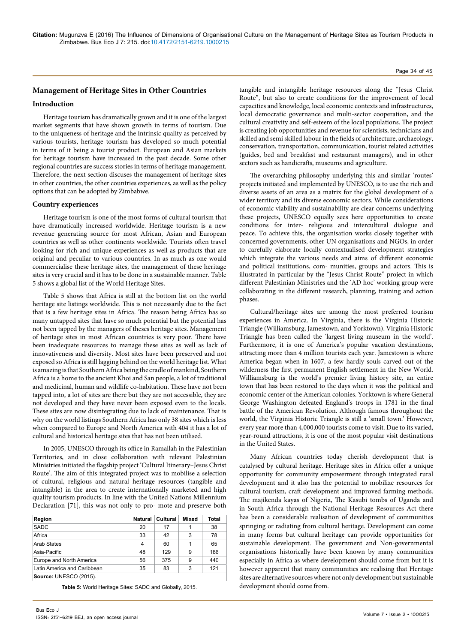#### Page 34 of 45

# **Management of Heritage Sites in Other Countries**

# **Introduction**

Heritage tourism has dramatically grown and it is one of the largest market segments that have shown growth in terms of tourism. Due to the uniqueness of heritage and the intrinsic quality as perceived by various tourists, heritage tourism has developed so much potential in terms of it being a tourist product. European and Asian markets for heritage tourism have increased in the past decade. Some other regional countries are success stories in terms of heritage management. Therefore, the next section discuses the management of heritage sites in other countries, the other countries experiences, as well as the policy options that can be adopted by Zimbabwe.

# **Country experiences**

Heritage tourism is one of the most forms of cultural tourism that have dramatically increased worldwide. Heritage tourism is a new revenue generating source for most African, Asian and European countries as well as other continents worldwide. Tourists often travel looking for rich and unique experiences as well as products that are original and peculiar to various countries. In as much as one would commercialise these heritage sites, the management of these heritage sites is very crucial and it has to be done in a sustainable manner. Table 5 shows a global list of the World Heritage Sites.

Table 5 shows that Africa is still at the bottom list on the world heritage site listings worldwide. This is not necessarily due to the fact that is a few heritage sites in Africa. The reason being Africa has so many untapped sites that have so much potential but the potential has not been tapped by the managers of theses heritage sites. Management of heritage sites in most African countries is very poor. There have been inadequate resources to manage these sites as well as lack of innovativeness and diversity. Most sites have been preserved and not exposed so Africa is still lagging behind on the world heritage list. What is amazing is that Southern Africa being the cradle of mankind, Southern Africa is a home to the ancient Khoi and San people, a lot of traditional and medicinal, human and wildlife co-habitation. These have not been tapped into, a lot of sites are there but they are not accessible, they are not developed and they have never been exposed even to the locals. These sites are now disintegrating due to lack of maintenance. That is why on the world listings Southern Africa has only 38 sites which is less when compared to Europe and North America with 404 it has a lot of cultural and historical heritage sites that has not been utilised.

In 2005, UNESCO through its office in Ramallah in the Palestinian Territories, and in close collaboration with relevant Palestinian Ministries initiated the flagship project 'Cultural Itinerary–Jesus Christ Route'. The aim of this integrated project was to mobilise a selection of cultural, religious and natural heritage resources (tangible and intangible) in the area to create internationally marketed and high quality tourism products. In line with the United Nations Millennium Declaration [71], this was not only to pro- mote and preserve both

| Region                      | Natural | Cultural | Mixed | Total |
|-----------------------------|---------|----------|-------|-------|
| <b>SADC</b>                 | 20      | 17       |       | 38    |
| Africa                      | 33      | 42       | 3     | 78    |
| <b>Arab States</b>          | 4       | 60       |       | 65    |
| Asia-Pacific                | 48      | 129      | 9     | 186   |
| Europe and North America    | 56      | 375      | 9     | 440   |
| Latin America and Caribbean | 35      | 83       | 3     | 121   |
| Source: UNESCO (2015).      |         |          |       |       |

**Table 5:** World Heritage Sites: SADC and Globally, 2015.

tangible and intangible heritage resources along the "Jesus Christ Route", but also to create conditions for the improvement of local capacities and knowledge, local economic contexts and infrastructures, local democratic governance and multi-sector cooperation, and the cultural creativity and self-esteem of the local populations. The project is creating job opportunities and revenue for scientists, technicians and skilled and semi skilled labour in the fields of architecture, archaeology, conservation, transportation, communication, tourist related activities (guides, bed and breakfast and restaurant managers), and in other sectors such as handicrafts, museums and agriculture.

The overarching philosophy underlying this and similar 'routes' projects initiated and implemented by UNESCO, is to use the rich and diverse assets of an area as a matrix for the global development of a wider territory and its diverse economic sectors. While considerations of economic viability and sustainability are clear concerns underlying these projects, UNESCO equally sees here opportunities to create conditions for inter- religious and intercultural dialogue and peace. To achieve this, the organisation works closely together with concerned governments, other UN organisations and NGOs, in order to carefully elaborate locally contextualised development strategies which integrate the various needs and aims of different economic and political institutions, com- munities, groups and actors. This is illustrated in particular by the "Jesus Christ Route" project in which different Palestinian Ministries and the 'AD hoc' working group were collaborating in the different research, planning, training and action phases.

Cultural/heritage sites are among the most preferred tourism experiences in America. In Virginia, there is the Virginia Historic Triangle (Williamsburg, Jamestown, and Yorktown). Virginia Historic Triangle has been called the 'largest living museum in the world'. Furthermore, it is one of America's popular vacation destinations, attracting more than 4 million tourists each year. Jamestown is where America began when in 1607, a few hardly souls carved out of the wilderness the first permanent English settlement in the New World. Williamsburg is the world's premier living history site, an entire town that has been restored to the days when it was the political and economic center of the American colonies. Yorktown is where General George Washington defeated England's troops in 1781 in the final battle of the American Revolution. Although famous throughout the world, the Virginia Historic Triangle is still a 'small town.' However, every year more than 4,000,000 tourists come to visit. Due to its varied, year-round attractions, it is one of the most popular visit destinations in the United States.

Many African countries today cherish development that is catalysed by cultural heritage. Heritage sites in Africa offer a unique opportunity for community empowerment through integrated rural development and it also has the potential to mobilize resources for cultural tourism, craft development and improved farming methods. The majikenda kayas of Nigeria, The Kasubi tombs of Uganda and in South Africa through the National Heritage Resources Act there has been a considerable realisation of development of communities springing or radiating from cultural heritage. Development can come in many forms but cultural heritage can provide opportunities for sustainable development. The government and Non-governmental organisations historically have been known by many communities especially in Africa as where development should come from but it is however apparent that many communities are realising that Heritage sites are alternative sources where not only development but sustainable development should come from.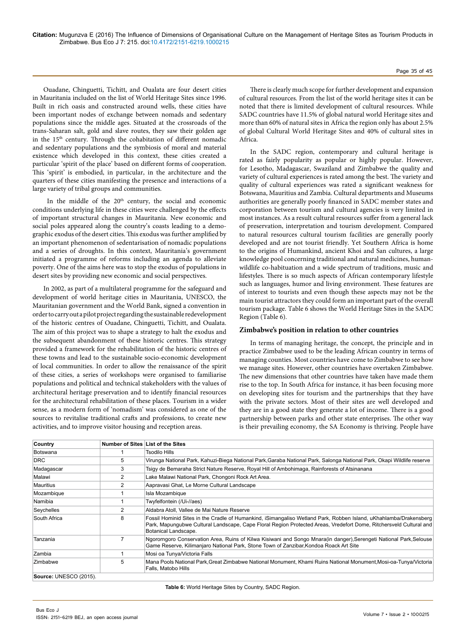# Page 35 of 45

Ouadane, Chinguetti, Tichitt, and Oualata are four desert cities in Mauritania included on the list of World Heritage Sites since 1996. Built in rich oasis and constructed around wells, these cities have been important nodes of exchange between nomads and sedentary populations since the middle ages. Situated at the crossroads of the trans-Saharan salt, gold and slave routes, they saw their golden age in the 15<sup>th</sup> century. Through the cohabitation of different nomadic and sedentary populations and the symbiosis of moral and material existence which developed in this context, these cities created a particular 'spirit of the place' based on different forms of cooperation. This 'spirit' is embodied, in particular, in the architecture and the quarters of these cities manifesting the presence and interactions of a large variety of tribal groups and communities.

In the middle of the 20<sup>th</sup> century, the social and economic conditions underlying life in these cities were challenged by the effects of important structural changes in Mauritania. New economic and social poles appeared along the country's coasts leading to a demographic exodus of the desert cities. This exodus was further amplified by an important phenomenon of sedentarisation of nomadic populations and a series of droughts. In this context, Mauritania's government initiated a programme of reforms including an agenda to alleviate poverty. One of the aims here was to stop the exodus of populations in desert sites by providing new economic and social perspectives.

In 2002, as part of a multilateral programme for the safeguard and development of world heritage cities in Mauritania, UNESCO, the Mauritanian government and the World Bank, signed a convention in order to carry out a pilot project regarding the sustainable redevelopment of the historic centres of Ouadane, Chinguetti, Tichitt, and Oualata. The aim of this project was to shape a strategy to halt the exodus and the subsequent abandonment of these historic centres. This strategy provided a framework for the rehabilitation of the historic centres of these towns and lead to the sustainable socio-economic development of local communities. In order to allow the renaissance of the spirit of these cities, a series of workshops were organised to familiarise populations and political and technical stakeholders with the values of architectural heritage preservation and to identify financial resources for the architectural rehabilitation of these places. Tourism in a wider sense, as a modern form of 'nomadism' was considered as one of the sources to revitalise traditional crafts and professions, to create new activities, and to improve visitor housing and reception areas.

There is clearly much scope for further development and expansion of cultural resources. From the list of the world heritage sites it can be noted that there is limited development of cultural resources. While SADC countries have 11.5% of global natural world Heritage sites and more than 60% of natural sites in Africa the region only has about 2.5% of global Cultural World Heritage Sites and 40% of cultural sites in Africa.

In the SADC region, contemporary and cultural heritage is rated as fairly popularity as popular or highly popular. However, for Lesotho, Madagascar, Swaziland and Zimbabwe the quality and variety of cultural experiences is rated among the best. The variety and quality of cultural experiences was rated a significant weakness for Botswana, Mauritius and Zambia. Cultural departments and Museums authorities are generally poorly financed in SADC member states and corporation between tourism and cultural agencies is very limited in most instances. As a result cultural resources suffer from a general lack of preservation, interpretation and tourism development. Compared to natural resources cultural tourism facilities are generally poorly developed and are not tourist friendly. Yet Southern Africa is home to the origins of Humankind, ancient Khoi and San cultures, a large knowledge pool concerning traditional and natural medicines, humanwildlife co-habituation and a wide spectrum of traditions, music and lifestyles. There is so much aspects of African contemporary lifestyle such as languages, humor and living environment. These features are of interest to tourists and even though these aspects may not be the main tourist attractors they could form an important part of the overall tourism package. Table 6 shows the World Heritage Sites in the SADC Region (Table 6).

# **Zimbabwe's position in relation to other countries**

In terms of managing heritage, the concept, the principle and in practice Zimbabwe used to be the leading African country in terms of managing counties. Most countries have come to Zimbabwe to see how we manage sites. However, other countries have overtaken Zimbabwe. The new dimensions that other countries have taken have made them rise to the top. In South Africa for instance, it has been focusing more on developing sites for tourism and the partnerships that they have with the private sectors. Most of their sites are well developed and they are in a good state they generate a lot of income. There is a good partnership between parks and other state enterprises. The other way is their prevailing economy, the SA Economy is thriving. People have

| Country                | Number of Sites List of the Sites |                                                                                                                                                                                                                                                                 |
|------------------------|-----------------------------------|-----------------------------------------------------------------------------------------------------------------------------------------------------------------------------------------------------------------------------------------------------------------|
| <b>Botswana</b>        |                                   | Tsodilo Hills                                                                                                                                                                                                                                                   |
| <b>DRC</b>             | 5                                 | Virunga National Park, Kahuzi-Biega National Park,Garaba National Park, Salonga National Park, Okapi Wildlife reserve                                                                                                                                           |
| Madagascar             | 3                                 | Tsigy de Bemaraha Strict Nature Reserve, Royal Hill of Ambohimaga, Rainforests of Atsinanana                                                                                                                                                                    |
| Malawi                 | $\overline{2}$                    | Lake Malawi National Park, Chongoni Rock Art Area.                                                                                                                                                                                                              |
| <b>Mauritius</b>       | $\overline{2}$                    | Aapravasi Ghat, Le Morne Cultural Landscape                                                                                                                                                                                                                     |
| Mozambique             |                                   | Isla Mozambique                                                                                                                                                                                                                                                 |
| Namibia                |                                   | Twyfelfontein (/Ui-//aes)                                                                                                                                                                                                                                       |
| Seychelles             | 2                                 | Aldabra Atoll, Vallee de Mai Nature Reserve                                                                                                                                                                                                                     |
| South Africa           | 8                                 | Fossil Hominid Sites in the Cradle of Humankind, iSimangaliso Wetland Park, Robben Island, uKhahlamba/Drakensberg<br>Park, Mapungubwe Cultural Landscape, Cape Floral Region Protected Areas, Vredefort Dome, Ritchersveld Cultural and<br>Botanical Landscape. |
| Tanzania               |                                   | Ngororngoro Conservation Area, Ruins of Kilwa Kisiwani and Songo Mnara(in danger), Serengeti National Park, Selouse<br>Game Reserve, Kilimanjaro National Park, Stone Town of Zanzibar,Kondoa Roack Art Site                                                    |
| Zambia                 |                                   | Mosi oa Tunya/Victoria Falls                                                                                                                                                                                                                                    |
| Zimbabwe               | 5                                 | Mana Pools National Park, Great Zimbabwe National Monument, Khami Ruins National Monument, Mosi-oa-Tunya/Victoria<br>Falls, Matobo Hills                                                                                                                        |
| Source: UNESCO (2015). |                                   |                                                                                                                                                                                                                                                                 |

**Table 6:** World Heritage Sites by Country, SADC Region.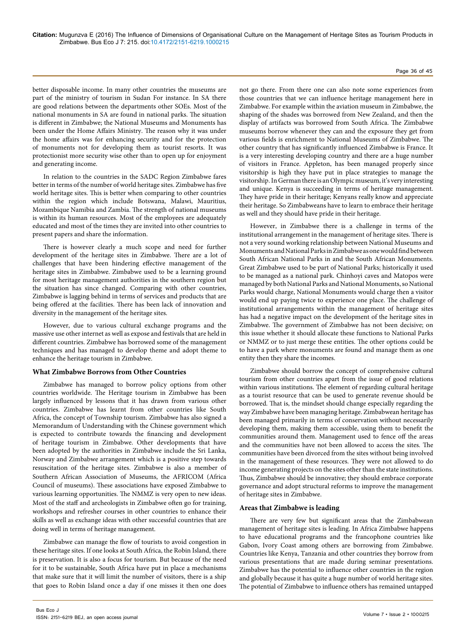#### Page 36 of 45

better disposable income. In many other countries the museums are part of the ministry of tourism in Sudan For instance. In SA there are good relations between the departments other SOEs. Most of the national monuments in SA are found in national parks. The situation is different in Zimbabwe; the National Museums and Monuments has been under the Home Affairs Ministry. The reason why it was under the home affairs was for enhancing security and for the protection of monuments not for developing them as tourist resorts. It was protectionist more security wise other than to open up for enjoyment and generating income.

In relation to the countries in the SADC Region Zimbabwe fares better in terms of the number of world heritage sites. Zimbabwe has five world heritage sites. This is better when comparing to other countries within the region which include Botswana, Malawi, Mauritius, Mozambique Namibia and Zambia. The strength of national museums is within its human resources. Most of the employees are adequately educated and most of the times they are invited into other countries to present papers and share the information.

There is however clearly a much scope and need for further development of the heritage sites in Zimbabwe. There are a lot of challenges that have been hindering effective management of the heritage sites in Zimbabwe. Zimbabwe used to be a learning ground for most heritage management authorities in the southern region but the situation has since changed. Comparing with other countries, Zimbabwe is lagging behind in terms of services and products that are being offered at the facilities. There has been lack of innovation and diversity in the management of the heritage sites.

However, due to various cultural exchange programs and the massive use other internet as well as expose and festivals that are held in different countries. Zimbabwe has borrowed some of the management techniques and has managed to develop theme and adopt theme to enhance the heritage tourism in Zimbabwe.

#### **What Zimbabwe Borrows from Other Countries**

Zimbabwe has managed to borrow policy options from other countries worldwide. The Heritage tourism in Zimbabwe has been largely influenced by lessons that it has drawn from various other countries. Zimbabwe has learnt from other countries like South Africa, the concept of Township tourism. Zimbabwe has also signed a Memorandum of Understanding with the Chinese government which is expected to contribute towards the financing and development of heritage tourism in Zimbabwe. Other developments that have been adopted by the authorities in Zimbabwe include the Sri Lanka, Norway and Zimbabwe arrangement which is a positive step towards resuscitation of the heritage sites. Zimbabwe is also a member of Southern African Association of Museums, the AFRICOM (Africa Council of museums). These associations have exposed Zimbabwe to various learning opportunities. The NMMZ is very open to new ideas. Most of the staff and archeologists in Zimbabwe often go for training, workshops and refresher courses in other countries to enhance their skills as well as exchange ideas with other successful countries that are doing well in terms of heritage management.

Zimbabwe can manage the flow of tourists to avoid congestion in these heritage sites. If one looks at South Africa, the Robin Island, there is preservation. It is also a focus for tourism. But because of the need for it to be sustainable, South Africa have put in place a mechanisms that make sure that it will limit the number of visitors, there is a ship that goes to Robin Island once a day if one misses it then one does

not go there. From there one can also note some experiences from those countries that we can influence heritage management here in Zimbabwe. For example within the aviation museum in Zimbabwe, the shaping of the shades was borrowed from New Zealand, and then the display of artifacts was borrowed from South Africa. The Zimbabwe museums borrow whenever they can and the exposure they get from various fields is enrichment to National Museums of Zimbabwe. The other country that has significantly influenced Zimbabwe is France. It is a very interesting developing country and there are a huge number of visitors in France. Appleton, has been managed properly since visitorship is high they have put in place strategies to manage the visitorship. In German there is an Olympic museum, it's very interesting and unique. Kenya is succeeding in terms of heritage management. They have pride in their heritage; Kenyans really know and appreciate their heritage. So Zimbabweans have to learn to embrace their heritage as well and they should have pride in their heritage.

However, in Zimbabwe there is a challenge in terms of the institutional arrangement in the management of heritage sites. There is not a very sound working relationship between National Museums and Monuments and National Parks in Zimbabwe as one would find between South African National Parks in and the South African Monuments. Great Zimbabwe used to be part of National Parks; historically it used to be managed as a national park. Chinhoyi caves and Matopos were managed by both National Parks and National Monuments, so National Parks would charge, National Monuments would charge then a visitor would end up paying twice to experience one place. The challenge of institutional arrangements within the management of heritage sites has had a negative impact on the development of the heritage sites in Zimbabwe. The government of Zimbabwe has not been decisive; on this issue whether it should allocate these functions to National Parks or NMMZ or to just merge these entities. The other options could be to have a park where monuments are found and manage them as one entity then they share the incomes.

Zimbabwe should borrow the concept of comprehensive cultural tourism from other countries apart from the issue of good relations within various institutions. The element of regarding cultural heritage as a tourist resource that can be used to generate revenue should be borrowed. That is, the mindset should change especially regarding the way Zimbabwe have been managing heritage. Zimbabwean heritage has been managed primarily in terms of conservation without necessarily developing them, making them accessible, using them to benefit the communities around them. Management used to fence off the areas and the communities have not been allowed to access the sites. The communities have been divorced from the sites without being involved in the management of these resources. They were not allowed to do income generating projects on the sites other than the state institutions. Thus, Zimbabwe should be innovative; they should embrace corporate governance and adopt structural reforms to improve the management of heritage sites in Zimbabwe.

#### **Areas that Zimbabwe is leading**

There are very few but significant areas that the Zimbabwean management of heritage sites is leading. In Africa Zimbabwe happens to have educational programs and the francophone countries like Gabon, Ivory Coast among others are borrowing from Zimbabwe. Countries like Kenya, Tanzania and other countries they borrow from various presentations that are made during seminar presentations. Zimbabwe has the potential to influence other countries in the region and globally because it has quite a huge number of world heritage sites. The potential of Zimbabwe to influence others has remained untapped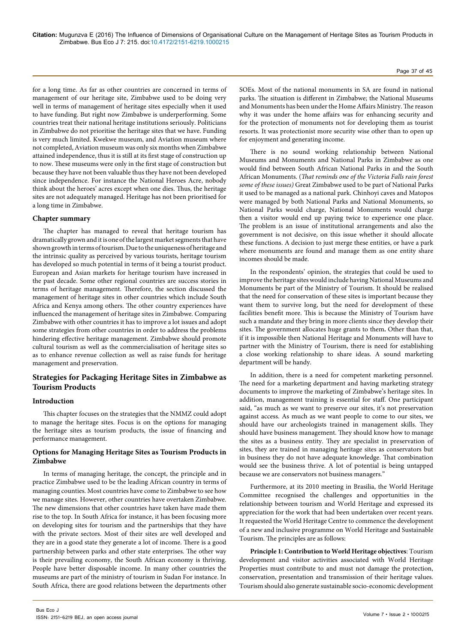for a long time. As far as other countries are concerned in terms of management of our heritage site, Zimbabwe used to be doing very well in terms of management of heritage sites especially when it used to have funding. But right now Zimbabwe is underperforming. Some countries treat their national heritage institutions seriously. Politicians in Zimbabwe do not prioritise the heritage sites that we have. Funding is very much limited. Kwekwe museum, and Aviation museum where not completed, Aviation museum was only six months when Zimbabwe attained independence, thus it is still at its first stage of construction up to now. These museums were only in the first stage of construction but because they have not been valuable thus they have not been developed since independence. For instance the National Heroes Acre, nobody think about the heroes' acres except when one dies. Thus, the heritage sites are not adequately managed. Heritage has not been prioritised for a long time in Zimbabwe.

#### **Chapter summary**

The chapter has managed to reveal that heritage tourism has dramatically grown and it is one of the largest market segments that have shown growth in terms of tourism. Due to the uniqueness of heritage and the intrinsic quality as perceived by various tourists, heritage tourism has developed so much potential in terms of it being a tourist product. European and Asian markets for heritage tourism have increased in the past decade. Some other regional countries are success stories in terms of heritage management. Therefore, the section discussed the management of heritage sites in other countries which include South Africa and Kenya among others. The other country experiences have influenced the management of heritage sites in Zimbabwe. Comparing Zimbabwe with other countries it has to improve a lot issues and adopt some strategies from other countries in order to address the problems hindering effective heritage management. Zimbabwe should promote cultural tourism as well as the commercialisation of heritage sites so as to enhance revenue collection as well as raise funds for heritage management and preservation.

# **Strategies for Packaging Heritage Sites in Zimbabwe as Tourism Products**

# **Introduction**

This chapter focuses on the strategies that the NMMZ could adopt to manage the heritage sites. Focus is on the options for managing the heritage sites as tourism products, the issue of financing and performance management.

# **Options for Managing Heritage Sites as Tourism Products in Zimbabwe**

In terms of managing heritage, the concept, the principle and in practice Zimbabwe used to be the leading African country in terms of managing counties. Most countries have come to Zimbabwe to see how we manage sites. However, other countries have overtaken Zimbabwe. The new dimensions that other countries have taken have made them rise to the top. In South Africa for instance, it has been focusing more on developing sites for tourism and the partnerships that they have with the private sectors. Most of their sites are well developed and they are in a good state they generate a lot of income. There is a good partnership between parks and other state enterprises. The other way is their prevailing economy, the South African economy is thriving. People have better disposable income. In many other countries the museums are part of the ministry of tourism in Sudan For instance. In South Africa, there are good relations between the departments other

SOEs. Most of the national monuments in SA are found in national parks. The situation is different in Zimbabwe; the National Museums and Monuments has been under the Home Affairs Ministry. The reason why it was under the home affairs was for enhancing security and for the protection of monuments not for developing them as tourist resorts. It was protectionist more security wise other than to open up for enjoyment and generating income.

There is no sound working relationship between National Museums and Monuments and National Parks in Zimbabwe as one would find between South African National Parks in and the South African Monuments. (*That reminds one of the Victoria Falls rain forest some of these issues)* Great Zimbabwe used to be part of National Parks it used to be managed as a national park. Chinhoyi caves and Matopos were managed by both National Parks and National Monuments, so National Parks would charge, National Monuments would charge then a visitor would end up paying twice to experience one place. The problem is an issue of institutional arrangements and also the government is not decisive, on this issue whether it should allocate these functions. A decision to just merge these entities, or have a park where monuments are found and manage them as one entity share incomes should be made.

In the respondents' opinion, the strategies that could be used to improve the heritage sites would include having National Museums and Monuments be part of the Ministry of Tourism. It should be realised that the need for conservation of these sites is important because they want them to survive long, but the need for development of these facilities benefit more. This is because the Ministry of Tourism have such a mandate and they bring in more clients since they develop their sites. The government allocates huge grants to them**.** Other than that, if it is impossible then National Heritage and Monuments will have to partner with the Ministry of Tourism, there is need for establishing a close working relationship to share ideas. A sound marketing department will be handy.

In addition, there is a need for competent marketing personnel. The need for a marketing department and having marketing strategy documents to improve the marketing of Zimbabwe's heritage sites. In addition, management training is essential for staff. One participant said, "as much as we want to preserve our sites, it's not preservation against access. As much as we want people to come to our sites, we should have our archeologists trained in management skills. They should have business management. They should know how to manage the sites as a business entity. They are specialist in preservation of sites, they are trained in managing heritage sites as conservators but in business they do not have adequate knowledge. That combination would see the business thrive. A lot of potential is being untapped because we are conservators not business managers."

Furthermore, at its 2010 meeting in Brasilia, the World Heritage Committee recognised the challenges and opportunities in the relationship between tourism and World Heritage and expressed its appreciation for the work that had been undertaken over recent years. It requested the World Heritage Centre to commence the development of a new and inclusive programme on World Heritage and Sustainable Tourism. The principles are as follows:

**Principle 1: Contribution to World Heritage objectives**: Tourism development and visitor activities associated with World Heritage Properties must contribute to and must not damage the protection, conservation, presentation and transmission of their heritage values. Tourism should also generate sustainable socio-economic development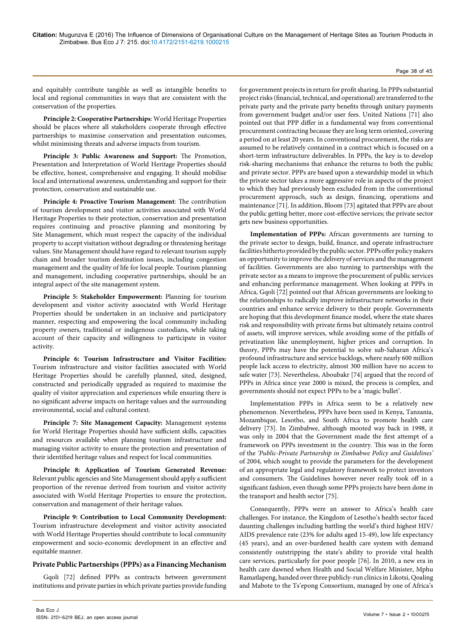#### Page 38 of 45

and equitably contribute tangible as well as intangible benefits to local and regional communities in ways that are consistent with the conservation of the properties.

**Principle 2: Cooperative Partnerships**: World Heritage Properties should be places where all stakeholders cooperate through effective partnerships to maximise conservation and presentation outcomes, whilst minimising threats and adverse impacts from tourism.

**Principle 3: Public Awareness and Support:** The Promotion, Presentation and Interpretation of World Heritage Properties should be effective, honest, comprehensive and engaging. It should mobilise local and international awareness, understanding and support for their protection, conservation and sustainable use.

**Principle 4: Proactive Tourism Management**: The contribution of tourism development and visitor activities associated with World Heritage Properties to their protection, conservation and presentation requires continuing and proactive planning and monitoring by Site Management, which must respect the capacity of the individual property to accept visitation without degrading or threatening heritage values. Site Management should have regard to relevant tourism supply chain and broader tourism destination issues, including congestion management and the quality of life for local people. Tourism planning and management, including cooperative partnerships, should be an integral aspect of the site management system.

**Principle 5: Stakeholder Empowerment:** Planning for tourism development and visitor activity associated with World Heritage Properties should be undertaken in an inclusive and participatory manner, respecting and empowering the local community including property owners, traditional or indigenous custodians, while taking account of their capacity and willingness to participate in visitor activity.

**Principle 6: Tourism Infrastructure and Visitor Facilities:**  Tourism infrastructure and visitor facilities associated with World Heritage Properties should be carefully planned, sited, designed, constructed and periodically upgraded as required to maximise the quality of visitor appreciation and experiences while ensuring there is no significant adverse impacts on heritage values and the surrounding environmental, social and cultural context.

**Principle 7: Site Management Capacity:** Management systems for World Heritage Properties should have sufficient skills, capacities and resources available when planning tourism infrastructure and managing visitor activity to ensure the protection and presentation of their identified heritage values and respect for local communities.

**Principle 8: Application of Tourism Generated Revenue:**  Relevant public agencies and Site Management should apply a sufficient proportion of the revenue derived from tourism and visitor activity associated with World Heritage Properties to ensure the protection, conservation and management of their heritage values.

**Principle 9: Contribution to Local Community Development:**  Tourism infrastructure development and visitor activity associated with World Heritage Properties should contribute to local community empowerment and socio-economic development in an effective and equitable manner.

#### **Private Public Partnerships (PPPs) as a Financing Mechanism**

Gqoli [72] defined PPPs as contracts between government institutions and private parties in which private parties provide funding

for government projects in return for profit sharing. In PPPs substantial project risks (financial, technical, and operational) are transferred to the private party and the private party benefits through unitary payments from government budget and/or user fees. United Nations [71] also pointed out that PPP differ in a fundamental way from conventional procurement contracting because they are long term oriented, covering a period on at least 20 years. In conventional procurement, the risks are assumed to be relatively contained in a contract which is focused on a short-term infrastructure deliverables. In PPPs, the key is to develop risk-sharing mechanisms that enhance the returns to both the public and private sector. PPPs are based upon a stewardship model in which the private sector takes a more aggressive role in aspects of the project to which they had previously been excluded from in the conventional procurement approach, such as design, financing, operations and maintenance [71]. In addition, Bloom [73] agitated that PPPs are about the public getting better, more cost-effective services; the private sector gets new business opportunities.

**Implementation of PPPs:** African governments are turning to the private sector to design, build, finance, and operate infrastructure facilities hitherto provided by the public sector. PPPs offer policy makers an opportunity to improve the delivery of services and the management of facilities. Governments are also turning to partnerships with the private sector as a means to improve the procurement of public services and enhancing performance management. When looking at PPPs in Africa, Gqoli [72] pointed out that African governments are looking to the relationships to radically improve infrastructure networks in their countries and enhance service delivery to their people. Governments are hoping that this development finance model, where the state shares risk and responsibility with private firms but ultimately retains control of assets, will improve services, while avoiding some of the pitfalls of privatization like unemployment, higher prices and corruption. In theory, PPPs may have the potential to solve sub-Saharan Africa's profound infrastructure and service backlogs, where nearly 600 million people lack access to electricity, almost 300 million have no access to safe water [73]. Nevertheless, Aboubakr [74] argued that the record of PPPs in Africa since year 2000 is mixed, the process is complex, and governments should not expect PPPs to be a 'magic bullet'.

Implementation PPPs in Africa seem to be a relatively new phenomenon. Nevertheless, PPPs have been used in Kenya, Tanzania, Mozambique, Lesotho, and South Africa to promote health care delivery [73]. In Zimbabwe, although mooted way back in 1998, it was only in 2004 that the Government made the first attempt of a framework on PPPs investment in the country. This was in the form of the *'Public-Private Partnership in Zimbabwe Policy and Guidelines'* of 2004, which sought to provide the parameters for the development of an appropriate legal and regulatory framework to protect investors and consumers. The Guidelines however never really took off in a significant fashion, even though some PPPs projects have been done in the transport and health sector [75].

Consequently, PPPs were an answer to Africa's health care challenges. For instance, the Kingdom of Lesotho's health sector faced daunting challenges including battling the world's third highest HIV/ AIDS prevalence rate (23% for adults aged 15-49), low life expectancy (45 years), and an over-burdened health care system with demand consistently outstripping the state's ability to provide vital health care services, particularly for poor people [76]. In 2010, a new era in health care dawned when Health and Social Welfare Minister, Mphu Ramatlapeng, handed over three publicly-run clinics in Likotsi, Qoaling and Mabote to the Ts'epong Consortium, managed by one of Africa's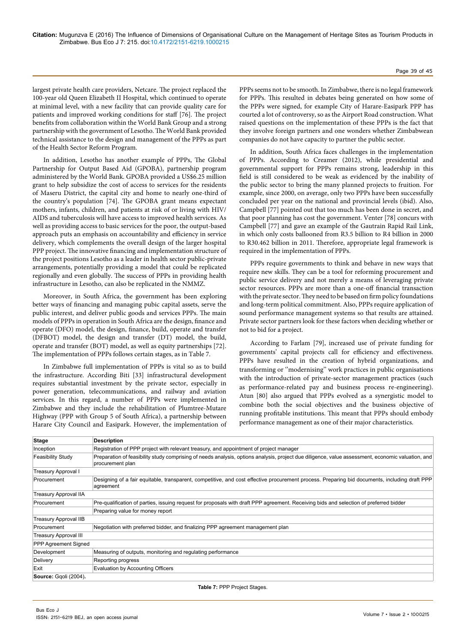largest private health care providers, Netcare. The project replaced the 100-year old Queen Elizabeth II Hospital, which continued to operate at minimal level, with a new facility that can provide quality care for patients and improved working conditions for staff [76]. The project benefits from collaboration within the World Bank Group and a strong partnership with the government of Lesotho. The World Bank provided technical assistance to the design and management of the PPPs as part of the Health Sector Reform Program.

In addition, Lesotho has another example of PPPs, The Global Partnership for Output Based Aid (GPOBA), partnership program administered by the World Bank. GPOBA provided a [US\\$6.25 million](http://www.gpoba.org/gpoba/node/228) [grant](http://www.gpoba.org/gpoba/node/228) to help subsidize the cost of access to services for the residents of Maseru District, the capital city and home to nearly one-third of the country's population [74]. The GPOBA grant means expectant mothers, infants, children, and patients at risk of or living with HIV/ AIDS and tuberculosis will have access to improved health services. As well as providing access to basic services for the poor, the output-based approach puts an emphasis on accountability and efficiency in service delivery, which complements the overall design of the larger hospital PPP project. The innovative financing and implementation structure of the project positions Lesotho as a leader in health sector public-private arrangements, potentially providing a model that could be replicated regionally and even globally. The success of PPPs in providing health infrastructure in Lesotho, can also be replicated in the NMMZ.

Moreover, in South Africa, the government has been exploring better ways of financing and managing pubic capital assets, serve the public interest, and deliver public goods and services PPPs. The main models of PPPs in operation in South Africa are the design, finance and operate (DFO) model, the design, finance, build, operate and transfer (DFBOT) model, the design and transfer (DT) model, the build, operate and transfer (BOT) model, as well as equity partnerships [72]. The implementation of PPPs follows certain stages, as in Table 7.

In Zimbabwe full implementation of PPPs is vital so as to build the infrastructure. According Biti [33] infrastructural development requires substantial investment by the private sector, especially in power generation, telecommunications, and railway and aviation services. In this regard, a number of PPPs were implemented in Zimbabwe and they include the rehabilitation of Plumtree-Mutare Highway (PPP with Group 5 of South Africa), a partnership between Harare City Council and Easipark. However, the implementation of

PPPs seems not to be smooth. In Zimbabwe, there is no legal framework for PPPs. This resulted in debates being generated on how some of the PPPs were signed, for example City of Harare-Easipark PPP has courted a lot of controversy, so as the Airport Road construction. What raised questions on the implementation of these PPPs is the fact that they involve foreign partners and one wonders whether Zimbabwean companies do not have capacity to partner the public sector.

In addition, South Africa faces challenges in the implementation of PPPs. According to Creamer (2012), while presidential and governmental support for PPPs remains strong, leadership in this field is still considered to be weak as evidenced by the inability of the public sector to bring the many planned projects to fruition. For example, since 2000, on average, only two PPPs have been successfully concluded per year on the national and provincial levels (ibid). Also, Campbell [77] pointed out that too much has been done in secret, and that poor planning has cost the government. Venter [78] concurs with Campbell [77] and gave an example of the Gautrain Rapid Rail Link, in which only costs ballooned from R3.5 billion to R4 billion in 2000 to R30.462 billion in 2011. Therefore, appropriate legal framework is required in the implementation of PPPs.

PPPs require governments to think and behave in new ways that require new skills. They can be a tool for reforming procurement and public service delivery and not merely a means of leveraging private sector resources. PPPs are more than a one-off financial transaction with the private sector. They need to be based on firm policy foundations and long-term political commitment. Also, PPPs require application of sound performance management systems so that results are attained. Private sector partners look for these factors when deciding whether or not to bid for a project.

According to Farlam [79], increased use of private funding for governments' capital projects call for efficiency and effectiveness. PPPs have resulted in the creation of hybrid organizations, and transforming or ''modernising'' work practices in public organisations with the introduction of private-sector management practices (such as performance-related pay and business process re-engineering). Atun [80] also argued that PPPs evolved as a synergistic model to combine both the social objectives and the business objective of running profitable institutions. This meant that PPPs should embody performance management as one of their major characteristics.

| <b>Stage</b>                 | <b>Description</b>                                                                                                                                                    |
|------------------------------|-----------------------------------------------------------------------------------------------------------------------------------------------------------------------|
| Inception                    | Registration of PPP project with relevant treasury, and appointment of project manager                                                                                |
| <b>Feasibility Study</b>     | Preparation of feasibility study comprising of needs analysis, options analysis, project due diligence, value assessment, economic valuation, and<br>procurement plan |
| Treasury Approval I          |                                                                                                                                                                       |
| Procurement                  | Designing of a fair equitable, transparent, competitive, and cost effective procurement process. Preparing bid documents, including draft PPP<br>agreement            |
| <b>Treasury Approval IIA</b> |                                                                                                                                                                       |
| Procurement                  | Pre-qualification of parties, issuing request for proposals with draft PPP agreement. Receiving bids and selection of preferred bidder                                |
|                              | Preparing value for money report                                                                                                                                      |
| <b>Treasury Approval IIB</b> |                                                                                                                                                                       |
| Procurement                  | Negotiation with preferred bidder, and finalizing PPP agreement management plan                                                                                       |
| <b>Treasury Approval III</b> |                                                                                                                                                                       |
| PPP Agreement Signed         |                                                                                                                                                                       |
| Development                  | Measuring of outputs, monitoring and regulating performance                                                                                                           |
| Delivery                     | Reporting progress                                                                                                                                                    |
| Exit                         | <b>Evaluation by Accounting Officers</b>                                                                                                                              |
| Source: Gqoli (2004).        |                                                                                                                                                                       |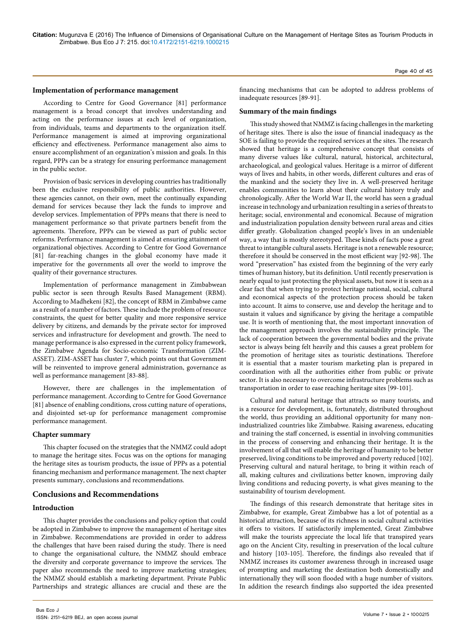# **Implementation of performance management**

According to Centre for Good Governance [81] performance management is a broad concept that involves understanding and acting on the performance issues at each level of organization, from individuals, teams and departments to the organization itself. Performance management is aimed at improving organizational efficiency and effectiveness. Performance management also aims to ensure accomplishment of an organization's mission and goals. In this regard, PPPs can be a strategy for ensuring performance management in the public sector.

Provision of basic services in developing countries has traditionally been the exclusive responsibility of public authorities. However, these agencies cannot, on their own, meet the continually expanding demand for services because they lack the funds to improve and develop services. Implementation of PPPs means that there is need to management performance so that private partners benefit from the agreements. Therefore, PPPs can be viewed as part of public sector reforms. Performance management is aimed at ensuring attainment of organizational objectives. According to Centre for Good Governance [81] far-reaching changes in the global economy have made it imperative for the governments all over the world to improve the quality of their governance structures.

Implementation of performance management in Zimbabwean public sector is seen through Results Based Management (RBM). According to Madhekeni [82], the concept of RBM in Zimbabwe came as a result of a number of factors. These include the problem of resource constraints, the quest for better quality and more responsive service delivery by citizens, and demands by the private sector for improved services and infrastructure for development and growth. The need to manage performance is also expressed in the current policy framework, the Zimbabwe Agenda for Socio-economic Transformation (ZIM-ASSET). ZIM-ASSET has cluster 7, which points out that Government will be reinvented to improve general administration, governance as well as performance management [83-88].

However, there are challenges in the implementation of performance management. According to Centre for Good Governance [81] absence of enabling conditions, cross cutting nature of operations, and disjointed set-up for performance management compromise performance management.

# **Chapter summary**

This chapter focused on the strategies that the NMMZ could adopt to manage the heritage sites. Focus was on the options for managing the heritage sites as tourism products, the issue of PPPs as a potential financing mechanism and performance management. The next chapter presents summary, conclusions and recommendations.

# **Conclusions and Recommendations**

# **Introduction**

This chapter provides the conclusions and policy option that could be adopted in Zimbabwe to improve the management of heritage sites in Zimbabwe. Recommendations are provided in order to address the challenges that have been raised during the study. There is need to change the organisational culture, the NMMZ should embrace the diversity and corporate governance to improve the services. The paper also recommends the need to improve marketing strategies; the NMMZ should establish a marketing department. Private Public Partnerships and strategic alliances are crucial and these are the financing mechanisms that can be adopted to address problems of inadequate resources [89-91].

# **Summary of the main findings**

This study showed that NMMZ is facing challenges in the marketing of heritage sites. There is also the issue of financial inadequacy as the SOE is failing to provide the required services at the sites. The research showed that heritage is a comprehensive concept that consists of many diverse values like cultural, natural, historical, architectural, archaeological, and geological values. Heritage is a mirror of different ways of lives and habits, in other words, different cultures and eras of the mankind and the society they live in. A well-preserved heritage enables communities to learn about their cultural history truly and chronologically. After the World War II, the world has seen a gradual increase in technology and urbanization resulting in a series of threats to heritage; social, environmental and economical. Because of migration and industrialization population density between rural areas and cities differ greatly. Globalization changed people's lives in an undeniable way, a way that is mostly stereotyped. These kinds of facts pose a great threat to intangible cultural assets. Heritage is not a renewable resource; therefore it should be conserved in the most efficient way [92-98]. The word "preservation" has existed from the beginning of the very early times of human history, but its definition. Until recently preservation is nearly equal to just protecting the physical assets, but now it is seen as a clear fact that when trying to protect heritage national, social, cultural and economical aspects of the protection process should be taken into account. It aims to conserve, use and develop the heritage and to sustain it values and significance by giving the heritage a compatible use. It is worth of mentioning that, the most important innovation of the management approach involves the sustainability principle. The lack of cooperation between the governmental bodies and the private sector is always being felt heavily and this causes a great problem for the promotion of heritage sites as touristic destinations. Therefore it is essential that a master tourism marketing plan is prepared in coordination with all the authorities either from public or private sector. It is also necessary to overcome infrastructure problems such as transportation in order to ease reaching heritage sites [99-101].

Cultural and natural heritage that attracts so many tourists, and is a resource for development, is, fortunately, distributed throughout the world, thus providing an additional opportunity for many nonindustrialized countries like Zimbabwe. Raising awareness, educating and training the staff concerned, is essential in involving communities in the process of conserving and enhancing their heritage. It is the involvement of all that will enable the heritage of humanity to be better preserved, living conditions to be improved and poverty reduced [102]. Preserving cultural and natural heritage, to bring it within reach of all, making cultures and civilizations better known, improving daily living conditions and reducing poverty, is what gives meaning to the sustainability of tourism development.

The findings of this research demonstrate that heritage sites in Zimbabwe, for example, Great Zimbabwe has a lot of potential as a historical attraction, because of its richness in social cultural activities it offers to visitors. If satisfactorily implemented, Great Zimbabwe will make the tourists appreciate the local life that transpired years ago on the Ancient City, resulting in preservation of the local culture and history [103-105]. Therefore, the findings also revealed that if NMMZ increases its customer awareness through in increased usage of prompting and marketing the destination both domestically and internationally they will soon flooded with a huge number of visitors. In addition the research findings also supported the idea presented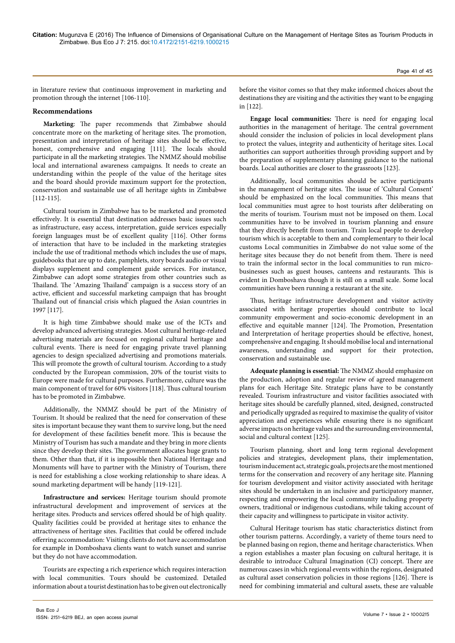in literature review that continuous improvement in marketing and promotion through the internet [106-110].

# **Recommendations**

**Marketing**: The paper recommends that Zimbabwe should concentrate more on the marketing of heritage sites. The promotion, presentation and interpretation of heritage sites should be effective, honest, comprehensive and engaging [111]. The locals should participate in all the marketing strategies. The NMMZ should mobilise local and international awareness campaigns. It needs to create an understanding within the people of the value of the heritage sites and the board should provide maximum support for the protection, conservation and sustainable use of all heritage sights in Zimbabwe [112-115].

Cultural tourism in Zimbabwe has to be marketed and promoted effectively. It is essential that destination addresses basic issues such as infrastructure, easy access, interpretation, guide services especially foreign languages must be of excellent quality [116]. Other forms of interaction that have to be included in the marketing strategies include the use of traditional methods which includes the use of maps, guidebooks that are up to date, pamphlets, story boards audio or visual displays supplement and complement guide services. For instance, Zimbabwe can adopt some strategies from other countries such as Thailand. The 'Amazing Thailand' campaign is a success story of an active, efficient and successful marketing campaign that has brought Thailand out of financial crisis which plagued the Asian countries in 1997 [117].

It is high time Zimbabwe should make use of the ICTs and develop advanced advertising strategies. Most cultural heritage-related advertising materials are focused on regional cultural heritage and cultural events. There is need for engaging private travel planning agencies to design specialized advertising and promotions materials. This will promote the growth of cultural tourism. According to a study conducted by the European commission, 20% of the tourist visits to Europe were made for cultural purposes. Furthermore, culture was the main component of travel for 60% visitors [118]. Thus cultural tourism has to be promoted in Zimbabwe.

Additionally, the NMMZ should be part of the Ministry of Tourism. It should be realized that the need for conservation of these sites is important because they want them to survive long, but the need for development of these facilities benefit more. This is because the Ministry of Tourism has such a mandate and they bring in more clients since they develop their sites. The government allocates huge grants to them. Other than that, if it is impossible then National Heritage and Monuments will have to partner with the Ministry of Tourism, there is need for establishing a close working relationship to share ideas. A sound marketing department will be handy [119-121].

**Infrastructure and services:** Heritage tourism should promote infrastructural development and improvement of services at the heritage sites. Products and services offered should be of high quality. Quality facilities could be provided at heritage sites to enhance the attractiveness of heritage sites. Facilities that could be offered include offerring accommodation: Visiting clients do not have accommodation for example in Domboshava clients want to watch sunset and sunrise but they do not have accommodation.

Tourists are expecting a rich experience which requires interaction with local communities. Tours should be customized. Detailed information about a tourist destination has to be given out electronically

before the visitor comes so that they make informed choices about the destinations they are visiting and the activities they want to be engaging in [122].

**Engage local communities:** There is need for engaging local authorities in the management of heritage. The central government should consider the inclusion of policies in local development plans to protect the values, integrity and authenticity of heritage sites. Local authorities can support authorities through providing support and by the preparation of supplementary planning guidance to the national boards. Local authorities are closer to the grassroots [123].

Additionally, local communities should be active participants in the management of heritage sites. The issue of 'Cultural Consent' should be emphasized on the local communities. This means that local communities must agree to host tourists after deliberating on the merits of tourism. Tourism must not be imposed on them. Local communities have to be involved in tourism planning and ensure that they directly benefit from tourism. Train local people to develop tourism which is acceptable to them and complementary to their local customs Local communities in Zimbabwe do not value some of the heritage sites because they do not benefit from them. There is need to train the informal sector in the local communities to run microbusinesses such as guest houses, canteens and restaurants. This is evident in Domboshava though it is still on a small scale. Some local communities have been running a restaurant at the site.

Thus, heritage infrastructure development and visitor activity associated with heritage properties should contribute to local community empowerment and socio-economic development in an effective and equitable manner [124]. The Promotion, Presentation and Interpretation of heritage properties should be effective, honest, comprehensive and engaging. It should mobilise local and international awareness, understanding and support for their protection, conservation and sustainable use.

**Adequate planning is essential:** The NMMZ should emphasize on the production, adoption and regular review of agreed management plans for each Heritage Site. Strategic plans have to be constantly revealed. Tourism infrastructure and visitor facilities associated with heritage sites should be carefully planned, sited, designed, constructed and periodically upgraded as required to maximise the quality of visitor appreciation and experiences while ensuring there is no significant adverse impacts on heritage values and the surrounding environmental, social and cultural context [125].

Tourism planning, short and long term regional development policies and strategies, development plans, their implementation, tourism inducement act, strategic goals, projects are the most mentioned terms for the conservation and recovery of any heritage site. Planning for tourism development and visitor activity associated with heritage sites should be undertaken in an inclusive and participatory manner, respecting and empowering the local community including property owners, traditional or indigenous custodians, while taking account of their capacity and willingness to participate in visitor activity.

Cultural Heritage tourism has static characteristics distinct from other tourism patterns. Accordingly, a variety of theme tours need to be planned basing on region, theme and heritage characteristics. When a region establishes a master plan focusing on cultural heritage, it is desirable to introduce Cultural Imagination (CI) concept. There are numerous cases in which regional events within the regions, designated as cultural asset conservation policies in those regions [126]. There is need for combining immaterial and cultural assets, these are valuable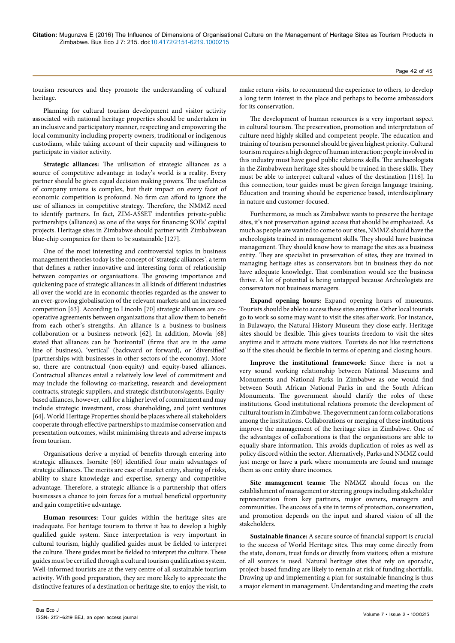tourism resources and they promote the understanding of cultural heritage.

Planning for cultural tourism development and visitor activity associated with national heritage properties should be undertaken in an inclusive and participatory manner, respecting and empowering the local community including property owners, traditional or indigenous custodians, while taking account of their capacity and willingness to participate in visitor activity.

**Strategic alliances:** The utilisation of strategic alliances as a source of competitive advantage in today's world is a reality. Every partner should be given equal decision making powers. The usefulness of company unions is complex, but their impact on every facet of economic competition is profound. No firm can afford to ignore the use of alliances in competitive strategy. Therefore, the NMMZ need to identify partners. In fact, ZIM-ASSET indentifies private-public partnerships (alliances) as one of the ways for financing SOEs' capital projects. Heritage sites in Zimbabwe should partner with Zimbabwean blue-chip companies for them to be sustainable [127].

One of the most interesting and controversial topics in business management theories today is the concept of 'strategic alliances', a term that defines a rather innovative and interesting form of relationship between companies or organisations. The growing importance and quickening pace of strategic alliances in all kinds of different industries all over the world are in economic theories regarded as the answer to an ever-growing globalisation of the relevant markets and an increased competition [63]. According to Lincoln [70] strategic alliances are cooperative agreements between organizations that allow them to benefit from each other's strengths. An alliance is a business-to-business collaboration or a business network [62]. In addition, Mowla [68] stated that alliances can be 'horizontal' (firms that are in the same line of business), 'vertical' (backward or forward), or 'diversified' (partnerships with businesses in other sectors of the economy). More so, there are contractual (non-equity) and equity-based alliances. Contractual alliances entail a relatively low level of commitment and may include the following co-marketing, research and development contracts, strategic suppliers, and strategic distributors/agents. Equitybased alliances, however, call for a higher level of commitment and may include strategic investment, cross shareholding, and joint ventures [64]. World Heritage Properties should be places where all stakeholders cooperate through effective partnerships to maximise conservation and presentation outcomes, whilst minimising threats and adverse impacts from tourism.

Organisations derive a myriad of benefits through entering into strategic alliances. Isoraite [60] identified four main advantages of strategic alliances. The merits are ease of market entry, sharing of risks, ability to share knowledge and expertise, synergy and competitive advantage. Therefore, a strategic alliance is a partnership that offers businesses a chance to join forces for a mutual beneficial opportunity and gain competitive advantage.

**Human resources:** Tour guides within the heritage sites are inadequate. For heritage tourism to thrive it has to develop a highly qualified guide system. Since interpretation is very important in cultural tourism, highly qualified guides must be fielded to interpret the culture. There guides must be fielded to interpret the culture. These guides must be certified through a cultural tourism qualification system. Well-informed tourists are at the very centre of all sustainable tourism activity. With good preparation, they are more likely to appreciate the distinctive features of a destination or heritage site, to enjoy the visit, to

make return visits, to recommend the experience to others, to develop a long term interest in the place and perhaps to become ambassadors for its conservation.

The development of human resources is a very important aspect in cultural tourism. The preservation, promotion and interpretation of culture need highly skilled and competent people. The education and training of tourism personnel should be given highest priority. Cultural tourism requires a high degree of human interaction; people involved in this industry must have good public relations skills. The archaeologists in the Zimbabwean heritage sites should be trained in these skills. They must be able to interpret cultural values of the destination [116]. In this connection, tour guides must be given foreign language training. Education and training should be experience based, interdisciplinary in nature and customer-focused.

Furthermore, as much as Zimbabwe wants to preserve the heritage sites, it's not preservation against access that should be emphasized. As much as people are wanted to come to our sites, NMMZ should have the archeologists trained in management skills. They should have business management. They should know how to manage the sites as a business entity. They are specialist in preservation of sites, they are trained in managing heritage sites as conservators but in business they do not have adequate knowledge. That combination would see the business thrive. A lot of potential is being untapped because Archeologists are conservators not business managers.

**Expand opening hours:** Expand opening hours of museums. Tourists should be able to access these sites anytime. Other local tourists go to work so some may want to visit the sites after work. For instance, in Bulawayo, the Natural History Museum they close early. Heritage sites should be flexible. This gives tourists freedom to visit the sites anytime and it attracts more visitors. Tourists do not like restrictions so if the sites should be flexible in terms of opening and closing hours.

**Improve the institutional framework:** Since there is not a very sound working relationship between National Museums and Monuments and National Parks in Zimbabwe as one would find between South African National Parks in and the South African Monuments. The government should clarify the roles of these institutions. Good institutional relations promote the development of cultural tourism in Zimbabwe. The government can form collaborations among the institutions. Collaborations or merging of these institutions improve the management of the heritage sites in Zimbabwe. One of the advantages of collaborations is that the organisations are able to equally share information. This avoids duplication of roles as well as policy discord within the sector. Alternatively, Parks and NMMZ could just merge or have a park where monuments are found and manage them as one entity share incomes.

**Site management teams:** The NMMZ should focus on the establishment of management or steering groups including stakeholder representation from key partners, major owners, managers and communities. The success of a site in terms of protection, conservation, and promotion depends on the input and shared vision of all the stakeholders.

**Sustainable finance:** A secure source of financial support is crucial to the success of World Heritage sites. This may come directly from the state, donors, trust funds or directly from visitors; often a mixture of all sources is used. Natural heritage sites that rely on sporadic, project-based funding are likely to remain at risk of funding shortfalls. Drawing up and implementing a plan for sustainable financing is thus a major element in management. Understanding and meeting the costs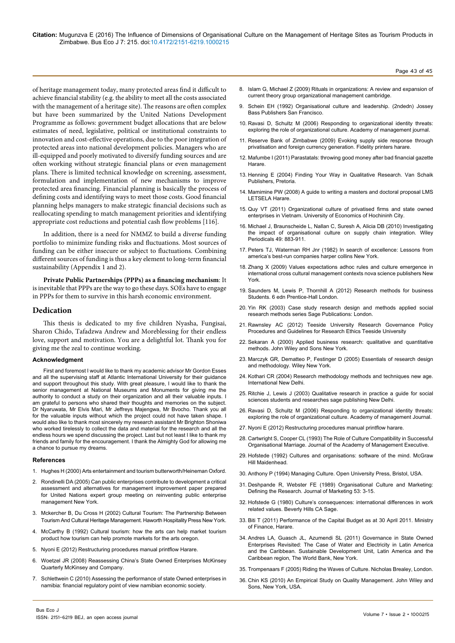of heritage management today, many protected areas find it difficult to achieve financial stability (e.g. the ability to meet all the costs associated with the management of a heritage site). The reasons are often complex but have been summarized by the United Nations Development Programme as follows: government budget allocations that are below estimates of need, legislative, political or institutional constraints to innovation and cost-effective operations, due to the poor integration of protected areas into national development policies. Managers who are ill-equipped and poorly motivated to diversify funding sources and are often working without strategic financial plans or even management plans. There is limited technical knowledge on screening, assessment, formulation and implementation of new mechanisms to improve protected area financing. Financial planning is basically the process of defining costs and identifying ways to meet those costs. Good financial planning helps managers to make strategic financial decisions such as reallocating spending to match management priorities and identifying appropriate cost reductions and potential cash flow problems [116].

In addition, there is a need for NMMZ to build a diverse funding portfolio to minimize funding risks and fluctuations. Most sources of funding can be either insecure or subject to fluctuations. Combining different sources of funding is thus a key element to long-term financial sustainability (Appendix 1 and 2).

**Private Public Partnerships (PPPs) as a financing mechanism**: It is inevitable that PPPs are the way to go these days. SOEs have to engage in PPPs for them to survive in this harsh economic environment.

# **Dedication**

This thesis is dedicated to my five children Nyasha, Fungisai, Sharon Chido, Tafadzwa Andrew and Moreblessing for their endless love, support and motivation. You are a delightful lot. Thank you for giving me the zeal to continue working.

#### **Acknowledgment**

First and foremost I would like to thank my academic advisor Mr Gordon Esses and all the supervising staff at Atlantic International University for their guidance and support throughout this study. With great pleasure, I would like to thank the senior management at National Museums and Monuments for giving me the authority to conduct a study on their organization and all their valuable inputs. I am grateful to persons who shared their thoughts and memories on the subject. Dr Nyaruwata, Mr Elvis Mari, Mr Jeffreys Majengwa, Mr Bvocho. Thank you all for the valuable inputs without which the project could not have taken shape. I would also like to thank most sincerely my research assistant Mr Brighton Shoniwa who worked tirelessly to collect the data and material for the research and all the endless hours we spend discussing the project. Last but not least I like to thank my friends and family for the encouragement. I thank the Almighty God for allowing me a chance to pursue my dreams.

#### **References**

- 1. [Hughes H \(2000\) Arts entertainment and tourism butterworth/Heineman Oxford](https://books.google.co.in/books?id=lN23yHceoIEC&pg=PR3&lpg=PR3&dq=Arts+Entertainment+and+Tourism+Butterworth/Heinemann+Oxford&source=bl&ots=HwBl30AnhI&sig=SwWH23A7PK_AZRtVyGrIEf2hbgQ&hl=en&sa=X&ved=0ahUKEwjv2d6WsqfNAhXDP48KHQqBA6wQ6AEINzAF#v=onepage&q=Arts Entertainment and Tourism Butterworth%2FHeinemann Oxford&f=false).
- 2. [Rondinelli DA \(2005\) Can public enterprises contribute to development a critical](http://unpan1.un.org/intradoc/groups/public/documents/UN/UNPAN021619.pdf) [assessment and alternatives for management improvement paper prepared](http://unpan1.un.org/intradoc/groups/public/documents/UN/UNPAN021619.pdf) [for United Nations expert group meeting on reinventing public enterprise](http://unpan1.un.org/intradoc/groups/public/documents/UN/UNPAN021619.pdf) [management New York](http://unpan1.un.org/intradoc/groups/public/documents/UN/UNPAN021619.pdf).
- 3. [Mckercher B, Du Cross H \(2002\) Cultural Tourism: The Partnership Between](http://www.emeraldinsight.com/doi/abs/10.1108/09596110310496060) [Tourism And Cultural Heritage Management. Haworth Hospitality Press New York](http://www.emeraldinsight.com/doi/abs/10.1108/09596110310496060).
- 4. McCarthy B (1992) Cultural tourism: how the arts can help market tourism product how tourism can help promote markets for the arts oregon.
- 5. Nyoni E (2012) Restructuring procedures manual printflow Harare.
- 6. [Woetzel JR \(2008\) Reassessing China's State Owned Enterprises McKinsey](http://www.forbes.com/2008/07/08/china-enterprises-state-lead-cx_jrw_0708mckinsey.html) [Quarterly McKinsey and Company](http://www.forbes.com/2008/07/08/china-enterprises-state-lead-cx_jrw_0708mckinsey.html).
- 7. Schlettwein C (2010) Assessing the performance of state Owned enterprises in namibia: financial regulatory point of view namibian economic society.

8. [Islam G, Michael Z \(2009\) Rituals in organizations: A review and expansion of](http://www.insper.edu.br/conhecimento/wp-content/uploads/2014/09/ritual_RR_GOM_final.pdf)  [current theory group organizational management cambridge.](http://www.insper.edu.br/conhecimento/wp-content/uploads/2014/09/ritual_RR_GOM_final.pdf)

Page 43 of 45

- 9. [Schein EH \(1992\) Organisational culture and leadership. \(2ndedn\) Jossey](https://www.google.co.in/url?sa=t&rct=j&q=&esrc=s&source=web&cd=2&ved=0ahUKEwja5I2LtKfNAhWMLI8KHasbDtUQFggsMAE&url=http%3A%2F%2Fwww.fcsh.unl.pt%2Fdocentes%2Fluisrodrigues%2FOrganizational%2520Culture.doc&usg=AFQjCNGhmnI-0lPg4Hd6klVEZxtieeF1ww&cad=rja)  [Bass Publishers San Francisco](https://www.google.co.in/url?sa=t&rct=j&q=&esrc=s&source=web&cd=2&ved=0ahUKEwja5I2LtKfNAhWMLI8KHasbDtUQFggsMAE&url=http%3A%2F%2Fwww.fcsh.unl.pt%2Fdocentes%2Fluisrodrigues%2FOrganizational%2520Culture.doc&usg=AFQjCNGhmnI-0lPg4Hd6klVEZxtieeF1ww&cad=rja).
- 10. [Ravasi D, Schultz M \(2006\) Responding to organizational identity threats:](https://www.researchgate.net/publication/259784581_Responding_to_Organizational_Identity_Threats_Exploring_the_Role_of_Organizational_Culture)  [exploring the role of organizational culture. Academy of management journal](https://www.researchgate.net/publication/259784581_Responding_to_Organizational_Identity_Threats_Exploring_the_Role_of_Organizational_Culture).
- 11. [Reserve Bank of Zimbabwe \(2009\) Evoking supply side response through](http://www.rbz.co.zw/assets/privatisation.pdf)  [privatisation and foreign currency generation. Fidelity printers harare](http://www.rbz.co.zw/assets/privatisation.pdf).
- 12. Mafumbe I (2011) Parastatals: throwing good money after bad financial gazette **Harare**
- 13. [Henning E \(2004\) Finding Your Way in Qualitative Research. Van Schaik](https://books.google.co.in/books/about/Finding_your_way_in_qualitative_research.html?id=6J98AAAAIAAJ)  [Publishers, Pretoria.](https://books.google.co.in/books/about/Finding_your_way_in_qualitative_research.html?id=6J98AAAAIAAJ)
- 14. Mamimine PW (2008) A guide to writing a masters and doctoral proposal LMS LETSELA Harare.
- 15. [Quy VT \(2011\) Organizational culture of privatised firms and state owned](https://www.researchgate.net/publication/228970768_Organizational_culture_of_privatized_firms_and_state-owned_enterprises_in_Vietnam)  [enterprises in Vietnam. University of Economics of Hochininh City.](https://www.researchgate.net/publication/228970768_Organizational_culture_of_privatized_firms_and_state-owned_enterprises_in_Vietnam)
- 16. [Michael J, Braunscheide L, Nallan C, Suresh A, Alicia DB \(2010\) Investigating](http://onlinelibrary.wiley.com/doi/10.1002/hrm.20381/abstract)  [the impact of organisational culture on supply chain integration. Wiley](http://onlinelibrary.wiley.com/doi/10.1002/hrm.20381/abstract)  [Periodicals 49: 883-911](http://onlinelibrary.wiley.com/doi/10.1002/hrm.20381/abstract).
- 17. [Peters TJ, Waterman RH Jnr \(1982\) In search of excellence: Lessons from](https://www.amazon.com/Search-Excellence-Americas-Best-Run-Companies/dp/0060548789)  [america's best-run companies harper collins New York.](https://www.amazon.com/Search-Excellence-Americas-Best-Run-Companies/dp/0060548789)
- 18. [Zhang X \(2009\) Values expectations adhoc rules and culture emergence in](https://www.novapublishers.com/catalog/product_info.php?products_id=10353)  [international cross cultural management contexts nova science publishers New](https://www.novapublishers.com/catalog/product_info.php?products_id=10353)  [York.](https://www.novapublishers.com/catalog/product_info.php?products_id=10353)
- 19. [Saunders M, Lewis P, Thornhill A \(2012\) Research methods for business](https://is.vsfs.cz/el/6410/leto2014/BA_BSeBM/um/Research_Methods_for_Business_Students__5th_Edition.pdf)  [Students. 6 edn Prentice-Hall London.](https://is.vsfs.cz/el/6410/leto2014/BA_BSeBM/um/Research_Methods_for_Business_Students__5th_Edition.pdf)
- 20. [Yin RK \(2003\) Case study research design and methods applied social](https://www.amazon.com/Case-Study-Research-Methods-Applied/dp/1452242569)  [research methods series Sage Publications: London](https://www.amazon.com/Case-Study-Research-Methods-Applied/dp/1452242569).
- 21. Rawnsley AC (2012) Teeside University Research Governance Policy Procedures and Guidelines for Research Ethics Teeside University
- 22. [Sekaran A \(2000\) Applied business research: qualitative and quantitative](https://books.google.co.in/books/about/Applied_Business_Research.html?id=sx1LAAAACAAJ)  [methods. John Wiley and Sons New York](https://books.google.co.in/books/about/Applied_Business_Research.html?id=sx1LAAAACAAJ).
- 23. [Marczyk GR, Dematteo P, Festinger D \(2005\) Essentials of research design](http://as.wiley.com/WileyCDA/WileyTitle/productCd-0471470538.html)  [and methodology. Wiley New York.](http://as.wiley.com/WileyCDA/WileyTitle/productCd-0471470538.html)
- 24. [Kothari CR \(2004\) Research methodology methods and techniques new age.](http://www.suza.ac.tz/saris/download/132376585119680689-Research-MethodologyMethods-and-Techniques-by-CR-Kothari.pdf 2.pdf)  [International New Delhi](http://www.suza.ac.tz/saris/download/132376585119680689-Research-MethodologyMethods-and-Techniques-by-CR-Kothari.pdf 2.pdf).
- 25. [Ritchie J, Lewis J \(2003\) Qualitative research in practice a guide for social](https://mthoyibi.files.wordpress.com/2011/10/qualitative-research-practice_a-guide-for-social-science-students-and-researchers_jane-ritchie-and-jane-lewis-eds_20031.pdf)  [sciences students and researches sage publishing New Delhi](https://mthoyibi.files.wordpress.com/2011/10/qualitative-research-practice_a-guide-for-social-science-students-and-researchers_jane-ritchie-and-jane-lewis-eds_20031.pdf).
- 26. [Ravasi D, Schultz M \(2006\) Responding to organizational identity threats:](http://amj.aom.org/content/49/3/433.abstract)  [exploring the role of organizational culture. Academy of management Journal](http://amj.aom.org/content/49/3/433.abstract).
- 27. Nyoni E (2012) Restructuring procedures manual printflow harare.
- 28. [Cartwright S, Cooper CL \(1993\) The Role of Culture Compatibility in Successful](http://amp.aom.org/content/7/2/57.abstract)  [Organisational Marriage. Journal of the Academy of Management Executive.](http://amp.aom.org/content/7/2/57.abstract)
- 29. [Hofstede \(1992\) Cultures and organisations: software of the mind. McGraw](https://www.amazon.com/Cultures-Organizations-Software-Mind-Third/dp/0071664181)  [Hill Maidenhead.](https://www.amazon.com/Cultures-Organizations-Software-Mind-Third/dp/0071664181)
- 30. Anthony P (1994) Managing Culture. Open University Press, Bristol, USA.
- 31. [Deshpande R, Webster FE \(1989\) Organisational Culture and Marketing:](https://www.jstor.org/stable/1251521?seq=1#page_scan_tab_contents)  [Defining the Research. Journal of Marketing 53: 3-15.](https://www.jstor.org/stable/1251521?seq=1#page_scan_tab_contents)
- 32. [Hofstede G \(1980\) Culture's consequences: international differences in work](https://www.amazon.com/Cultures-Consequences-International-Differences-Work-Related/dp/0803913060)  [related values. Beverly Hills CA Sage.](https://www.amazon.com/Cultures-Consequences-International-Differences-Work-Related/dp/0803913060)
- 33. Biti T (2011) Performance of the Capital Budget as at 30 April 2011. Ministry of Finance, Harare.
- 34. [Andres LA, Guasch JL, Azumendi SL \(2011\) Governance in State Owned](http://documents.worldbank.org/curated/en/2011/08/14700092/governance-state-owned-enterprises-revisited-cases-water-electricity-latin-america-caribbean)  [Enterprises Revisited: The Case of Water and Electricity in Latin America](http://documents.worldbank.org/curated/en/2011/08/14700092/governance-state-owned-enterprises-revisited-cases-water-electricity-latin-america-caribbean)  and the Caribbean. Sustainable Development Unit, Latin America and the [Caribbean region, The World Bank, New York.](http://documents.worldbank.org/curated/en/2011/08/14700092/governance-state-owned-enterprises-revisited-cases-water-electricity-latin-america-caribbean)
- 35. Trompenaars F (2005) Riding the Waves of Culture. Nicholas Brealey, London.
- 36. [Chin KS \(2010\) An Empirical Study on Quality Management. John Wiley and](http://www.emeraldinsight.com/doi/abs/10.1108/14635771011076461)  [Sons, New York, USA.](http://www.emeraldinsight.com/doi/abs/10.1108/14635771011076461)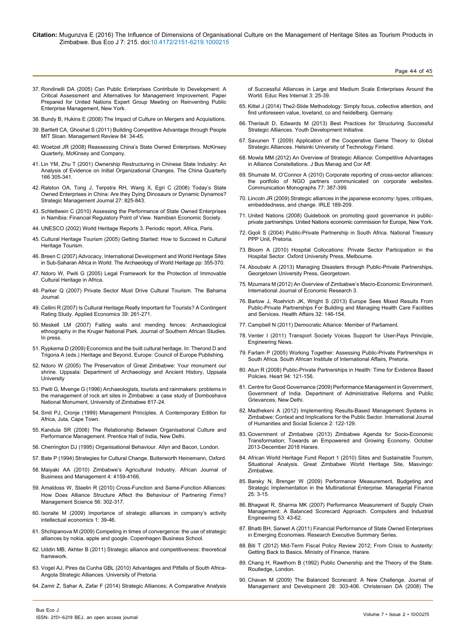- 37. [Rondinelli DA \(2005\) Can Public Enterprises Contribute to Development: A](https://www.google.co.in/url?sa=t&rct=j&q=&esrc=s&source=web&cd=1&cad=rja&uact=8&ved=0ahUKEwjQjvDbq6nNAhWKqo8KHa7VAFoQFggbMAA&url=http%3A%2F%2Funpan1.un.org%2Fintradoc%2Fgroups%2Fpublic%2Fdocuments%2FUN%2FUNPAN021619.pdf&usg=AFQjCNFtXWAB1VkfM4VvmxmJfn2BVijjpg&bvm=bv.124272578,d.c2I) [Critical Assessment and Alternatives for Management Improvement. Paper](https://www.google.co.in/url?sa=t&rct=j&q=&esrc=s&source=web&cd=1&cad=rja&uact=8&ved=0ahUKEwjQjvDbq6nNAhWKqo8KHa7VAFoQFggbMAA&url=http%3A%2F%2Funpan1.un.org%2Fintradoc%2Fgroups%2Fpublic%2Fdocuments%2FUN%2FUNPAN021619.pdf&usg=AFQjCNFtXWAB1VkfM4VvmxmJfn2BVijjpg&bvm=bv.124272578,d.c2I) [Prepared for United Nations Expert Group Meeting on Reinventing Public](https://www.google.co.in/url?sa=t&rct=j&q=&esrc=s&source=web&cd=1&cad=rja&uact=8&ved=0ahUKEwjQjvDbq6nNAhWKqo8KHa7VAFoQFggbMAA&url=http%3A%2F%2Funpan1.un.org%2Fintradoc%2Fgroups%2Fpublic%2Fdocuments%2FUN%2FUNPAN021619.pdf&usg=AFQjCNFtXWAB1VkfM4VvmxmJfn2BVijjpg&bvm=bv.124272578,d.c2I) [Enterprise Management, New York.](https://www.google.co.in/url?sa=t&rct=j&q=&esrc=s&source=web&cd=1&cad=rja&uact=8&ved=0ahUKEwjQjvDbq6nNAhWKqo8KHa7VAFoQFggbMAA&url=http%3A%2F%2Funpan1.un.org%2Fintradoc%2Fgroups%2Fpublic%2Fdocuments%2FUN%2FUNPAN021619.pdf&usg=AFQjCNFtXWAB1VkfM4VvmxmJfn2BVijjpg&bvm=bv.124272578,d.c2I)
- 38. [Bundy B, Hukins E \(2008\) The Impact of Culture on Mergers and Acquisitions.](http://www.mercer.com/)
- 39. [Bartlett CA, Ghoshal S \(2011\) Building Competitive Advantage through People](http://sloanreview.mit.edu/article/building-competitive-advantage-through-people/) [MIT Sloan. Management Review 84: 34-45.](http://sloanreview.mit.edu/article/building-competitive-advantage-through-people/)
- 40. Woetzel JR (2008) Reassessing China's State Owned Enterprises. McKinsey Quarterly, McKinsey and Company.
- 41. [Lin YM, Zhu T \(2001\) Ownership Restructuring in Chinese State Industry: An](http://www3.nccu.edu.tw/~jthuang/Ownership Restructuring in Chinese State.pdf) [Analysis of Evidence on Initial Organizational Changes. The China Quarterly](http://www3.nccu.edu.tw/~jthuang/Ownership Restructuring in Chinese State.pdf) [166 305-341.](http://www3.nccu.edu.tw/~jthuang/Ownership Restructuring in Chinese State.pdf)
- 42. [Ralston OA, Tong J, Terpstra RH, Wang X, Egri C \(2008\) Today's State](Strategic Management Journal) [Owned Enterprises in China: Are they Dying Dinosaurs or Dynamic Dynamos?](Strategic Management Journal) [Strategic Management Journal 27: 825-843.](Strategic Management Journal)
- 43. Schlettwein C (2010) Assessing the Performance of State Owned Enterprises in Namibia: Financial Regulatory Point of View. Namibian Economic Society.
- 44. [UNESCO \(2002\) World Heritage Reports 3. Periodic report, Africa, Paris](http://whc.unesco.org/documents/publi_wh_papers_03_en.pdf).
- 45. [Cultural Heritage Tourism \(2005\) Getting Started: How to Succeed in Cultural](http://www.culturalheritagetourism.org/) [Heritage Tourism.](http://www.culturalheritagetourism.org/)
- 46. [Breen C \(2007\) Advocacy, International Development and World Heritage Sites](http://www.itapintl.com/index.php/about-us/articles/culture-impact-mergers-acquisitions) [in Sub-Saharan Africa in World. The Archaeology of World Heritage pp: 355-370.](http://www.itapintl.com/index.php/about-us/articles/culture-impact-mergers-acquisitions)
- 47. [Ndoro W, Pwiti G \(2005\) Legal Framework for the Protection of Immovable](http://www.bcin.ca/Interface/openbcin.cgi?submit=submit&Chinkey=234775) [Cultural Heritage in Africa.](http://www.bcin.ca/Interface/openbcin.cgi?submit=submit&Chinkey=234775)
- 48. Parker Q (2007) Private Sector Must Drive Cultural Tourism. The Bahama Journal.
- 49. [Cellini R \(2007\) Is Cultural Heritage Really Important for Tourists? A Contingent](http://www.tandfonline.com/doi/abs/10.1080/00036840500427981) [Rating Study. Applied Economics 39: 261-271.](http://www.tandfonline.com/doi/abs/10.1080/00036840500427981)
- 50. Meskell LM (2007) Falling walls and mending fences: Archaeological ethnography in the Kruger National Park. Journal of Southern African Studies. In press.
- 51. Rypkema D (2009) Economics and the built cultural heritage. In: Therond D and Trigona A (eds.) Heritage and Beyond, Europe: Council of Europe Publishing.
- 52. Ndoro W (2005) The Preservation of Great Zimbabwe: Your monument our shrine. Uppsala: Department of Archaeology and Ancient History, Uppsala **University**
- 53. Pwiti G, Mvenge G (1996) Archaeologists, tourists and rainmakers: problems in the management of rock art sites in Zimbabwe: a case study of Domboshava National Monument, University of Zimbabwe 817-24.
- 54. Smit PJ, Cronje (1999) Management Principles. A Contemporary Edition for Africa, Juta, Cape Town.
- 55. Kandula SR (2006) The Relationship Between Organisati[o](http://www.unesco.org/education/aladin/paldin/pdf/course02/unit_14.pdf)nal Culture and Performance Management. Prentice Hall of India, New Delhi.
- 56. [Cherrington DJ \(1995\) Organisational Behaviour. Allyn and Bacon, London.](http://www.unesco.org/education/aladin/paldin/pdf/course02/unit_14.pdf)
- 57. Bate P (1994) Strategies for Cultural Change. Butterworth Heinemann, Oxford.
- 58. [Maiyaki AA \(2010\) Zimbabwe's Agricultural Industry. African Journal of](http://www.academicjournals.org/article/article1380553915_Maiyaki.pdf) [Business and Management 4: 4159-4166.](http://www.academicjournals.org/article/article1380553915_Maiyaki.pdf)
- 59. [Amaldoss W, Staelin R \(2010\) Cross-Function and Same-Function Alliances:](http://pubsonline.informs.org/doi/abs/10.1287/mnsc.1090.1103) [How Does Alliance Structure Affect the Behaviour of Partnering Firms?](http://pubsonline.informs.org/doi/abs/10.1287/mnsc.1090.1103) [Management Science 56: 302-317.](http://pubsonline.informs.org/doi/abs/10.1287/mnsc.1090.1103)
- 60. [Isoraite M \(2009\) Importance of strategic alliances in company's activity](https://www.mruni.eu/upload/iblock/bca/Isoraite.pdf) [intellectual economics 1: 39-46.](https://www.mruni.eu/upload/iblock/bca/Isoraite.pdf)
- 61. [Shchipanova M \(2009\) Competing in times of convergence: the use of strategic](http://studenttheses.cbs.dk/bitstream/handle/10417/1057/marina_shchipanova.pdf?sequence=1) [alliances by nokia, apple and google. Copenhagen Business School.](http://studenttheses.cbs.dk/bitstream/handle/10417/1057/marina_shchipanova.pdf?sequence=1)
- 62. [Uddin MB, Akhter B \(2011\) Strategic alliance and competitiveness: theoretical](http://www.researchersworld.com/vol2/PAPER_05.pdf) [framework.](http://www.researchersworld.com/vol2/PAPER_05.pdf)
- 63. [Vogel AJ, Pires da Cunha GBL \(2010\) Advantages and Pitfalls of South Africa-](http://repository.up.ac.za/handle/2263/14942)[Angola Strategic Alliances. University of Pretoria.](http://repository.up.ac.za/handle/2263/14942)
- 64. [Zamir Z, Sahar A, Zafar F \(2014\) Strategic Alliances; A Comparative Analysis](http://www.erint.savap.org.pk/PDF/Vol.3(1)/ERInt.2014(3.1-03).pdf)

[of Successful Alliances in Large and Medium Scale Enterprises Around the](http://www.erint.savap.org.pk/PDF/Vol.3(1)/ERInt.2014(3.1-03).pdf)  [World. Educ Res Internat 3: 25-39.](http://www.erint.savap.org.pk/PDF/Vol.3(1)/ERInt.2014(3.1-03).pdf)

- 65. [Kittel J \(2014\) The2-Slide Methodology: Simply focus, collective attention, and](http://www.spibr.org/2-slide_methodology.pdf)  [find unforeseen value, loveland, co and heidelberg. Germany.](http://www.spibr.org/2-slide_methodology.pdf)
- 66. [Theriault D, Edwards M \(2013\) Best Practices for Structuring Successful](http://ydi.tamu.edu/mdocs-posts/best-practices-for-structuring-successful-strategic-alliances/)  [Strategic Alliances. Youth Development Initiative.](http://ydi.tamu.edu/mdocs-posts/best-practices-for-structuring-successful-strategic-alliances/)
- 67. [Savunen T \(2009\) Application of the Cooperative Game Theory to Global](http://lib.tkk.fi/Dipl/2009/urn100016.pdf)  [Strategic Alliances. Helsinki University of Technology Finland.](http://lib.tkk.fi/Dipl/2009/urn100016.pdf)
- 68. [Mowla MM \(2012\) An Overview of Strategic Alliance: Competitive Advantages](http://econpapers.repec.org/article/mgnjournl/v_3a5_3ay_3a2012_3ai_3a12_3aa_3a4.htm)  [in Alliance Constellations. J Bus Manag and Cor Aff.](http://econpapers.repec.org/article/mgnjournl/v_3a5_3ay_3a2012_3ai_3a12_3aa_3a4.htm)
- 69. [Shumate M, O'Connor A \(2010\) Corporate reporting of cross-sector alliances:](http://www.academia.edu/4460153/Corporate_Reporting_of_Cross_Sector_Alliances_The_Portfolio_of_NGO_Partners_Communicated_on_Corporate_Websites)  [the portfolio of NGO partners communicated on corporate websites.](http://www.academia.edu/4460153/Corporate_Reporting_of_Cross_Sector_Alliances_The_Portfolio_of_NGO_Partners_Communicated_on_Corporate_Websites)  [Communication Monographs 77: 387-399.](http://www.academia.edu/4460153/Corporate_Reporting_of_Cross_Sector_Alliances_The_Portfolio_of_NGO_Partners_Communicated_on_Corporate_Websites)
- 70. [Lincoln JR \(2009\) Strategic alliances in the japanese economy: types, critiques,](http://www.irle.berkeley.edu/workingpapers/189-09.pdf)  [embeddedness, and change. IRLE 189-209.](http://www.irle.berkeley.edu/workingpapers/189-09.pdf)
- 71. [United Nations \(2008\) Guidebook on promoting good governance in public](http://www.unece.org/fileadmin/DAM/ceci/publications/ppp.pdf)private partnerships. [United Nations economic commission for Europe, New York.](http://www.unece.org/fileadmin/DAM/ceci/publications/ppp.pdf)
- 72. [Gqoli S \(2004\) Public-Private Partnership in South Africa.](https://www.oecd.org/investment/investmentfordevelopment/35624345.pdf) National Treasury [PPP Unit, Pretoria.](https://www.oecd.org/investment/investmentfordevelopment/35624345.pdf)
- 73. Bloom A (2010) Hospital Collocations: Private Sector Participation in the Hospital Sector. Oxford University Press, Melbourne.
- 74. [Aboubakr A \(2013\) Managing Disasters through Public-Private Partnerships](https://www.hsaj.org/articles/249)**.** [Georgetown University Press, Georgetown.](https://www.hsaj.org/articles/249)
- 75. [Mzumara M \(2012\) An Overview of Zimbabwe's Macro-Economic Environment.](http://digilib.buse.ac.zw/xmlui/handle/11196/1079) [International Journal of Economic Research 3.](http://digilib.buse.ac.zw/xmlui/handle/11196/1079)
- 76. [Barlow J, Roehrich JK, Wright S \(2013\) Europe Sees Mixed Results From](http://www.ncbi.nlm.nih.gov/pubmed/23297282)  [Public-Private Partnerships For Building and Managing Health Care Facilities](http://www.ncbi.nlm.nih.gov/pubmed/23297282)  and Services. [Health Affairs 32: 146-154.](http://www.ncbi.nlm.nih.gov/pubmed/23297282)
- 77. [Campbell N \(2011\) Democratic Alliance: Member of Parliament.](http://www.politicswed.co.za/)
- 78. Venter I (2011) Transport Society Voices Support for User-Pays Principle, Engineering News.
- 79. [Farlam P \(2005\) Working Together: Assessing Public-Private Partnerships in](http://www.eldis.org/go/home&id=11528&type=Document#.V1-hF1JSLFA)  South Africa. [South African Institute of International Affairs, Pretoria.](http://www.eldis.org/go/home&id=11528&type=Document#.V1-hF1JSLFA)
- 80. [Atun R \(2008\) Public-Private Partnerships in Health: Time for Evidence Based](http://heart.bmj.com/content/94/8/967.extract)  Policies. [Heart 94: 121-156.](http://heart.bmj.com/content/94/8/967.extract)
- 81. Centre for Good Governance (2009) Performance Management in Government, Government of India. Department of Administrative Reforms and Public Grievances, New Delhi.
- 82. [Madhekeni A \(2012\) Implementing Results-Based Management Systems in](https://www.google.co.in/url?sa=t&rct=j&q=&esrc=s&source=web&cd=2&cad=rja&uact=8&ved=0ahUKEwi2x_KL8anNAhWDJ6YKHei_CTgQFgghMAE&url=http%3A%2F%2Fwww.ijhssnet.com%2Fjournals%2FVol_2_No_8_Special_Issue_April_2012%2F16.pdf&usg=AFQjCNHgDdlNfjMLrsUFObG7jkp3O6SEkQ&bvm=bv.124272578,d.dGY)  [Zimbabwe: Context and Implications for the Public Sector. International Journal](https://www.google.co.in/url?sa=t&rct=j&q=&esrc=s&source=web&cd=2&cad=rja&uact=8&ved=0ahUKEwi2x_KL8anNAhWDJ6YKHei_CTgQFgghMAE&url=http%3A%2F%2Fwww.ijhssnet.com%2Fjournals%2FVol_2_No_8_Special_Issue_April_2012%2F16.pdf&usg=AFQjCNHgDdlNfjMLrsUFObG7jkp3O6SEkQ&bvm=bv.124272578,d.dGY)  [of Humanities and Social Science 2: 122-129.](https://www.google.co.in/url?sa=t&rct=j&q=&esrc=s&source=web&cd=2&cad=rja&uact=8&ved=0ahUKEwi2x_KL8anNAhWDJ6YKHei_CTgQFgghMAE&url=http%3A%2F%2Fwww.ijhssnet.com%2Fjournals%2FVol_2_No_8_Special_Issue_April_2012%2F16.pdf&usg=AFQjCNHgDdlNfjMLrsUFObG7jkp3O6SEkQ&bvm=bv.124272578,d.dGY)
- 83. Government of Zimbabwe (2013) Zimbabwe Agenda for Socio-Economic Transformation; Towards an Empowered and Growing Economy. October 2013-December 2018 Harare.
- 84. African World Heritage Fund Report 1 (2010) Sites and Sustainable Tourism, Situational Analysis. Great Zimbabwe World Heritage Site, Masvingo: Zimbabwe.
- 85. [Barsky N, Brenger W \(2009\) Performance Measurement, Budgeting and](http://www.emeraldinsight.com/doi/abs/10.1108/03074359910765885)  [Strategic Implementation in the Multinational Enterprise. Managerial Finance](http://www.emeraldinsight.com/doi/abs/10.1108/03074359910765885)  [25: 3-15.](http://www.emeraldinsight.com/doi/abs/10.1108/03074359910765885)
- 86. [Bhagwat R, Sharma MK \(2007\) Performance Measurement of Supply Chain](https://www.researchgate.net/publication/222651697_Performance_measurement_of_supply_chain_management_A_balanced_scorecard_approach)  [Management: A Balanced Scorecard Approach. Computers and Industrial](https://www.researchgate.net/publication/222651697_Performance_measurement_of_supply_chain_management_A_balanced_scorecard_approach)  [Engineering 53: 43-62.](https://www.researchgate.net/publication/222651697_Performance_measurement_of_supply_chain_management_A_balanced_scorecard_approach)
- 87. [Bhatti BH, Sarwet A \(2011\) Financial Performance of State Owned Enterprises](http://www.cimaglobal.com/Thought-leadership/Research-topics/NHS-and-public-sector/Financial-performance-of-state-owned-enterprises-in-emerging-economies/)  [in Emerging Economies. Research Executive Summary Series.](http://www.cimaglobal.com/Thought-leadership/Research-topics/NHS-and-public-sector/Financial-performance-of-state-owned-enterprises-in-emerging-economies/)
- 88. Biti T (2012) Mid-Term Fiscal Policy Review 2012; From Crisis to Austerity: Getting Back to Basics. Ministry of Finance, Harare.
- 89. Chang H, Rawthorn B (1992) Public Ownership and the Theory of the State. Routledge, London.
- 90. [Chavan M \(2009\) The Balanced Scorecard: A New Challenge. Journal of](http://www.emeraldinsight.com/doi/abs/10.1108/02621710910955930)  [Management and Development 28: 303-406.](http://www.emeraldinsight.com/doi/abs/10.1108/02621710910955930) [Christensen DA \(2008\) The](https://books.google.co.in/books/about/The_Impact_of_Balanced_Scorecard_Usage_o.html?id=3DgazA29yjUC&redir_esc=y)